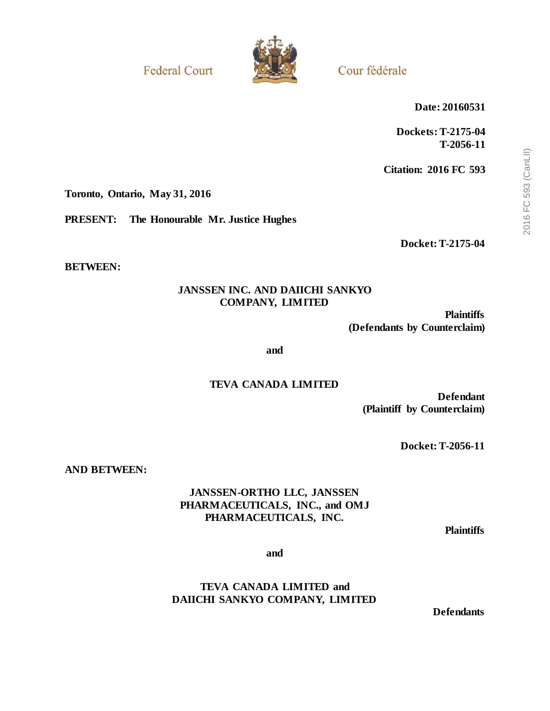**Federal Court** 



Cour fédérale

**Date: 20160531**

**Dockets: T-2175-04 T-2056-11**

**Citation: 2016 FC 593**

**Toronto, Ontario, May 31, 2016**

**PRESENT: The Honourable Mr. Justice Hughes**

**Docket: T-2175-04**

**BETWEEN:**

## **JANSSEN INC. AND DAIICHI SANKYO COMPANY, LIMITED**

**Plaintiffs (Defendants by Counterclaim)**

**and**

# **TEVA CANADA LIMITED**

**Defendant (Plaintiff by Counterclaim)**

**Docket: T-2056-11**

**AND BETWEEN:**

# **JANSSEN-ORTHO LLC, JANSSEN PHARMACEUTICALS, INC., and OMJ PHARMACEUTICALS, INC.**

**Plaintiffs**

**and**

# **TEVA CANADA LIMITED and DAIICHI SANKYO COMPANY, LIMITED**

**Defendants**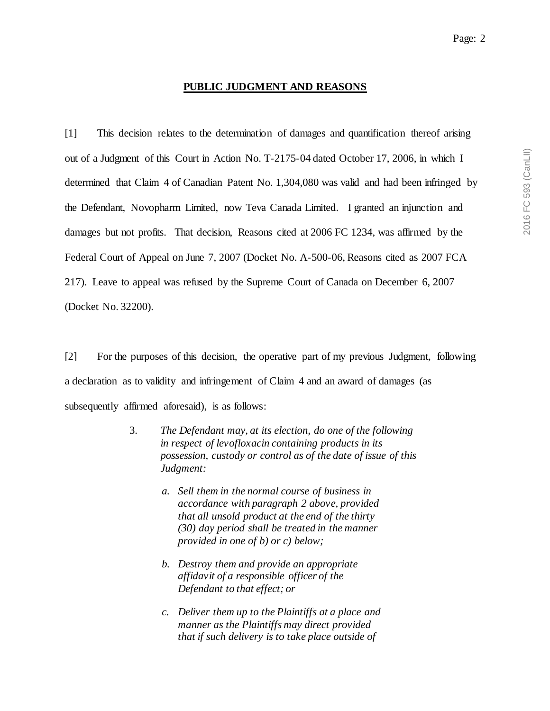#### **PUBLIC JUDGMENT AND REASONS**

[1] This decision relates to the determination of damages and quantification thereof arising out of a Judgment of this Court in Action No. T-2175-04 dated October 17, 2006, in which I determined that Claim 4 of Canadian Patent No. 1,304,080 was valid and had been infringed by the Defendant, Novopharm Limited, now Teva Canada Limited. I granted an injunction and damages but not profits. That decision, Reasons cited at 2006 FC 1234, was affirmed by the Federal Court of Appeal on June 7, 2007 (Docket No. A-500-06, Reasons cited as 2007 FCA 217). Leave to appeal was refused by the Supreme Court of Canada on December 6, 2007 (Docket No. 32200).

[2] For the purposes of this decision, the operative part of my previous Judgment, following a declaration as to validity and infringement of Claim 4 and an award of damages (as subsequently affirmed aforesaid), is as follows:

- 3. *The Defendant may, at its election, do one of the following in respect of levofloxacin containing products in its possession, custody or control as of the date of issue of this Judgment:*
	- *a. Sell them in the normal course of business in accordance with paragraph 2 above, provided that all unsold product at the end of the thirty (30) day period shall be treated in the manner provided in one of b) or c) below;*
	- *b. Destroy them and provide an appropriate affidavit of a responsible officer of the Defendant to that effect; or*
	- *c. Deliver them up to the Plaintiffs at a place and manner as the Plaintiffs may direct provided that if such delivery is to take place outside of*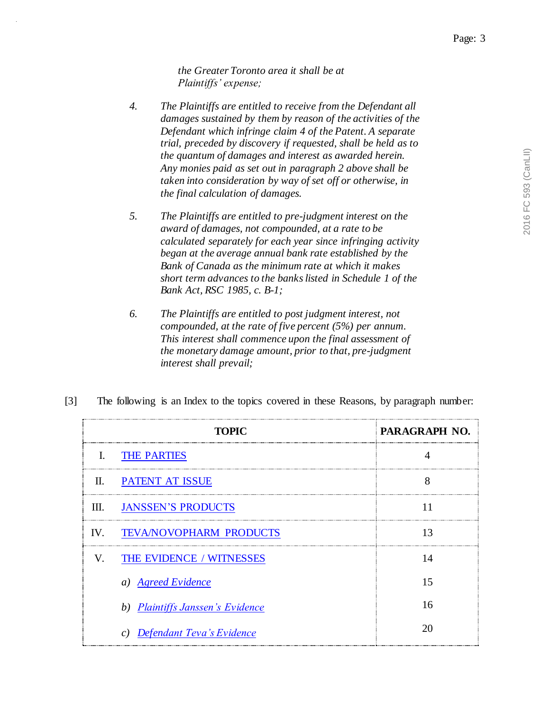*the Greater Toronto area it shall be at Plaintiffs' expense;*

- *4. The Plaintiffs are entitled to receive from the Defendant all damages sustained by them by reason of the activities of the Defendant which infringe claim 4 of the Patent. A separate trial, preceded by discovery if requested, shall be held as to the quantum of damages and interest as awarded herein. Any monies paid as set out in paragraph 2 above shall be taken into consideration by way of set off or otherwise, in the final calculation of damages.*
- *5. The Plaintiffs are entitled to pre-judgment interest on the award of damages, not compounded, at a rate to be calculated separately for each year since infringing activity began at the average annual bank rate established by the Bank of Canada as the minimum rate at which it makes short term advances to the banks listed in Schedule 1 of the Bank Act, RSC 1985, c. B-1;*
- *6. The Plaintiffs are entitled to post judgment interest, not compounded, at the rate of five percent (5%) per annum. This interest shall commence upon the final assessment of the monetary damage amount, prior to that, pre-judgment interest shall prevail;*

|     | <b>TOPIC</b>                     | PARAGRAPH NO. |
|-----|----------------------------------|---------------|
| I.  | <b>THE PARTIES</b>               |               |
| П.  | <b>PATENT AT ISSUE</b>           | 8             |
|     | III. JANSSEN'S PRODUCTS          | 11            |
| IV. | <b>TEVA/NOVOPHARM PRODUCTS</b>   | 13            |
| V.  | THE EVIDENCE / WITNESSES         | 14            |
|     | a) Agreed Evidence               | 15            |
|     | b) Plaintiffs Janssen's Evidence | 16            |
|     | c) Defendant Teva's Evidence     |               |

[3] The following is an Index to the topics covered in these Reasons, by paragraph number: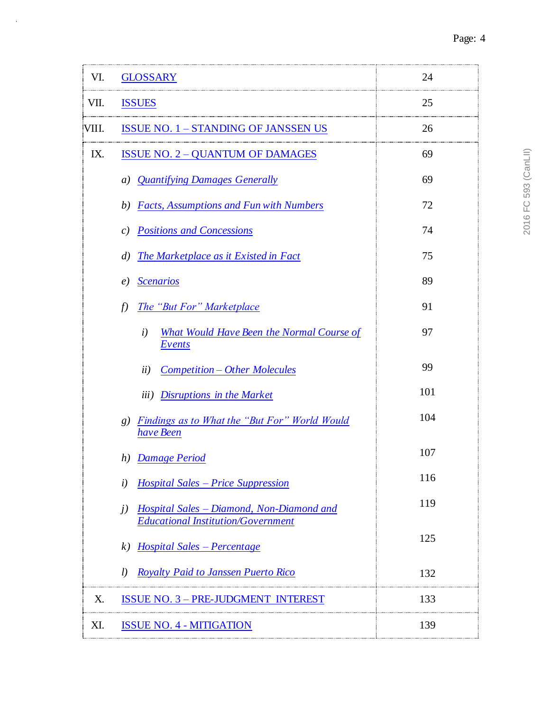| VI.   | <b>GLOSSARY</b>                                                                              | 24  |
|-------|----------------------------------------------------------------------------------------------|-----|
| VII.  | <b>ISSUES</b>                                                                                | 25  |
| VIII. | <b>ISSUE NO. 1 - STANDING OF JANSSEN US</b>                                                  | 26  |
| IX.   | <b>ISSUE NO. 2 - QUANTUM OF DAMAGES</b>                                                      | 69  |
|       | <b>Quantifying Damages Generally</b><br>a)                                                   | 69  |
|       | <b>Facts, Assumptions and Fun with Numbers</b><br>b)                                         | 72  |
|       | <b>Positions and Concessions</b><br>$\mathcal{C}$ )                                          | 74  |
|       | The Marketplace as it Existed in Fact<br>$\left( d\right)$                                   | 75  |
|       | <b>Scenarios</b><br>$\epsilon$ )                                                             | 89  |
|       | f)<br>The "But For" Marketplace                                                              | 91  |
|       | What Would Have Been the Normal Course of<br>$\dot{\iota}$<br>Events                         | 97  |
|       | <b>Competition – Other Molecules</b><br>ii)                                                  | 99  |
|       | Disruptions in the Market<br><i>iii</i> )                                                    | 101 |
|       | Findings as to What the "But For" World Would<br>g)<br>have Been                             | 104 |
|       | <b>Damage Period</b><br>h)                                                                   | 107 |
|       | <b>Hospital Sales – Price Suppression</b><br>$\left(i\right)$                                | 116 |
|       | Hospital Sales – Diamond, Non-Diamond and<br>j)<br><b>Educational Institution/Government</b> | 119 |
|       | Hospital Sales - Percentage<br>k)                                                            | 125 |
|       | <b>Royalty Paid to Janssen Puerto Rico</b><br>l)                                             | 132 |
| X.    | <b>ISSUE NO. 3 - PRE-JUDGMENT INTEREST</b>                                                   | 133 |
| XI.   | <b>ISSUE NO. 4 - MITIGATION</b>                                                              | 139 |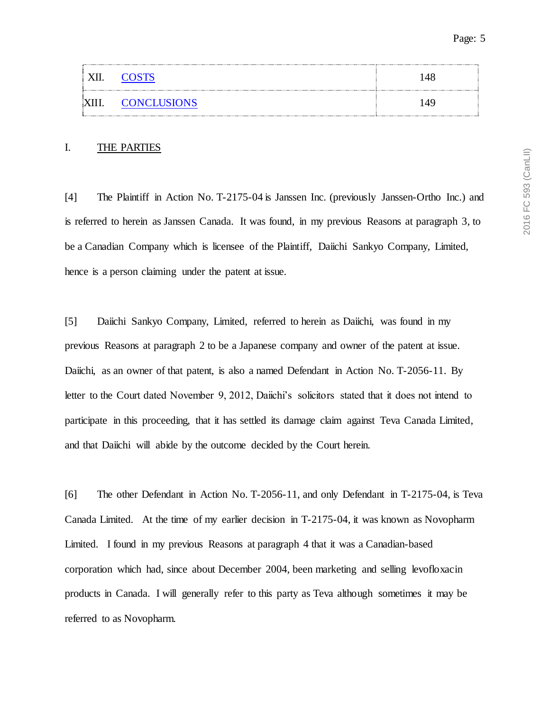### <span id="page-4-0"></span>I. THE PARTIES

[4] The Plaintiff in Action No. T-2175-04 is Janssen Inc. (previously Janssen-Ortho Inc.) and is referred to herein as Janssen Canada. It was found, in my previous Reasons at paragraph 3, to be a Canadian Company which is licensee of the Plaintiff, Daiichi Sankyo Company, Limited, hence is a person claiming under the patent at issue.

[5] Daiichi Sankyo Company, Limited, referred to herein as Daiichi, was found in my previous Reasons at paragraph 2 to be a Japanese company and owner of the patent at issue. Daiichi, as an owner of that patent, is also a named Defendant in Action No. T-2056-11. By letter to the Court dated November 9, 2012, Daiichi's solicitors stated that it does not intend to participate in this proceeding, that it has settled its damage claim against Teva Canada Limited, and that Daiichi will abide by the outcome decided by the Court herein.

[6] The other Defendant in Action No. T-2056-11, and only Defendant in T-2175-04, is Teva Canada Limited. At the time of my earlier decision in T-2175-04, it was known as Novopharm Limited. I found in my previous Reasons at paragraph 4 that it was a Canadian-based corporation which had, since about December 2004, been marketing and selling levofloxacin products in Canada. I will generally refer to this party as Teva although sometimes it may be referred to as Novopharm.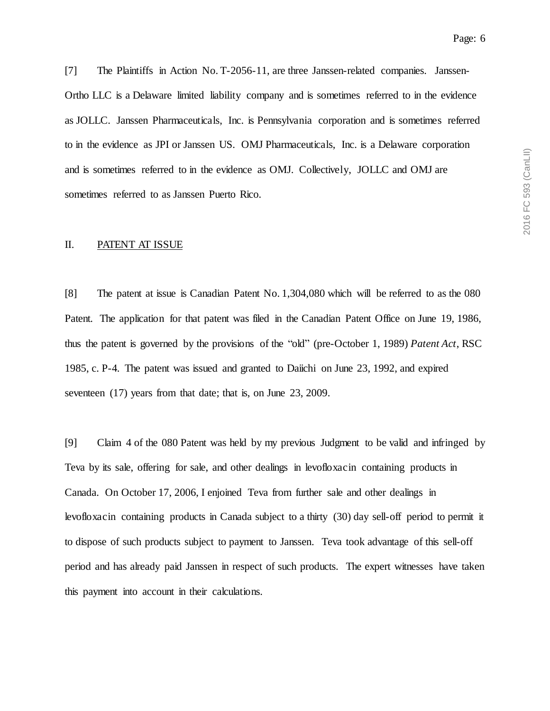[7] The Plaintiffs in Action No. T-2056-11, are three Janssen-related companies. Janssen-Ortho LLC is a Delaware limited liability company and is sometimes referred to in the evidence as JOLLC. Janssen Pharmaceuticals, Inc. is Pennsylvania corporation and is sometimes referred to in the evidence as JPI or Janssen US. OMJ Pharmaceuticals, Inc. is a Delaware corporation and is sometimes referred to in the evidence as OMJ. Collectively, JOLLC and OMJ are sometimes referred to as Janssen Puerto Rico.

### <span id="page-5-0"></span>II. PATENT AT ISSUE

[8] The patent at issue is Canadian Patent No. 1,304,080 which will be referred to as the 080 Patent. The application for that patent was filed in the Canadian Patent Office on June 19, 1986, thus the patent is governed by the provisions of the "old" (pre-October 1, 1989) *Patent Act*, RSC 1985, c. P-4*.* The patent was issued and granted to Daiichi on June 23, 1992, and expired seventeen (17) years from that date; that is, on June 23, 2009.

[9] Claim 4 of the 080 Patent was held by my previous Judgment to be valid and infringed by Teva by its sale, offering for sale, and other dealings in levofloxacin containing products in Canada. On October 17, 2006, I enjoined Teva from further sale and other dealings in levofloxacin containing products in Canada subject to a thirty (30) day sell-off period to permit it to dispose of such products subject to payment to Janssen. Teva took advantage of this sell-off period and has already paid Janssen in respect of such products. The expert witnesses have taken this payment into account in their calculations.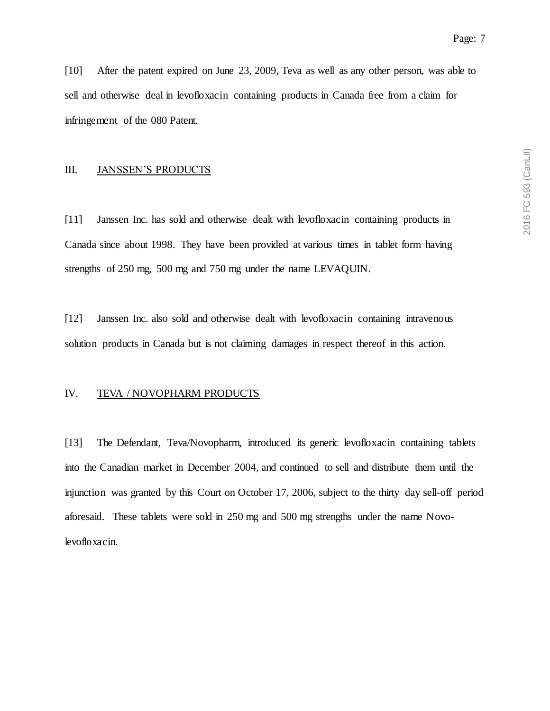[10] After the patent expired on June 23, 2009, Teva as well as any other person, was able to sell and otherwise deal in levofloxacin containing products in Canada free from a claim for infringement of the 080 Patent.

# <span id="page-6-0"></span>III. JANSSEN'S PRODUCTS

[11] Janssen Inc. has sold and otherwise dealt with levofloxacin containing products in Canada since about 1998. They have been provided at various times in tablet form having strengths of 250 mg, 500 mg and 750 mg under the name LEVAQUIN.

[12] Janssen Inc. also sold and otherwise dealt with levofloxacin containing intravenous solution products in Canada but is not claiming damages in respect thereof in this action.

### <span id="page-6-1"></span>IV. TEVA / NOVOPHARM PRODUCTS

[13] The Defendant, Teva/Novopharm, introduced its generic levofloxacin containing tablets into the Canadian market in December 2004, and continued to sell and distribute them until the injunction was granted by this Court on October 17, 2006, subject to the thirty day sell-off period aforesaid. These tablets were sold in 250 mg and 500 mg strengths under the name Novolevofloxacin.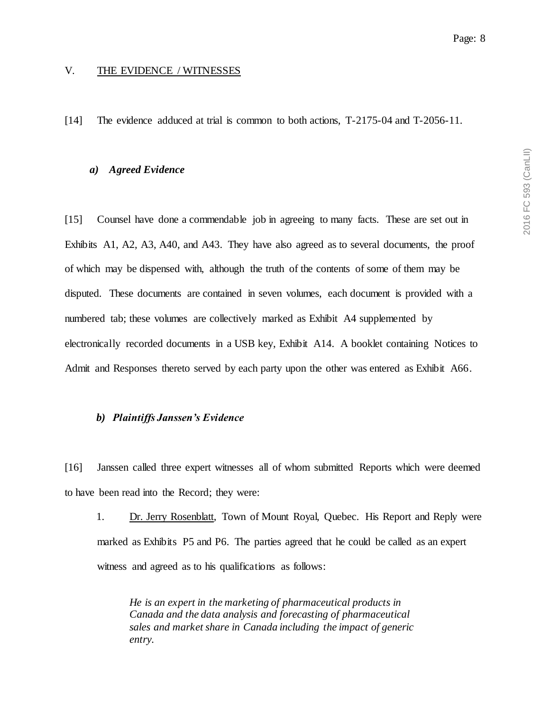2016 FC 593 (CanLII) 2016 FC 593 (CanLII)

### <span id="page-7-0"></span>V. THE EVIDENCE / WITNESSES

<span id="page-7-1"></span>[14] The evidence adduced at trial is common to both actions, T-2175-04 and T-2056-11.

#### *a) Agreed Evidence*

[15] Counsel have done a commendable job in agreeing to many facts. These are set out in Exhibits A1, A2, A3, A40, and A43. They have also agreed as to several documents, the proof of which may be dispensed with, although the truth of the contents of some of them may be disputed. These documents are contained in seven volumes, each document is provided with a numbered tab; these volumes are collectively marked as Exhibit A4 supplemented by electronically recorded documents in a USB key, Exhibit A14. A booklet containing Notices to Admit and Responses thereto served by each party upon the other was entered as Exhibit A66.

#### <span id="page-7-2"></span>*b) Plaintiffs Janssen's Evidence*

[16] Janssen called three expert witnesses all of whom submitted Reports which were deemed to have been read into the Record; they were:

1. Dr. Jerry Rosenblatt, Town of Mount Royal, Quebec. His Report and Reply were marked as Exhibits P5 and P6. The parties agreed that he could be called as an expert witness and agreed as to his qualifications as follows:

*He is an expert in the marketing of pharmaceutical products in Canada and the data analysis and forecasting of pharmaceutical sales and market share in Canada including the impact of generic entry.*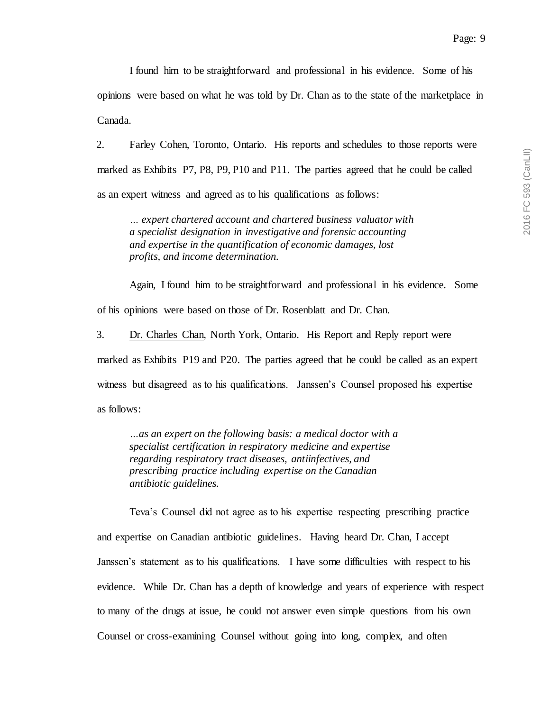I found him to be straightforward and professional in his evidence. Some of his opinions were based on what he was told by Dr. Chan as to the state of the marketplace in Canada.

2. Farley Cohen, Toronto, Ontario. His reports and schedules to those reports were marked as Exhibits P7, P8, P9, P10 and P11. The parties agreed that he could be called as an expert witness and agreed as to his qualifications as follows:

*… expert chartered account and chartered business valuator with a specialist designation in investigative and forensic accounting and expertise in the quantification of economic damages, lost profits, and income determination.*

Again, I found him to be straightforward and professional in his evidence. Some of his opinions were based on those of Dr. Rosenblatt and Dr. Chan.

3. Dr. Charles Chan, North York, Ontario. His Report and Reply report were marked as Exhibits P19 and P20. The parties agreed that he could be called as an expert witness but disagreed as to his qualifications. Janssen's Counsel proposed his expertise as follows:

*…as an expert on the following basis: a medical doctor with a specialist certification in respiratory medicine and expertise regarding respiratory tract diseases, antiinfectives, and prescribing practice including expertise on the Canadian antibiotic guidelines.*

Teva's Counsel did not agree as to his expertise respecting prescribing practice and expertise on Canadian antibiotic guidelines. Having heard Dr. Chan, I accept Janssen's statement as to his qualifications. I have some difficulties with respect to his evidence. While Dr. Chan has a depth of knowledge and years of experience with respect to many of the drugs at issue, he could not answer even simple questions from his own Counsel or cross-examining Counsel without going into long, complex, and often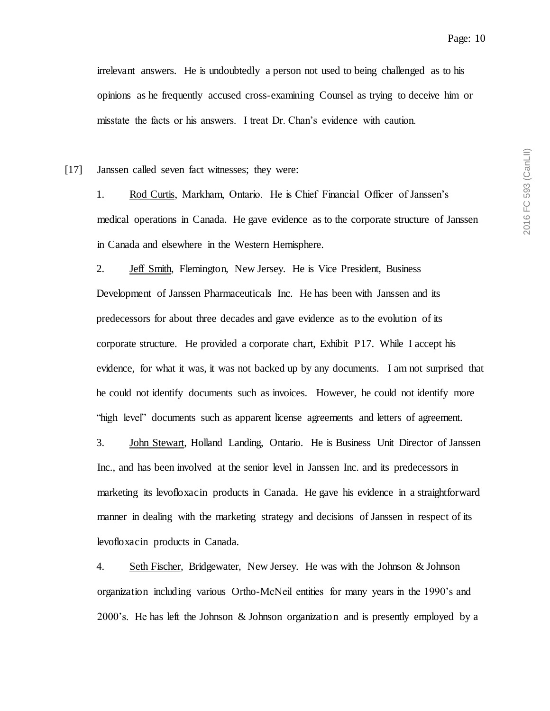irrelevant answers. He is undoubtedly a person not used to being challenged as to his opinions as he frequently accused cross-examining Counsel as trying to deceive him or misstate the facts or his answers. I treat Dr. Chan's evidence with caution.

[17] Janssen called seven fact witnesses; they were:

1. Rod Curtis, Markham, Ontario. He is Chief Financial Officer of Janssen's medical operations in Canada. He gave evidence as to the corporate structure of Janssen in Canada and elsewhere in the Western Hemisphere.

2. Jeff Smith, Flemington, New Jersey. He is Vice President, Business Development of Janssen Pharmaceuticals Inc. He has been with Janssen and its predecessors for about three decades and gave evidence as to the evolution of its corporate structure. He provided a corporate chart, Exhibit P17. While I accept his evidence, for what it was, it was not backed up by any documents. I am not surprised that he could not identify documents such as invoices. However, he could not identify more "high level" documents such as apparent license agreements and letters of agreement.

3. John Stewart, Holland Landing, Ontario. He is Business Unit Director of Janssen Inc., and has been involved at the senior level in Janssen Inc. and its predecessors in marketing its levofloxacin products in Canada. He gave his evidence in a straightforward manner in dealing with the marketing strategy and decisions of Janssen in respect of its levofloxacin products in Canada.

4. Seth Fischer, Bridgewater, New Jersey. He was with the Johnson & Johnson organization including various Ortho-McNeil entities for many years in the 1990's and 2000's. He has left the Johnson & Johnson organization and is presently employed by a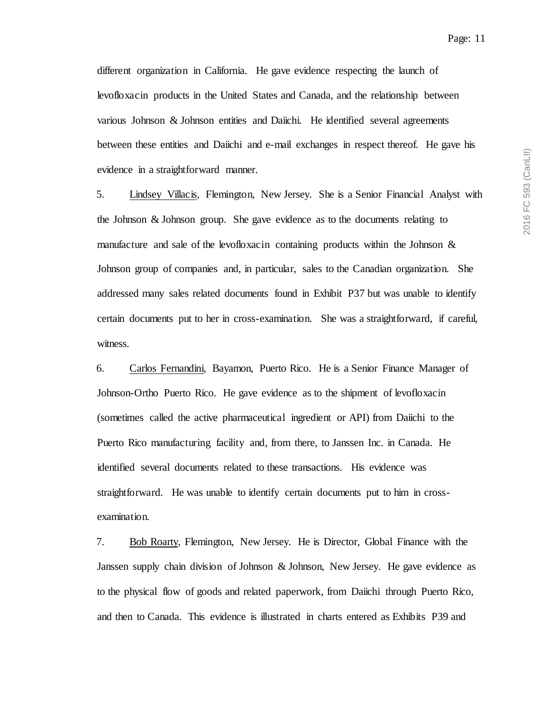different organization in California. He gave evidence respecting the launch of levofloxacin products in the United States and Canada, and the relationship between various Johnson & Johnson entities and Daiichi. He identified several agreements between these entities and Daiichi and e-mail exchanges in respect thereof. He gave his evidence in a straightforward manner.

5. Lindsey Villacis, Flemington, New Jersey. She is a Senior Financial Analyst with the Johnson & Johnson group. She gave evidence as to the documents relating to manufacture and sale of the levofloxacin containing products within the Johnson  $\&$ Johnson group of companies and, in particular, sales to the Canadian organization. She addressed many sales related documents found in Exhibit P37 but was unable to identify certain documents put to her in cross-examination. She was a straightforward, if careful, witness.

6. Carlos Fernandini, Bayamon, Puerto Rico. He is a Senior Finance Manager of Johnson-Ortho Puerto Rico. He gave evidence as to the shipment of levofloxacin (sometimes called the active pharmaceutical ingredient or API) from Daiichi to the Puerto Rico manufacturing facility and, from there, to Janssen Inc. in Canada. He identified several documents related to these transactions. His evidence was straightforward. He was unable to identify certain documents put to him in crossexamination.

7. Bob Roarty, Flemington, New Jersey. He is Director, Global Finance with the Janssen supply chain division of Johnson & Johnson, New Jersey. He gave evidence as to the physical flow of goods and related paperwork, from Daiichi through Puerto Rico, and then to Canada. This evidence is illustrated in charts entered as Exhibits P39 and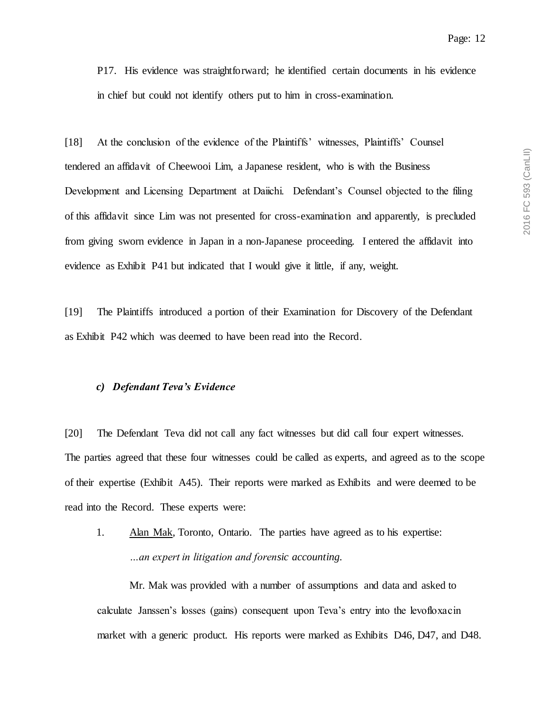P17. His evidence was straightforward; he identified certain documents in his evidence in chief but could not identify others put to him in cross-examination.

[18] At the conclusion of the evidence of the Plaintiffs' witnesses, Plaintiffs' Counsel tendered an affidavit of Cheewooi Lim, a Japanese resident, who is with the Business Development and Licensing Department at Daiichi. Defendant's Counsel objected to the filing of this affidavit since Lim was not presented for cross-examination and apparently, is precluded from giving sworn evidence in Japan in a non-Japanese proceeding. I entered the affidavit into evidence as Exhibit P41 but indicated that I would give it little, if any, weight.

[19] The Plaintiffs introduced a portion of their Examination for Discovery of the Defendant as Exhibit P42 which was deemed to have been read into the Record.

### <span id="page-11-0"></span>*c) Defendant Teva's Evidence*

[20] The Defendant Teva did not call any fact witnesses but did call four expert witnesses. The parties agreed that these four witnesses could be called as experts, and agreed as to the scope of their expertise (Exhibit A45). Their reports were marked as Exhibits and were deemed to be read into the Record. These experts were:

1. Alan Mak, Toronto, Ontario. The parties have agreed as to his expertise: *…an expert in litigation and forensic accounting.*

Mr. Mak was provided with a number of assumptions and data and asked to calculate Janssen's losses (gains) consequent upon Teva's entry into the levofloxacin market with a generic product. His reports were marked as Exhibits D46, D47, and D48.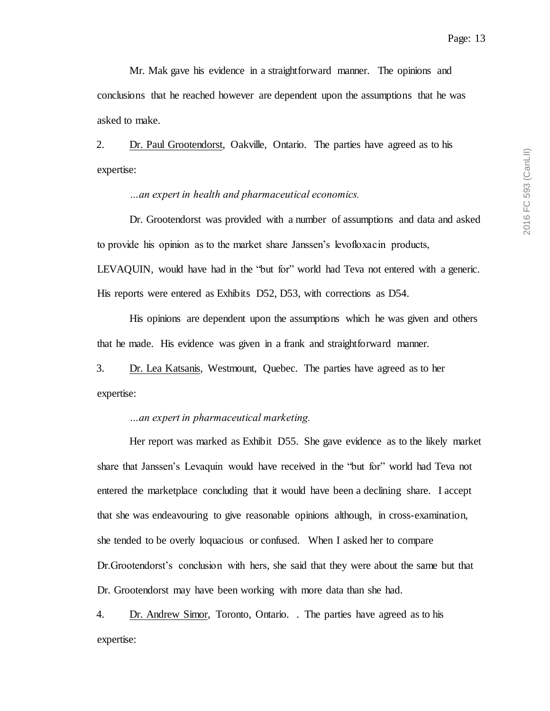Mr. Mak gave his evidence in a straightforward manner. The opinions and conclusions that he reached however are dependent upon the assumptions that he was asked to make.

2. Dr. Paul Grootendorst, Oakville, Ontario. The parties have agreed as to his expertise:

*…an expert in health and pharmaceutical economics.*

Dr. Grootendorst was provided with a number of assumptions and data and asked to provide his opinion as to the market share Janssen's levofloxacin products, LEVAQUIN, would have had in the "but for" world had Teva not entered with a generic. His reports were entered as Exhibits D52, D53, with corrections as D54.

His opinions are dependent upon the assumptions which he was given and others that he made. His evidence was given in a frank and straightforward manner.

3. Dr. Lea Katsanis, Westmount, Quebec. The parties have agreed as to her expertise:

*…an expert in pharmaceutical marketing.*

Her report was marked as Exhibit D55. She gave evidence as to the likely market share that Janssen's Levaquin would have received in the "but for" world had Teva not entered the marketplace concluding that it would have been a declining share. I accept that she was endeavouring to give reasonable opinions although, in cross-examination, she tended to be overly loquacious or confused. When I asked her to compare Dr.Grootendorst's conclusion with hers, she said that they were about the same but that Dr. Grootendorst may have been working with more data than she had.

4. Dr. Andrew Simor, Toronto, Ontario. . The parties have agreed as to his expertise:

2016 FC 593 (CanLII) 2016 FC 593 (CanLII)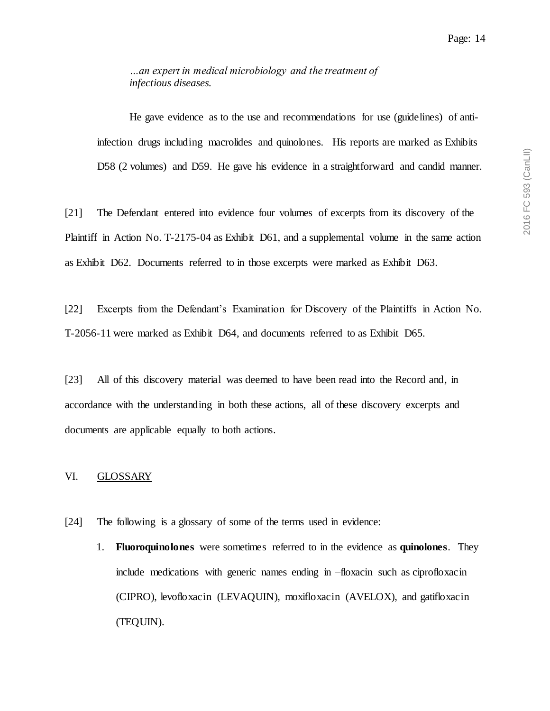## *…an expert in medical microbiology and the treatment of infectious diseases.*

He gave evidence as to the use and recommendations for use (guidelines) of antiinfection drugs including macrolides and quinolones. His reports are marked as Exhibits D58 (2 volumes) and D59. He gave his evidence in a straightforward and candid manner.

[21] The Defendant entered into evidence four volumes of excerpts from its discovery of the Plaintiff in Action No. T-2175-04 as Exhibit D61, and a supplemental volume in the same action as Exhibit D62. Documents referred to in those excerpts were marked as Exhibit D63.

[22] Excerpts from the Defendant's Examination for Discovery of the Plaintiffs in Action No. T-2056-11 were marked as Exhibit D64, and documents referred to as Exhibit D65.

[23] All of this discovery material was deemed to have been read into the Record and, in accordance with the understanding in both these actions, all of these discovery excerpts and documents are applicable equally to both actions.

### <span id="page-13-0"></span>VI. GLOSSARY

- [24] The following is a glossary of some of the terms used in evidence:
	- 1. **Fluoroquinolones** were sometimes referred to in the evidence as **quinolones**. They include medications with generic names ending in –floxacin such as ciprofloxacin (CIPRO), levofloxacin (LEVAQUIN), moxifloxacin (AVELOX), and gatifloxacin (TEQUIN).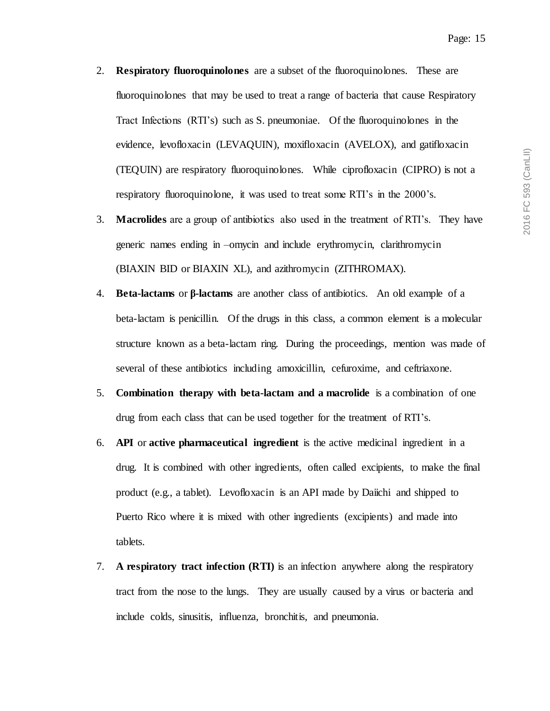- 2. **Respiratory fluoroquinolones** are a subset of the fluoroquinolones. These are fluoroquinolones that may be used to treat a range of bacteria that cause Respiratory Tract Infections (RTI's) such as S. pneumoniae. Of the fluoroquinolones in the evidence, levofloxacin (LEVAQUIN), moxifloxacin (AVELOX), and gatifloxacin (TEQUIN) are respiratory fluoroquinolones. While ciprofloxacin (CIPRO) is not a respiratory fluoroquinolone, it was used to treat some RTI's in the 2000's.
- 3. **Macrolides** are a group of antibiotics also used in the treatment of RTI's. They have generic names ending in –omycin and include erythromycin, clarithromycin (BIAXIN BID or BIAXIN XL), and azithromycin (ZITHROMAX).
- 4. **Beta-lactams** or **β-lactams** are another class of antibiotics. An old example of a beta-lactam is penicillin. Of the drugs in this class, a common element is a molecular structure known as a beta-lactam ring. During the proceedings, mention was made of several of these antibiotics including amoxicillin, cefuroxime, and ceftriaxone.
- 5. **Combination therapy with beta-lactam and a macrolide** is a combination of one drug from each class that can be used together for the treatment of RTI's.
- 6. **API** or **active pharmaceutical ingredient** is the active medicinal ingredient in a drug. It is combined with other ingredients, often called excipients, to make the final product (e.g., a tablet). Levofloxacin is an API made by Daiichi and shipped to Puerto Rico where it is mixed with other ingredients (excipients) and made into tablets.
- 7. **A respiratory tract infection (RTI)** is an infection anywhere along the respiratory tract from the nose to the lungs. They are usually caused by a virus or bacteria and include colds, sinusitis, influenza, bronchitis, and pneumonia.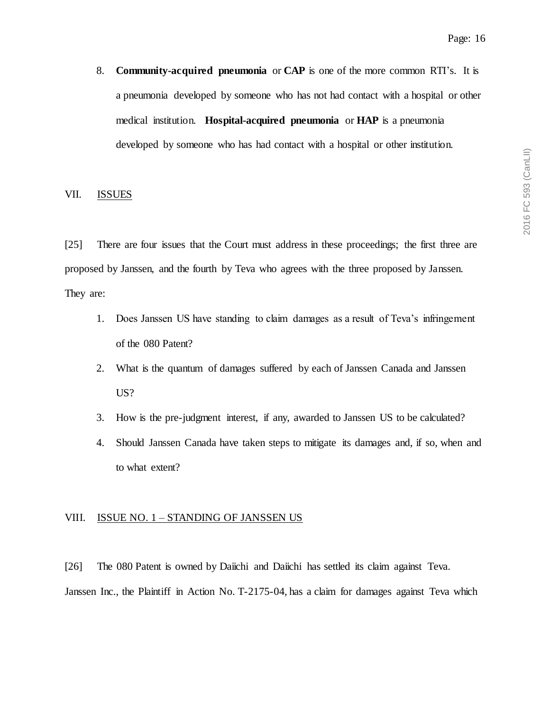8. **Community-acquired pneumonia** or **CAP** is one of the more common RTI's. It is a pneumonia developed by someone who has not had contact with a hospital or other medical institution. **Hospital-acquired pneumonia** or **HAP** is a pneumonia developed by someone who has had contact with a hospital or other institution.

## <span id="page-15-0"></span>VII. ISSUES

[25] There are four issues that the Court must address in these proceedings; the first three are proposed by Janssen, and the fourth by Teva who agrees with the three proposed by Janssen. They are:

- 1. Does Janssen US have standing to claim damages as a result of Teva's infringement of the 080 Patent?
- 2. What is the quantum of damages suffered by each of Janssen Canada and Janssen US?
- 3. How is the pre-judgment interest, if any, awarded to Janssen US to be calculated?
- 4. Should Janssen Canada have taken steps to mitigate its damages and, if so, when and to what extent?

#### <span id="page-15-1"></span>VIII. ISSUE NO. 1 – STANDING OF JANSSEN US

[26] The 080 Patent is owned by Daiichi and Daiichi has settled its claim against Teva. Janssen Inc., the Plaintiff in Action No. T-2175-04, has a claim for damages against Teva which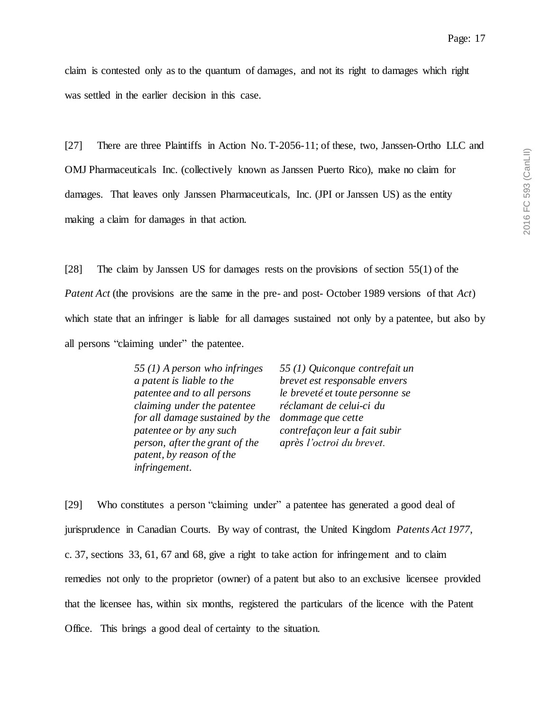claim is contested only as to the quantum of damages, and not its right to damages which right was settled in the earlier decision in this case.

[27] There are three Plaintiffs in Action No. T-2056-11; of these, two, Janssen-Ortho LLC and OMJ Pharmaceuticals Inc. (collectively known as Janssen Puerto Rico), make no claim for damages. That leaves only Janssen Pharmaceuticals, Inc. (JPI or Janssen US) as the entity making a claim for damages in that action.

[28] The claim by Janssen US for damages rests on the provisions of section 55(1) of the *Patent Act* (the provisions are the same in the pre- and post- October 1989 versions of that *Act*) which state that an infringer is liable for all damages sustained not only by a patentee, but also by all persons "claiming under" the patentee.

> *55 (1) A person who infringes a patent is liable to the patentee and to all persons claiming under the patentee for all damage sustained by the patentee or by any such person, after the grant of the patent, by reason of the infringement.*

*55 (1) Quiconque contrefait un brevet est responsable envers le breveté et toute personne se réclamant de celui-ci du dommage que cette contrefaçon leur a fait subir après l'octroi du brevet.*

[29] Who constitutes a person "claiming under" a patentee has generated a good deal of jurisprudence in Canadian Courts. By way of contrast, the United Kingdom *Patents Act 1977*, c. 37, sections 33, 61, 67 and 68, give a right to take action for infringement and to claim remedies not only to the proprietor (owner) of a patent but also to an exclusive licensee provided that the licensee has, within six months, registered the particulars of the licence with the Patent Office. This brings a good deal of certainty to the situation.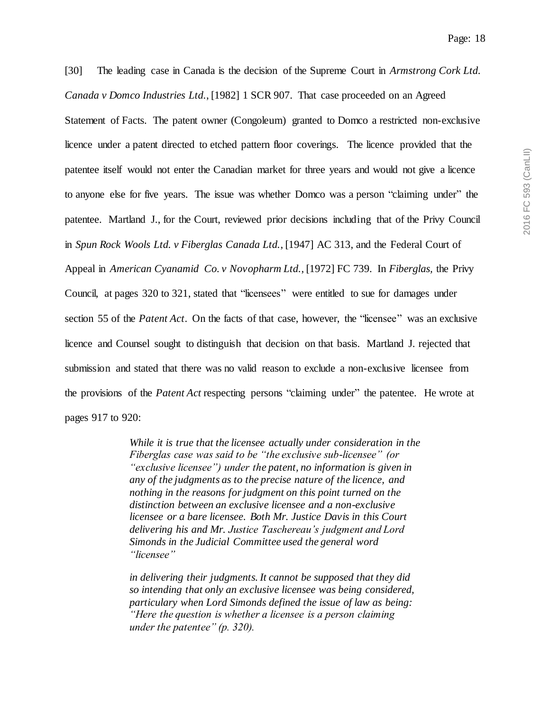[30] The leading case in Canada is the decision of the Supreme Court in *Armstrong Cork Ltd. Canada v Domco Industries Ltd.*, [1982] 1 SCR 907. That case proceeded on an Agreed Statement of Facts. The patent owner (Congoleum) granted to Domco a restricted non-exclusive licence under a patent directed to etched pattern floor coverings. The licence provided that the patentee itself would not enter the Canadian market for three years and would not give a licence to anyone else for five years. The issue was whether Domco was a person "claiming under" the patentee. Martland J., for the Court, reviewed prior decisions including that of the Privy Council in *Spun Rock Wools Ltd. v Fiberglas Canada Ltd.*, [1947] AC 313, and the Federal Court of Appeal in *American Cyanamid Co. v Novopharm Ltd.*, [1972] FC 739. In *Fiberglas,* the Privy Council, at pages 320 to 321, stated that "licensees" were entitled to sue for damages under section 55 of the *Patent Act*. On the facts of that case, however, the "licensee" was an exclusive licence and Counsel sought to distinguish that decision on that basis. Martland J. rejected that submission and stated that there was no valid reason to exclude a non-exclusive licensee from the provisions of the *Patent Act* respecting persons "claiming under" the patentee. He wrote at pages 917 to 920:

> *While it is true that the licensee actually under consideration in the Fiberglas case was said to be "the exclusive sub-licensee" (or "exclusive licensee") under the patent, no information is given in any of the judgments as to the precise nature of the licence, and nothing in the reasons for judgment on this point turned on the distinction between an exclusive licensee and a non-exclusive licensee or a bare licensee. Both Mr. Justice Davis in this Court delivering his and Mr. Justice Taschereau's judgment and Lord Simonds in the Judicial Committee used the general word "licensee"*

*in delivering their judgments. It cannot be supposed that they did so intending that only an exclusive licensee was being considered, particulary when Lord Simonds defined the issue of law as being: "Here the question is whether a licensee is a person claiming under the patentee" (p. 320).*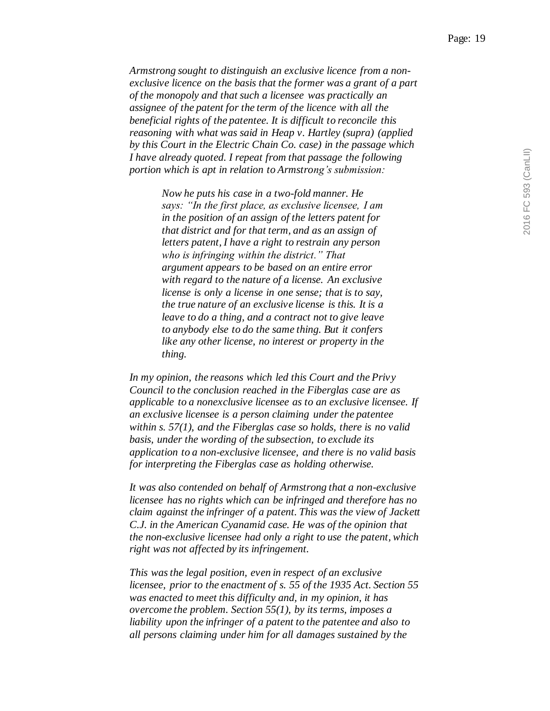*Armstrong sought to distinguish an exclusive licence from a nonexclusive licence on the basis that the former was a grant of a part of the monopoly and that such a licensee was practically an assignee of the patent for the term of the licence with all the beneficial rights of the patentee. It is difficult to reconcile this reasoning with what was said in Heap v. Hartley (supra) (applied by this Court in the Electric Chain Co. case) in the passage which I have already quoted. I repeat from that passage the following portion which is apt in relation to Armstrong's submission:*

> *Now he puts his case in a two-fold manner. He says: "In the first place, as exclusive licensee, I am in the position of an assign of the letters patent for that district and for that term, and as an assign of letters patent, I have a right to restrain any person who is infringing within the district." That argument appears to be based on an entire error with regard to the nature of a license. An exclusive license is only a license in one sense; that is to say, the true nature of an exclusive license is this. It is a leave to do a thing, and a contract not to give leave to anybody else to do the same thing. But it confers like any other license, no interest or property in the thing.*

*In my opinion, the reasons which led this Court and the Privy Council to the conclusion reached in the Fiberglas case are as applicable to a nonexclusive licensee as to an exclusive licensee. If an exclusive licensee is a person claiming under the patentee within s. 57(1), and the Fiberglas case so holds, there is no valid basis, under the wording of the subsection, to exclude its application to a non-exclusive licensee, and there is no valid basis for interpreting the Fiberglas case as holding otherwise.*

*It was also contended on behalf of Armstrong that a non-exclusive licensee has no rights which can be infringed and therefore has no claim against the infringer of a patent. This was the view of Jackett C.J. in the American Cyanamid case. He was of the opinion that the non-exclusive licensee had only a right to use the patent, which right was not affected by its infringement.*

*This was the legal position, even in respect of an exclusive licensee, prior to the enactment of s. 55 of the 1935 Act. Section 55 was enacted to meet this difficulty and, in my opinion, it has overcome the problem. Section 55(1), by its terms, imposes a liability upon the infringer of a patent to the patentee and also to all persons claiming under him for all damages sustained by the*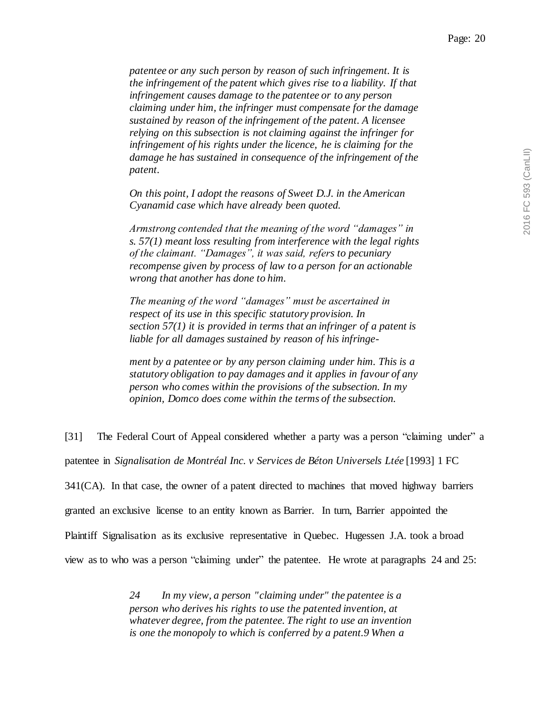*patentee or any such person by reason of such infringement. It is the infringement of the patent which gives rise to a liability. If that infringement causes damage to the patentee or to any person claiming under him, the infringer must compensate for the damage sustained by reason of the infringement of the patent. A licensee relying on this subsection is not claiming against the infringer for infringement of his rights under the licence, he is claiming for the damage he has sustained in consequence of the infringement of the patent.*

*On this point, I adopt the reasons of Sweet D.J. in the American Cyanamid case which have already been quoted.*

*Armstrong contended that the meaning of the word "damages" in s. 57(1) meant loss resulting from interference with the legal rights of the claimant. "Damages", it was said, refers to pecuniary recompense given by process of law to a person for an actionable wrong that another has done to him.*

*The meaning of the word "damages" must be ascertained in respect of its use in this specific statutory provision. In section 57(1) it is provided in terms that an infringer of a patent is liable for all damages sustained by reason of his infringe-*

*ment by a patentee or by any person claiming under him. This is a statutory obligation to pay damages and it applies in favour of any person who comes within the provisions of the subsection. In my opinion, Domco does come within the terms of the subsection.*

[31] The Federal Court of Appeal considered whether a party was a person "claiming under" a patentee in *Signalisation de Montréal Inc. v Services de Béton Universels Ltée* [1993] 1 FC 341(CA). In that case, the owner of a patent directed to machines that moved highway barriers granted an exclusive license to an entity known as Barrier. In turn, Barrier appointed the Plaintiff Signalisation as its exclusive representative in Quebec. Hugessen J.A. took a broad view as to who was a person "claiming under" the patentee. He wrote at paragraphs 24 and 25:

> *24 In my view, a person "claiming under" the patentee is a person who derives his rights to use the patented invention, at whatever degree, from the patentee. The right to use an invention is one the monopoly to which is conferred by a patent.9 When a*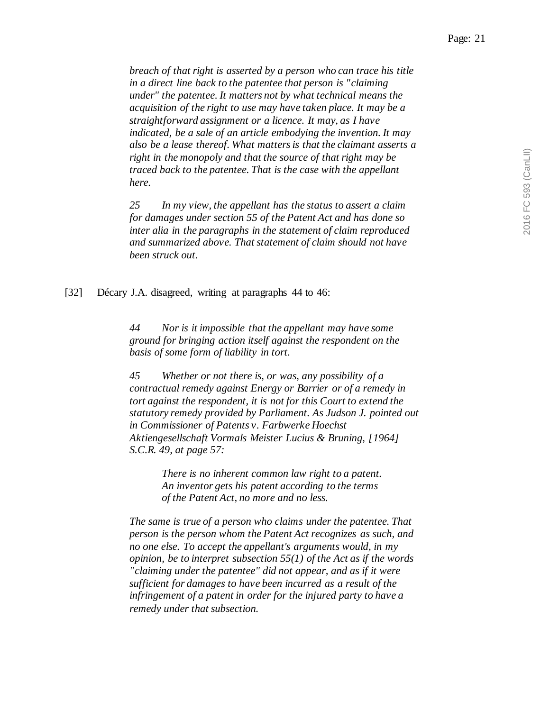*breach of that right is asserted by a person who can trace his title in a direct line back to the patentee that person is "claiming under" the patentee. It matters not by what technical means the acquisition of the right to use may have taken place. It may be a straightforward assignment or a licence. It may, as I have indicated, be a sale of an article embodying the invention. It may also be a lease thereof. What matters is that the claimant asserts a right in the monopoly and that the source of that right may be traced back to the patentee. That is the case with the appellant here.*

*25 In my view, the appellant has the status to assert a claim for damages under section 55 of the Patent Act and has done so inter alia in the paragraphs in the statement of claim reproduced and summarized above. That statement of claim should not have been struck out.*

[32] Décary J.A. disagreed, writing at paragraphs 44 to 46:

*44 Nor is it impossible that the appellant may have some ground for bringing action itself against the respondent on the basis of some form of liability in tort.*

*45 Whether or not there is, or was, any possibility of a contractual remedy against Energy or Barrier or of a remedy in tort against the respondent, it is not for this Court to extend the statutory remedy provided by Parliament. As Judson J. pointed out in Commissioner of Patents v. Farbwerke Hoechst Aktiengesellschaft Vormals Meister Lucius & Bruning, [1964] S.C.R. 49, at page 57:*

> *There is no inherent common law right to a patent. An inventor gets his patent according to the terms of the Patent Act, no more and no less.*

*The same is true of a person who claims under the patentee. That person is the person whom the Patent Act recognizes as such, and no one else. To accept the appellant's arguments would, in my opinion, be to interpret subsection 55(1) of the Act as if the words "claiming under the patentee" did not appear, and as if it were sufficient for damages to have been incurred as a result of the infringement of a patent in order for the injured party to have a remedy under that subsection.*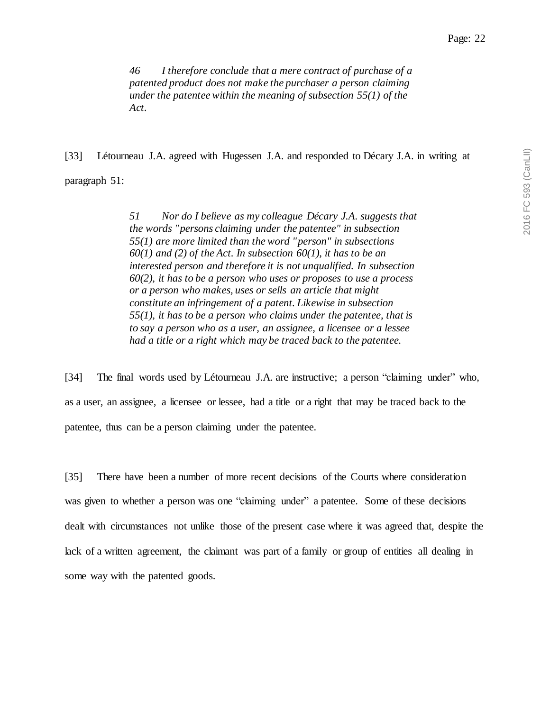*46 I therefore conclude that a mere contract of purchase of a patented product does not make the purchaser a person claiming under the patentee within the meaning of subsection 55(1) of the Act.*

[33] Létourneau J.A. agreed with Hugessen J.A. and responded to Décary J.A. in writing at

paragraph 51:

*51 Nor do I believe as my colleague Décary J.A. suggests that the words "persons claiming under the patentee" in subsection 55(1) are more limited than the word "person" in subsections 60(1) and (2) of the Act. In subsection 60(1), it has to be an interested person and therefore it is not unqualified. In subsection 60(2), it has to be a person who uses or proposes to use a process or a person who makes, uses or sells an article that might constitute an infringement of a patent. Likewise in subsection 55(1), it has to be a person who claims under the patentee, that is to say a person who as a user, an assignee, a licensee or a lessee had a title or a right which may be traced back to the patentee.*

[34] The final words used by Létourneau J.A. are instructive; a person "claiming under" who, as a user, an assignee, a licensee or lessee, had a title or a right that may be traced back to the patentee, thus can be a person claiming under the patentee.

[35] There have been a number of more recent decisions of the Courts where consideration was given to whether a person was one "claiming under" a patentee. Some of these decisions dealt with circumstances not unlike those of the present case where it was agreed that, despite the lack of a written agreement, the claimant was part of a family or group of entities all dealing in some way with the patented goods.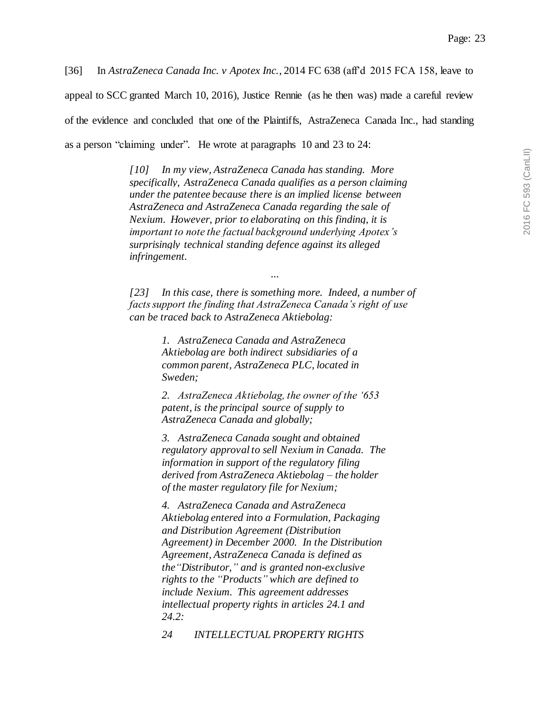[36] In *AstraZeneca Canada Inc. v Apotex Inc.*, 2014 FC 638 (aff'd 2015 FCA 158, leave to appeal to SCC granted March 10, 2016), Justice Rennie (as he then was) made a careful review of the evidence and concluded that one of the Plaintiffs, AstraZeneca Canada Inc., had standing as a person "claiming under". He wrote at paragraphs 10 and 23 to 24:

> *[10] In my view, AstraZeneca Canada has standing. More specifically, AstraZeneca Canada qualifies as a person claiming under the patentee because there is an implied license between AstraZeneca and AstraZeneca Canada regarding the sale of Nexium. However, prior to elaborating on this finding, it is important to note the factual background underlying Apotex's surprisingly technical standing defence against its alleged infringement.*

*[23] In this case, there is something more. Indeed, a number of facts support the finding that AstraZeneca Canada's right of use can be traced back to AstraZeneca Aktiebolag:*

*...*

*1. AstraZeneca Canada and AstraZeneca Aktiebolag are both indirect subsidiaries of a common parent, AstraZeneca PLC, located in Sweden;*

*2. AstraZeneca Aktiebolag, the owner of the '653 patent, is the principal source of supply to AstraZeneca Canada and globally;*

*3. AstraZeneca Canada sought and obtained regulatory approval to sell Nexium in Canada. The information in support of the regulatory filing derived from AstraZeneca Aktiebolag – the holder of the master regulatory file for Nexium;*

*4. AstraZeneca Canada and AstraZeneca Aktiebolag entered into a Formulation, Packaging and Distribution Agreement (Distribution Agreement) in December 2000. In the Distribution Agreement, AstraZeneca Canada is defined as the"Distributor," and is granted non-exclusive rights to the "Products" which are defined to include Nexium. This agreement addresses intellectual property rights in articles 24.1 and 24.2:*

*24 INTELLECTUAL PROPERTY RIGHTS*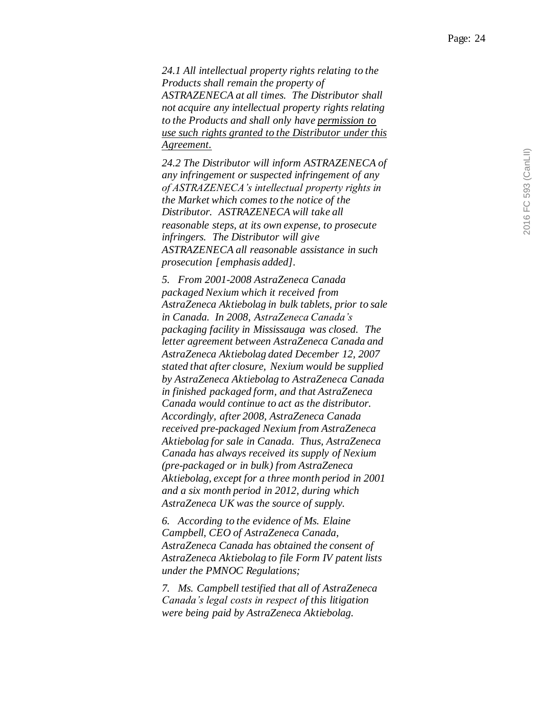*24.1 All intellectual property rights relating to the Products shall remain the property of ASTRAZENECA at all times. The Distributor shall not acquire any intellectual property rights relating to the Products and shall only have permission to use such rights granted to the Distributor under this Agreement.*

*24.2 The Distributor will inform ASTRAZENECA of any infringement or suspected infringement of any of ASTRAZENECA's intellectual property rights in the Market which comes to the notice of the Distributor. ASTRAZENECA will take all reasonable steps, at its own expense, to prosecute infringers. The Distributor will give ASTRAZENECA all reasonable assistance in such prosecution [emphasis added].*

*5. From 2001 -2008 AstraZeneca Canada packaged Nexium which it received from AstraZeneca Aktiebolag in bulk tablets, prior to sale in Canada. In 2008, AstraZeneca Canada's packaging facility in Mississauga was closed. The letter agreement between AstraZeneca Canada and AstraZeneca Aktiebolag dated December 12, 2007 stated that after closure, Nexium would be supplied by AstraZeneca Aktiebolag to AstraZeneca Canada in finished packaged form, and that AstraZeneca Canada would continue to act as the distributor. Accordingly, after 2008, AstraZeneca Canada received pre -packaged Nexium from AstraZeneca Aktiebolag for sale in Canada. Thus, AstraZeneca Canada has always received its supply of Nexium (pre -packaged or in bulk) from AstraZeneca Aktiebolag, except for a three month period in 2001 and a six month period in 2012, during which AstraZeneca UK was the source of supply.*

*6. According to the evidence of Ms. Elaine Campbell, CEO of AstraZeneca Canada, AstraZeneca Canada has obtained the consent of AstraZeneca Aktiebolag to file Form IV patent lists under the PMNOC Regulations;*

*7. Ms. Campbell testified that all of AstraZeneca Canada's legal costs in respect of this litigation were being paid by AstraZeneca Aktiebolag.*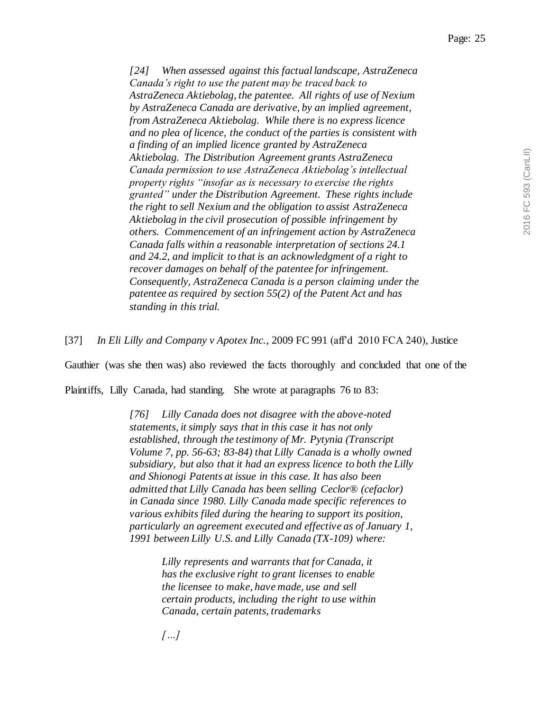*[24] When assessed against this factual landscape, AstraZeneca Canada's right to use the patent may be traced back to AstraZeneca Aktiebolag, the patentee. All rights of use of Nexium by AstraZeneca Canada are derivative, by an implied agreement, from AstraZeneca Aktiebolag. While there is no express licence and no plea of licence, the conduct of the parties is consistent with a finding of an implied licence granted by AstraZeneca Aktiebolag. The Distribution Agreement grants AstraZeneca Canada permission to use AstraZeneca Aktiebolag's intellectual property rights "insofar as is necessary to exercise the rights granted" under the Distribution Agreement. These rights include the right to sell Nexium and the obligation to assist AstraZeneca Aktiebolag in the civil prosecution of possible infringement by others. Commencement of an infringement action by AstraZeneca Canada falls within a reasonable interpretation of sections 24.1 and 24.2, and implicit to that is an acknowledgment of a right to recover damages on behalf of the patentee for infringement. Consequently, AstraZeneca Canada is a person claiming under the patentee as required by section 55(2) of the Patent Act and has standing in this trial.*

[37] *In Eli Lilly and Company v Apotex Inc.*, 2009 FC 991 (aff'd 2010 FCA 240), Justice

Gauthier (was she then was) also reviewed the facts thoroughly and concluded that one of the

Plaintiffs, Lilly Canada, had standing. She wrote at paragraphs 76 to 83:

*[76] Lilly Canada does not disagree with the above-noted statements, it simply says that in this case it has not only established, through the testimony of Mr. Pytynia (Transcript Volume 7, pp. 56-63; 83-84) that Lilly Canada is a wholly owned subsidiary, but also that it had an express licence to both the Lilly and Shionogi Patents at issue in this case. It has also been admitted that Lilly Canada has been selling Ceclor® (cefaclor) in Canada since 1980. Lilly Canada made specific references to various exhibits filed during the hearing to support its position, particularly an agreement executed and effective as of January 1, 1991 between Lilly U.S. and Lilly Canada (TX-109) where:*

> *Lilly represents and warrants that for Canada, it has the exclusive right to grant licenses to enable the licensee to make, have made, use and sell certain products, including the right to use within Canada, certain patents, trademarks*

*[…]*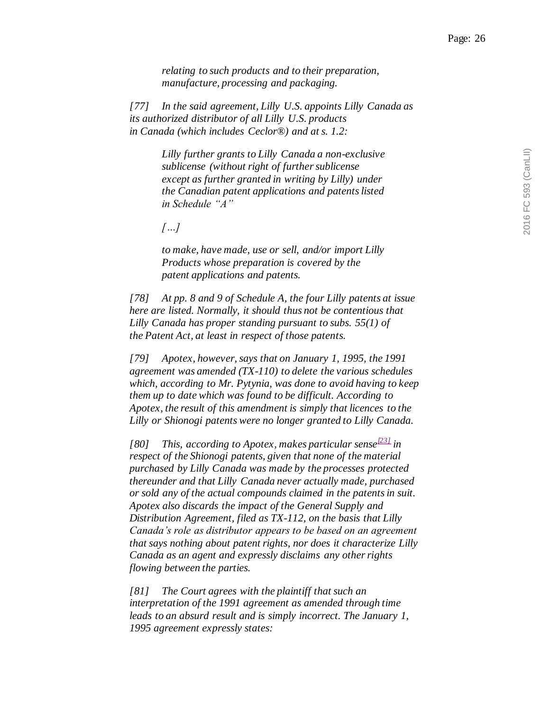*relating to such products and to their preparation, manufacture, processing and packaging.*

*[77] In the said agreement, Lilly U.S. appoints Lilly Canada as its authorized distributor of all Lilly U.S. products in Canada (which includes Ceclor®) and at s. 1.2:*

> *Lilly further grants to Lilly Canada a non-exclusive sublicense (without right of further sublicense except as further granted in writing by Lilly) under the Canadian patent applications and patents listed in Schedule "A"*

*[…]*

*to make, have made, use or sell, and/or import Lilly Products whose preparation is covered by the patent applications and patents.*

*[78] At pp. 8 and 9 of Schedule A, the four Lilly patents at issue here are listed. Normally, it should thus not be contentious that Lilly Canada has proper standing pursuant to subs. 55(1) of the Patent Act, at least in respect of those patents.*

*[79] Apotex, however, says that on January 1, 1995, the 1991 agreement was amended (TX-110) to delete the various schedules which, according to Mr. Pytynia, was done to avoid having to keep them up to date which was found to be difficult. According to Apotex, the result of this amendment is simply that licences to the Lilly or Shionogi patents were no longer granted to Lilly Canada.*

[80] *This, according to Apotex, makes particular sense*<sup>[23]</sup> *in respect of the Shionogi patents, given that none of the material purchased by Lilly Canada was made by the processes protected thereunder and that Lilly Canada never actually made, purchased or sold any of the actual compounds claimed in the patents in suit. Apotex also discards the impact of the General Supply and Distribution Agreement, filed as TX-112, on the basis that Lilly Canada's role as distributor appears to be based on an agreement that says nothing about patent rights, nor does it characterize Lilly Canada as an agent and expressly disclaims any other rights flowing between the parties.*

*[81] The Court agrees with the plaintiff that such an interpretation of the 1991 agreement as amended through time leads to an absurd result and is simply incorrect. The January 1, 1995 agreement expressly states:*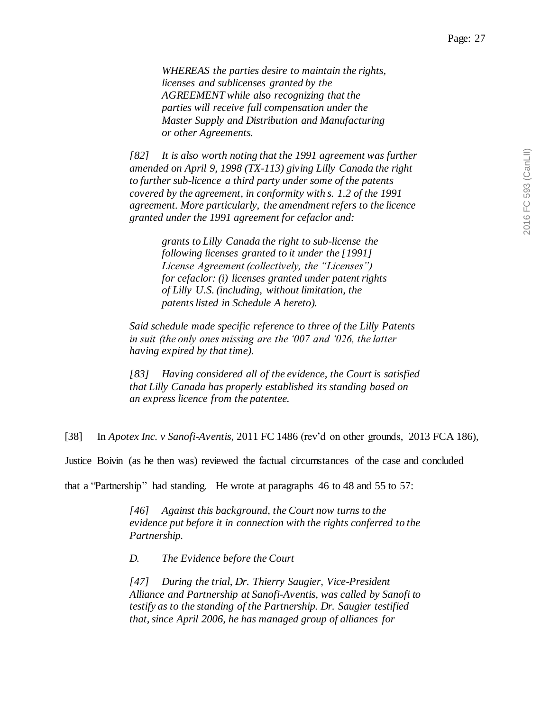*WHEREAS the parties desire to maintain the rights, licenses and sublicenses granted by the AGREEMENT while also recognizing that the parties will receive full compensation under the Master Supply and Distribution and Manufacturing or other Agreements.*

*[82] It is also worth noting that the 1991 agreement was further amended on April 9, 1998 (TX-113) giving Lilly Canada the right to further sub-licence a third party under some of the patents covered by the agreement, in conformity with s. 1.2 of the 1991 agreement. More particularly, the amendment refers to the licence granted under the 1991 agreement for cefaclor and:*

> *grants to Lilly Canada the right to sub-license the following licenses granted to it under the [1991] License Agreement (collectively, the "Licenses") for cefaclor: (i) licenses granted under patent rights of Lilly U.S. (including, without limitation, the patents listed in Schedule A hereto).*

*Said schedule made specific reference to three of the Lilly Patents in suit (the only ones missing are the '007 and '026, the latter having expired by that time).*

*[83] Having considered all of the evidence, the Court is satisfied that Lilly Canada has properly established its standing based on an express licence from the patentee.*

[38] In *Apotex Inc. v Sanofi-Aventis*, 2011 FC 1486 (rev'd on other grounds, 2013 FCA 186),

Justice Boivin (as he then was) reviewed the factual circumstances of the case and concluded

that a "Partnership" had standing. He wrote at paragraphs 46 to 48 and 55 to 57:

*[46] Against this background, the Court now turns to the evidence put before it in connection with the rights conferred to the Partnership.*

*D. The Evidence before the Court*

*[47] During the trial, Dr. Thierry Saugier, Vice-President Alliance and Partnership at Sanofi-Aventis, was called by Sanofi to testify as to the standing of the Partnership. Dr. Saugier testified that, since April 2006, he has managed group of alliances for*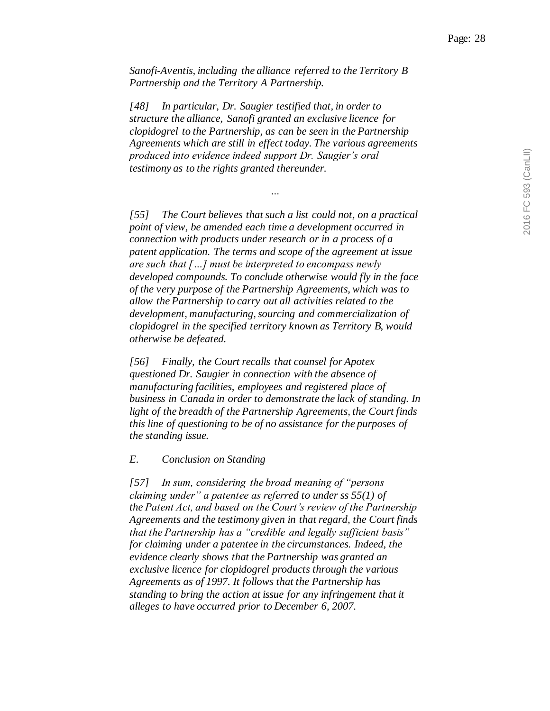*Sanofi-Aventis, including the alliance referred to the Territory B Partnership and the Territory A Partnership.*

*[48] In particular, Dr. Saugier testified that, in order to structure the alliance, Sanofi granted an exclusive licence for clopidogrel to the Partnership, as can be seen in the Partnership Agreements which are still in effect today. The various agreements produced into evidence indeed support Dr. Saugier's oral testimony as to the rights granted thereunder.*

*…*

*[55] The Court believes that such a list could not, on a practical point of view, be amended each time a development occurred in connection with products under research or in a process of a patent application. The terms and scope of the agreement at issue are such that […] must be interpreted to encompass newly developed compounds. To conclude otherwise would fly in the face of the very purpose of the Partnership Agreements, which was to allow the Partnership to carry out all activities related to the development, manufacturing, sourcing and commercialization of clopidogrel in the specified territory known as Territory B, would otherwise be defeated.*

*[56] Finally, the Court recalls that counsel for Apotex questioned Dr. Saugier in connection with the absence of manufacturing facilities, employees and registered place of business in Canada in order to demonstrate the lack of standing. In light of the breadth of the Partnership Agreements, the Court finds this line of questioning to be of no assistance for the purposes of the standing issue.*

## *E. Conclusion on Standing*

*[57] In sum, considering the broad meaning of "persons claiming under" a patentee as referred to under ss 55(1) of the Patent Act, and based on the Court's review of the Partnership Agreements and the testimony given in that regard, the Court finds that the Partnership has a "credible and legally sufficient basis" for claiming under a patentee in the circumstances. Indeed, the evidence clearly shows that the Partnership was granted an exclusive licence for clopidogrel products through the various Agreements as of 1997. It follows that the Partnership has standing to bring the action at issue for any infringement that it alleges to have occurred prior to December 6, 2007.*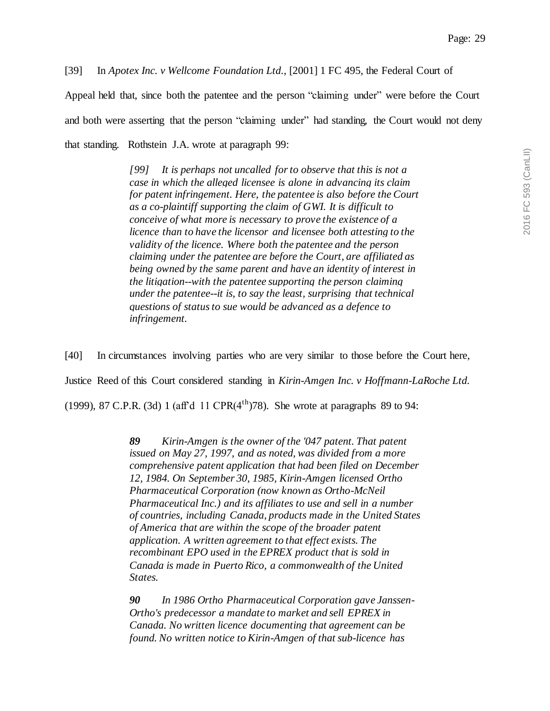[39] In *Apotex Inc. v Wellcome Foundation Ltd.*, [2001] 1 FC 495, the Federal Court of

Appeal held that, since both the patentee and the person "claiming under" were before the Court and both were asserting that the person "claiming under" had standing, the Court would not deny that standing. Rothstein J.A. wrote at paragraph 99:

> *[99] It is perhaps not uncalled for to observe that this is not a case in which the alleged licensee is alone in advancing its claim for patent infringement. Here, the patentee is also before the Court as a co-plaintiff supporting the claim of GWI. It is difficult to conceive of what more is necessary to prove the existence of a licence than to have the licensor and licensee both attesting to the validity of the licence. Where both the patentee and the person claiming under the patentee are before the Court, are affiliated as being owned by the same parent and have an identity of interest in the litigation--with the patentee supporting the person claiming under the patentee--it is, to say the least, surprising that technical questions of status to sue would be advanced as a defence to infringement.*

[40] In circumstances involving parties who are very similar to those before the Court here, Justice Reed of this Court considered standing in *Kirin-Amgen Inc. v Hoffmann-LaRoche Ltd.* (1999), 87 C.P.R. (3d) 1 (aff'd 11 CPR( $4<sup>th</sup>$ )78). She wrote at paragraphs 89 to 94:

> *89 Kirin-Amgen is the owner of the '047 patent. That patent issued on May 27, 1997, and as noted, was divided from a more comprehensive patent application that had been filed on December 12, 1984. On September 30, 1985, Kirin-Amgen licensed Ortho Pharmaceutical Corporation (now known as Ortho-McNeil Pharmaceutical Inc.) and its affiliates to use and sell in a number of countries, including Canada, products made in the United States of America that are within the scope of the broader patent application. A written agreement to that effect exists. The recombinant EPO used in the EPREX product that is sold in Canada is made in Puerto Rico, a commonwealth of the United States.*

*90 In 1986 Ortho Pharmaceutical Corporation gave Janssen-Ortho's predecessor a mandate to market and sell EPREX in Canada. No written licence documenting that agreement can be found. No written notice to Kirin-Amgen of that sub-licence has*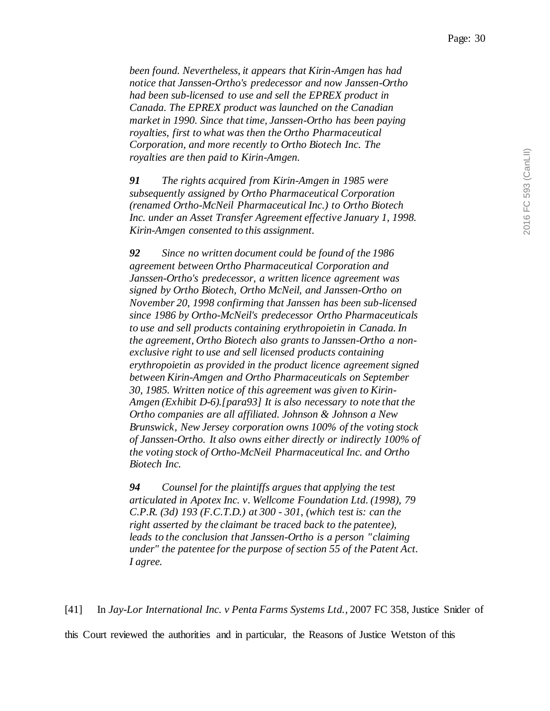*been found. Nevertheless, it appears that Kirin-Amgen has had notice that Janssen-Ortho's predecessor and now Janssen-Ortho had been sub-licensed to use and sell the EPREX product in Canada. The EPREX product was launched on the Canadian market in 1990. Since that time, Janssen-Ortho has been paying royalties, first to what was then the Ortho Pharmaceutical Corporation, and more recently to Ortho Biotech Inc. The royalties are then paid to Kirin-Amgen.*

*91 The rights acquired from Kirin-Amgen in 1985 were subsequently assigned by Ortho Pharmaceutical Corporation (renamed Ortho-McNeil Pharmaceutical Inc.) to Ortho Biotech Inc. under an Asset Transfer Agreement effective January 1, 1998. Kirin-Amgen consented to this assignment.*

*92 Since no written document could be found of the 1986 agreement between Ortho Pharmaceutical Corporation and Janssen-Ortho's predecessor, a written licence agreement was signed by Ortho Biotech, Ortho McNeil, and Janssen-Ortho on November 20, 1998 confirming that Janssen has been sub-licensed since 1986 by Ortho-McNeil's predecessor Ortho Pharmaceuticals to use and sell products containing erythropoietin in Canada. In the agreement, Ortho Biotech also grants to Janssen-Ortho a nonexclusive right to use and sell licensed products containing erythropoietin as provided in the product licence agreement signed between Kirin-Amgen and Ortho Pharmaceuticals on September 30, 1985. Written notice of this agreement was given to Kirin-Amgen (Exhibit D-6).[para93] It is also necessary to note that the Ortho companies are all affiliated. Johnson & Johnson a New Brunswick, New Jersey corporation owns 100% of the voting stock of Janssen-Ortho. It also owns either directly or indirectly 100% of the voting stock of Ortho-McNeil Pharmaceutical Inc. and Ortho Biotech Inc.*

*94 Counsel for the plaintiffs argues that applying the test articulated in Apotex Inc. v. Wellcome Foundation Ltd. (1998), 79 C.P.R. (3d) 193 (F.C.T.D.) at 300 - 301, (which test is: can the right asserted by the claimant be traced back to the patentee), leads to the conclusion that Janssen-Ortho is a person "claiming under" the patentee for the purpose of section 55 of the Patent Act. I agree.*

[41] In *Jay-Lor International Inc. v Penta Farms Systems Ltd.*, 2007 FC 358, Justice Snider of this Court reviewed the authorities and in particular, the Reasons of Justice Wetston of this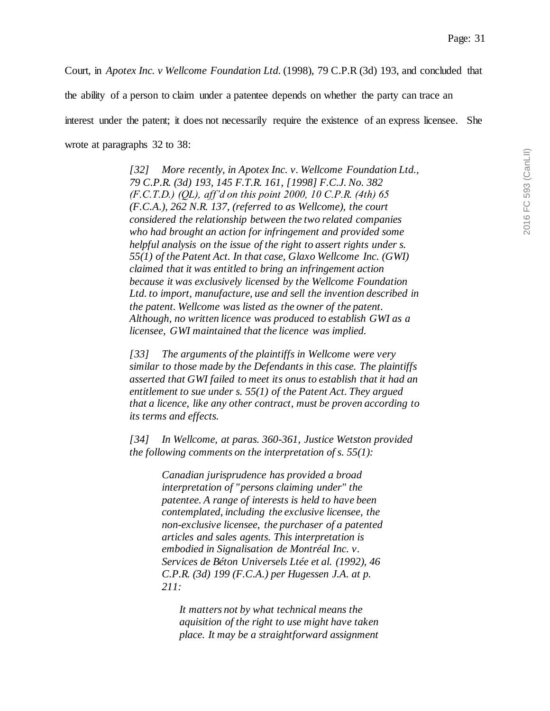Court, in *Apotex Inc. v Wellcome Foundation Ltd.* (1998), 79 C.P.R (3d) 193, and concluded that the ability of a person to claim under a patentee depends on whether the party can trace an interest under the patent; it does not necessarily require the existence of an express licensee. She wrote at paragraphs 32 to 38:

> *[32] More recently, in Apotex Inc. v. Wellcome Foundation Ltd., 79 C.P.R. (3d) 193, 145 F.T.R. 161, [1998] F.C.J. No. 382 (F.C.T.D.) (QL), aff'd on this point 2000, 10 C.P.R. (4th) 65 (F.C.A.), 262 N.R. 137, (referred to as Wellcome), the court considered the relationship between the two related companies who had brought an action for infringement and provided some helpful analysis on the issue of the right to assert rights under s. 55(1) of the Patent Act. In that case, Glaxo Wellcome Inc. (GWI) claimed that it was entitled to bring an infringement action because it was exclusively licensed by the Wellcome Foundation Ltd. to import, manufacture, use and sell the invention described in the patent. Wellcome was listed as the owner of the patent. Although, no written licence was produced to establish GWI as a licensee, GWI maintained that the licence was implied.*

> *[33] The arguments of the plaintiffs in Wellcome were very similar to those made by the Defendants in this case. The plaintiffs asserted that GWI failed to meet its onus to establish that it had an entitlement to sue under s. 55(1) of the Patent Act. They argued that a licence, like any other contract, must be proven according to its terms and effects.*

*[34] In Wellcome, at paras. 360-361, Justice Wetston provided the following comments on the interpretation of s. 55(1):*

> *Canadian jurisprudence has provided a broad interpretation of "persons claiming under" the patentee. A range of interests is held to have been contemplated, including the exclusive licensee, the non-exclusive licensee, the purchaser of a patented articles and sales agents. This interpretation is embodied in Signalisation de Montréal Inc. v. Services de Béton Universels Ltée et al. (1992), 46 C.P.R. (3d) 199 (F.C.A.) per Hugessen J.A. at p. 211:*

*It matters not by what technical means the aquisition of the right to use might have taken place. It may be a straightforward assignment*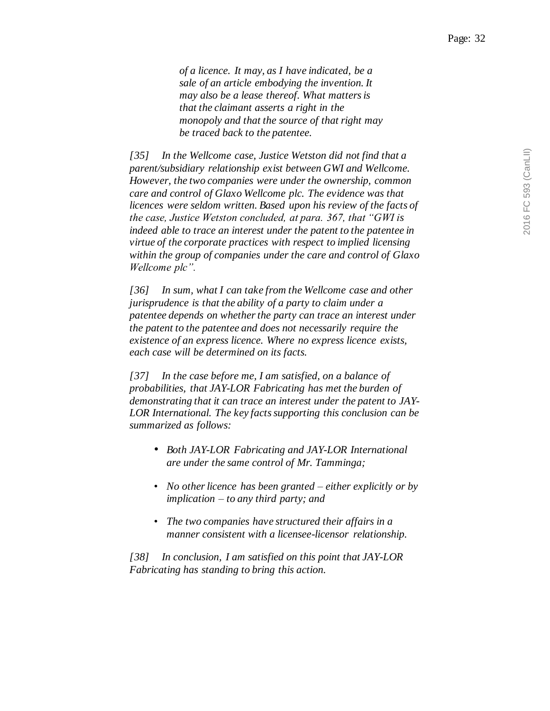*of a licence. It may, as I have indicated, be a sale of an article embodying the invention. It may also be a lease thereof. What matters is that the claimant asserts a right in the monopoly and that the source of that right may be traced back to the patentee.*

*[35] In the Wellcome case, Justice Wetston did not find that a parent/subsidiary relationship exist between GWI and Wellcome. However, the two companies were under the ownership, common care and control of Glaxo Wellcome plc. The evidence was that licences were seldom written. Based upon his review of the facts of the case, Justice Wetston concluded, at para. 367, that "GWI is indeed able to trace an interest under the patent to the patentee in virtue of the corporate practices with respect to implied licensing within the group of companies under the care and control of Glaxo Wellcome plc".*

*[36] In sum, what I can take from the Wellcome case and other jurisprudence is that the ability of a party to claim under a patentee depends on whether the party can trace an interest under the patent to the patentee and does not necessarily require the existence of an express licence. Where no express licence exists, each case will be determined on its facts.*

*[37] In the case before me, I am satisfied, on a balance of probabilities, that JAY-LOR Fabricating has met the burden of demonstrating that it can trace an interest under the patent to JAY-LOR International. The key facts supporting this conclusion can be summarized as follows:*

- *• Both JAY-LOR Fabricating and JAY-LOR International are under the same control of Mr. Tamminga;*
- *• No other licence has been granted – either explicitly or by implication – to any third party; and*
- *• The two companies have structured their affairs in a manner consistent with a licensee-licensor relationship.*

*[38] In conclusion, I am satisfied on this point that JAY-LOR Fabricating has standing to bring this action.*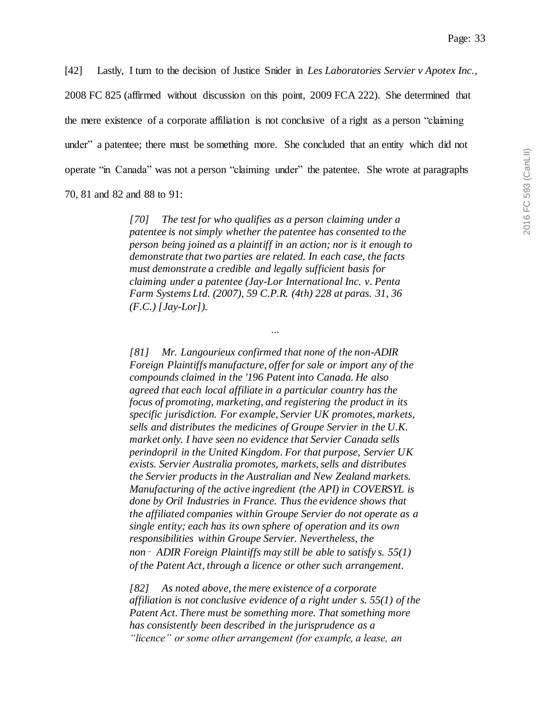[42] Lastly, I turn to the decision of Justice Snider in *Les Laboratories Servier v Apotex Inc.*, 2008 FC 825 (affirmed without discussion on this point, 2009 FCA 222). She determined that the mere existence of a corporate affiliation is not conclusive of a right as a person "claiming under" a patentee; there must be something more. She concluded that an entity which did not operate "in Canada" was not a person "claiming under" the patentee. She wrote at paragraphs 70, 81 and 82 and 88 to 91:

> *[70] The test for who qualifies as a person claiming under a patentee is not simply whether the patentee has consented to the person being joined as a plaintiff in an action; nor is it enough to demonstrate that two parties are related. In each case, the facts must demonstrate a credible and legally sufficient basis for claiming under a patentee (Jay-Lor International Inc. v. Penta Farm Systems Ltd. (2007), 59 C.P.R. (4th) 228 at paras. 31, 36 (F.C.) [Jay-Lor]).*

> > *…*

*[81] Mr. Langourieux confirmed that none of the non-ADIR Foreign Plaintiffs manufacture, offer for sale or import any of the compounds claimed in the '196 Patent into Canada. He also agreed that each local affiliate in a particular country has the focus of promoting, marketing, and registering the product in its specific jurisdiction. For example, Servier UK promotes, markets, sells and distributes the medicines of Groupe Servier in the U.K. market only. I have seen no evidence that Servier Canada sells perindopril in the United Kingdom. For that purpose, Servier UK exists. Servier Australia promotes, markets, sells and distributes the Servier products in the Australian and New Zealand markets. Manufacturing of the active ingredient (the API) in COVERSYL is done by Oril Industries in France. Thus the evidence shows that the affiliated companies within Groupe Servier do not operate as a single entity; each has its own sphere of operation and its own responsibilities within Groupe Servier. Nevertheless, the non*‑ *ADIR Foreign Plaintiffs may still be able to satisfy s. 55(1) of the Patent Act, through a licence or other such arrangement.*

*[82] As noted above, the mere existence of a corporate affiliation is not conclusive evidence of a right under s. 55(1) of the Patent Act. There must be something more. That something more has consistently been described in the jurisprudence as a "licence" or some other arrangement (for example, a lease, an*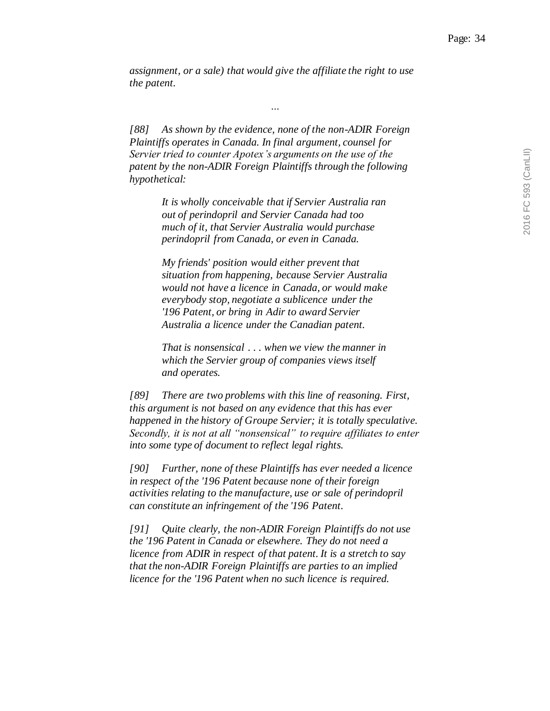*assignment, or a sale) that would give the affiliate the right to use the patent.*

*…*

*[88] As shown by the evidence, none of the non-ADIR Foreign Plaintiffs operates in Canada. In final argument, counsel for Servier tried to counter Apotex's arguments on the use of the patent by the non-ADIR Foreign Plaintiffs through the following hypothetical:*

> *It is wholly conceivable that if Servier Australia ran out of perindopril and Servier Canada had too much of it, that Servier Australia would purchase perindopril from Canada, or even in Canada.*

> *My friends' position would either prevent that situation from happening, because Servier Australia would not have a licence in Canada, or would make everybody stop, negotiate a sublicence under the '196 Patent, or bring in Adir to award Servier Australia a licence under the Canadian patent.*

> *That is nonsensical . . . when we view the manner in which the Servier group of companies views itself and operates.*

*[89] There are two problems with this line of reasoning. First, this argument is not based on any evidence that this has ever happened in the history of Groupe Servier; it is totally speculative. Secondly, it is not at all "nonsensical" to require affiliates to enter into some type of document to reflect legal rights.*

*[90] Further, none of these Plaintiffs has ever needed a licence in respect of the '196 Patent because none of their foreign activities relating to the manufacture, use or sale of perindopril can constitute an infringement of the '196 Patent.* 

*[91] Quite clearly, the non-ADIR Foreign Plaintiffs do not use the '196 Patent in Canada or elsewhere. They do not need a licence from ADIR in respect of that patent. It is a stretch to say that the non-ADIR Foreign Plaintiffs are parties to an implied licence for the '196 Patent when no such licence is required.*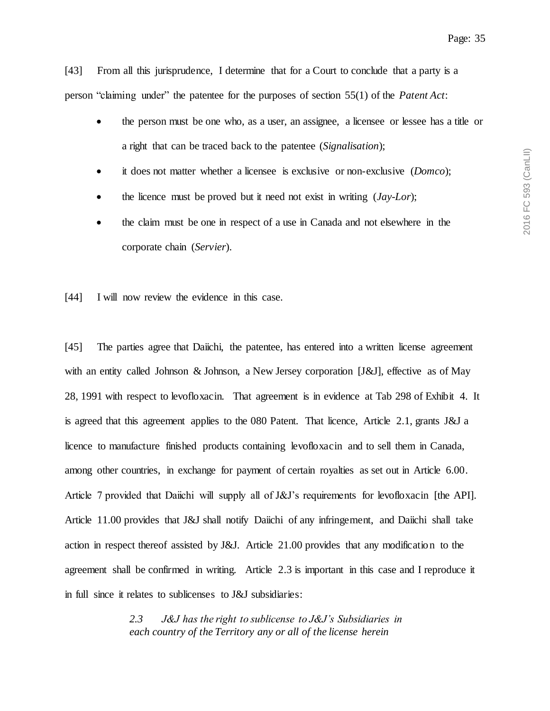[43] From all this jurisprudence, I determine that for a Court to conclude that a party is a person "claiming under" the patentee for the purposes of section 55(1) of the *Patent Act*:

- the person must be one who, as a user, an assignee, a licensee or lessee has a title or a right that can be traced back to the patentee (*Signalisation*);
- it does not matter whether a licensee is exclusive or non-exclusive (*Domco*);
- the licence must be proved but it need not exist in writing (*Jay-Lor*);
- the claim must be one in respect of a use in Canada and not elsewhere in the corporate chain (*Servier*).
- [44] I will now review the evidence in this case.

[45] The parties agree that Daiichi, the patentee, has entered into a written license agreement with an entity called Johnson & Johnson, a New Jersey corporation [J&J], effective as of May 28, 1991 with respect to levofloxacin. That agreement is in evidence at Tab 298 of Exhibit 4. It is agreed that this agreement applies to the 080 Patent. That licence, Article 2.1, grants J&J a licence to manufacture finished products containing levofloxacin and to sell them in Canada, among other countries, in exchange for payment of certain royalties as set out in Article 6.00. Article 7 provided that Daiichi will supply all of J&J's requirements for levofloxacin [the API]. Article 11.00 provides that J&J shall notify Daiichi of any infringement, and Daiichi shall take action in respect thereof assisted by J&J. Article 21.00 provides that any modification to the agreement shall be confirmed in writing. Article 2.3 is important in this case and I reproduce it in full since it relates to sublicenses to J&J subsidiaries:

> *2.3 J&J has the right to sublicense to J&J's Subsidiaries in each country of the Territory any or all of the license herein*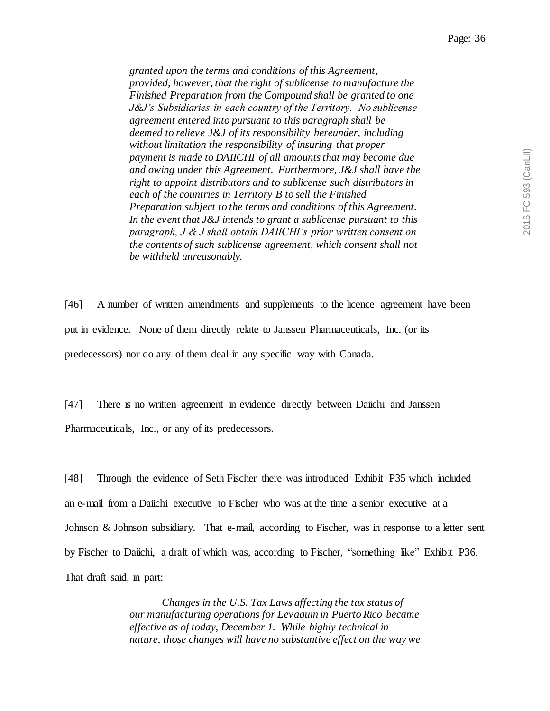*granted upon the terms and conditions of this Agreement, provided, however, that the right of sublicense to manufacture the Finished Preparation from the Compound shall be granted to one J&J's Subsidiaries in each country of the Territory. No sublicense agreement entered into pursuant to this paragraph shall be deemed to relieve J&J of its responsibility hereunder, including without limitation the responsibility of insuring that proper payment is made to DAIICHI of all amounts that may become due and owing under this Agreement. Furthermore, J&J shall have the right to appoint distributors and to sublicense such distributors in each of the countries in Territory B to sell the Finished Preparation subject to the terms and conditions of this Agreement. In the event that J&J intends to grant a sublicense pursuant to this paragraph, J & J shall obtain DAIICHI's prior written consent on the contents of such sublicense agreement, which consent shall not be withheld unreasonably.*

[46] A number of written amendments and supplements to the licence agreement have been put in evidence. None of them directly relate to Janssen Pharmaceuticals, Inc. (or its predecessors) nor do any of them deal in any specific way with Canada.

[47] There is no written agreement in evidence directly between Daiichi and Janssen Pharmaceuticals, Inc., or any of its predecessors.

[48] Through the evidence of Seth Fischer there was introduced Exhibit P35 which included an e-mail from a Daiichi executive to Fischer who was at the time a senior executive at a Johnson & Johnson subsidiary. That e-mail, according to Fischer, was in response to a letter sent by Fischer to Daiichi, a draft of which was, according to Fischer, "something like" Exhibit P36. That draft said, in part:

> *Changes in the U.S. Tax Laws affecting the tax status of our manufacturing operations for Levaquin in Puerto Rico became effective as of today, December 1. While highly technical in nature, those changes will have no substantive effect on the way we*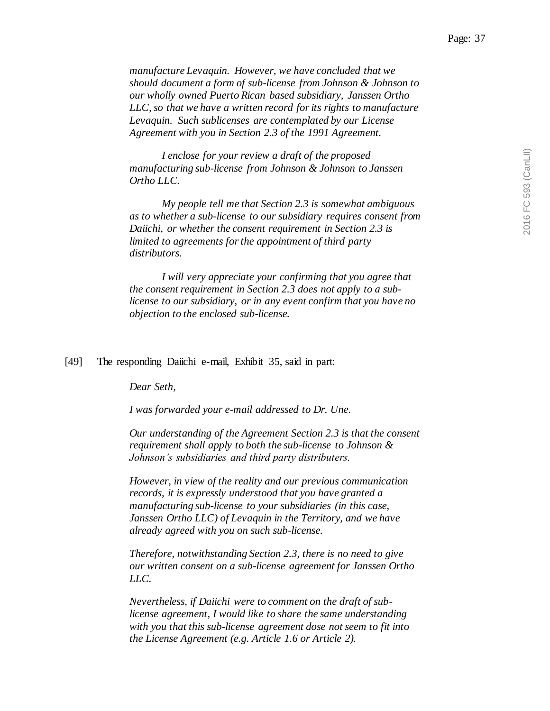*manufacture Levaquin. However, we have concluded that we should document a form of sub-license from Johnson & Johnson to our wholly owned Puerto Rican based subsidiary, Janssen Ortho LLC, so that we have a written record for its rights to manufacture Levaquin. Such sublicenses are contemplated by our License Agreement with you in Section 2.3 of the 1991 Agreement.*

*I enclose for your review a draft of the proposed manufacturing sub-license from Johnson & Johnson to Janssen Ortho LLC.*

*My people tell me that Section 2.3 is somewhat ambiguous as to whether a sub-license to our subsidiary requires consent from Daiichi, or whether the consent requirement in Section 2.3 is limited to agreements for the appointment of third party distributors.*

*I will very appreciate your confirming that you agree that the consent requirement in Section 2.3 does not apply to a sublicense to our subsidiary, or in any event confirm that you have no objection to the enclosed sub-license.*

[49] The responding Daiichi e-mail, Exhibit 35, said in part:

*Dear Seth,*

*I was forwarded your e-mail addressed to Dr. Une.*

*Our understanding of the Agreement Section 2.3 is that the consent requirement shall apply to both the sub-license to Johnson & Johnson's subsidiaries and third party distributers.*

*However, in view of the reality and our previous communication records, it is expressly understood that you have granted a manufacturing sub-license to your subsidiaries (in this case, Janssen Ortho LLC) of Levaquin in the Territory, and we have already agreed with you on such sub-license.*

*Therefore, notwithstanding Section 2.3, there is no need to give our written consent on a sub-license agreement for Janssen Ortho LLC.*

*Nevertheless, if Daiichi were to comment on the draft of sublicense agreement, I would like to share the same understanding with you that this sub-license agreement dose not seem to fit into the License Agreement (e.g. Article 1.6 or Article 2).*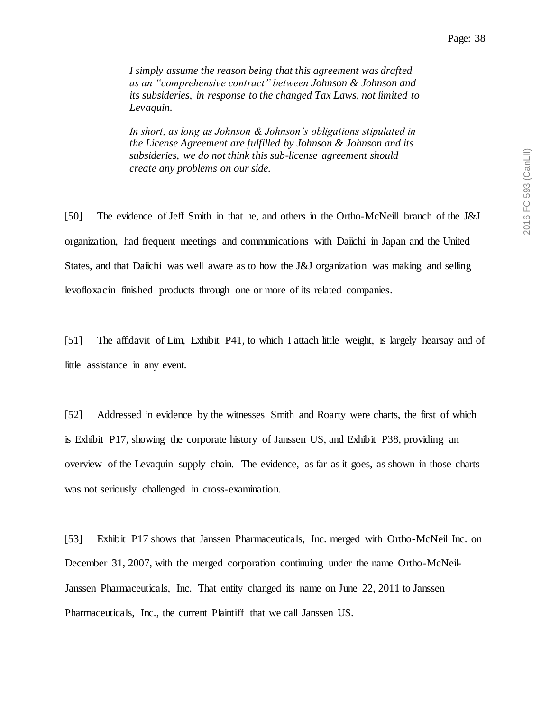*I simply assume the reason being that this agreement was drafted as an "comprehensive contract" between Johnson & Johnson and its subsideries, in response to the changed Tax Laws, not limited to Levaquin.*

*In short, as long as Johnson & Johnson's obligations stipulated in the License Agreement are fulfilled by Johnson & Johnson and its subsideries, we do not think this sub-license agreement should create any problems on our side.*

[50] The evidence of Jeff Smith in that he, and others in the Ortho-McNeill branch of the J&J organization, had frequent meetings and communications with Daiichi in Japan and the United States, and that Daiichi was well aware as to how the J&J organization was making and selling levofloxacin finished products through one or more of its related companies.

[51] The affidavit of Lim, Exhibit P41, to which I attach little weight, is largely hearsay and of little assistance in any event.

[52] Addressed in evidence by the witnesses Smith and Roarty were charts, the first of which is Exhibit P17, showing the corporate history of Janssen US, and Exhibit P38, providing an overview of the Levaquin supply chain. The evidence, as far as it goes, as shown in those charts was not seriously challenged in cross-examination.

[53] Exhibit P17 shows that Janssen Pharmaceuticals, Inc. merged with Ortho-McNeil Inc. on December 31, 2007, with the merged corporation continuing under the name Ortho-McNeil-Janssen Pharmaceuticals, Inc. That entity changed its name on June 22, 2011 to Janssen Pharmaceuticals, Inc., the current Plaintiff that we call Janssen US.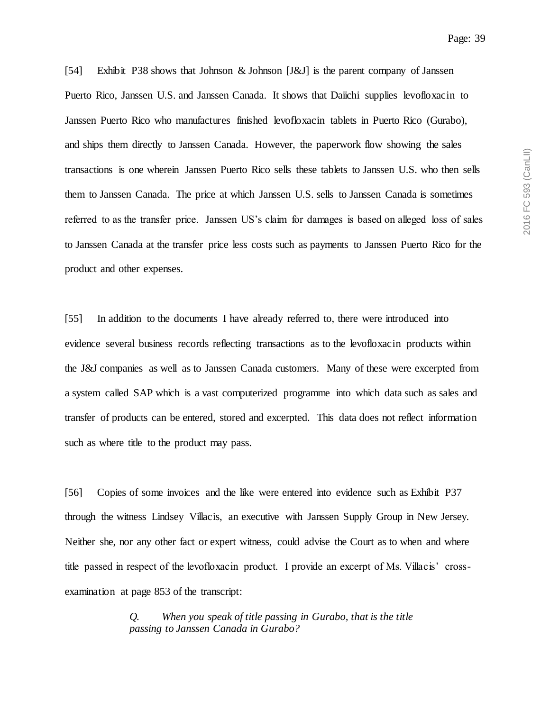[54] Exhibit P38 shows that Johnson & Johnson [J&J] is the parent company of Janssen Puerto Rico, Janssen U.S. and Janssen Canada. It shows that Daiichi supplies levofloxacin to Janssen Puerto Rico who manufactures finished levofloxacin tablets in Puerto Rico (Gurabo), and ships them directly to Janssen Canada. However, the paperwork flow showing the sales transactions is one wherein Janssen Puerto Rico sells these tablets to Janssen U.S. who then sells them to Janssen Canada. The price at which Janssen U.S. sells to Janssen Canada is sometimes referred to as the transfer price. Janssen US's claim for damages is based on alleged loss of sales to Janssen Canada at the transfer price less costs such as payments to Janssen Puerto Rico for the product and other expenses.

[55] In addition to the documents I have already referred to, there were introduced into evidence several business records reflecting transactions as to the levofloxacin products within the J&J companies as well as to Janssen Canada customers. Many of these were excerpted from a system called SAP which is a vast computerized programme into which data such as sales and transfer of products can be entered, stored and excerpted. This data does not reflect information such as where title to the product may pass.

[56] Copies of some invoices and the like were entered into evidence such as Exhibit P37 through the witness Lindsey Villacis, an executive with Janssen Supply Group in New Jersey. Neither she, nor any other fact or expert witness, could advise the Court as to when and where title passed in respect of the levofloxacin product. I provide an excerpt of Ms. Villacis' crossexamination at page 853 of the transcript:

> *Q. When you speak of title passing in Gurabo, that is the title passing to Janssen Canada in Gurabo?*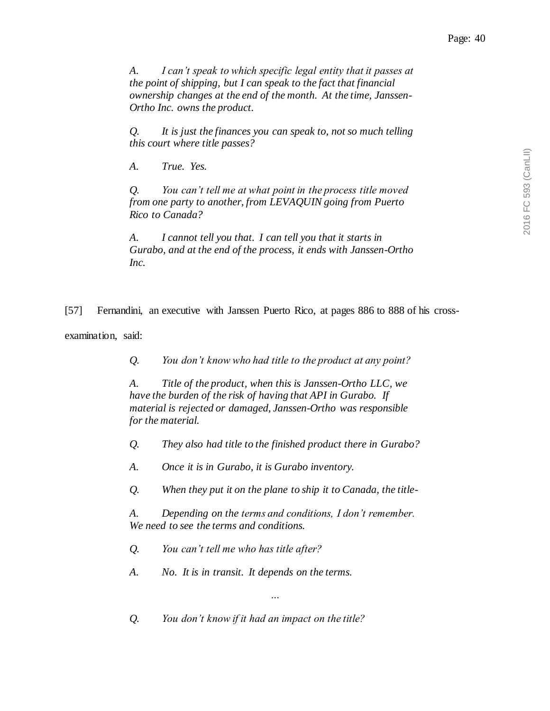*A. I can't speak to which specific legal entity that it passes at the point of shipping, but I can speak to the fact that financial ownership changes at the end of the month. At the time, Janssen-Ortho Inc. owns the product.*

*Q. It is just the finances you can speak to, not so much telling this court where title passes?*

*A. True. Yes.*

*Q. You can't tell me at what point in the process title moved from one party to another, from LEVAQUIN going from Puerto Rico to Canada?*

*A. I cannot tell you that. I can tell you that it starts in Gurabo, and at the end of the process, it ends with Janssen-Ortho Inc.*

[57] Fernandini, an executive with Janssen Puerto Rico, at pages 886 to 888 of his crossexamination, said:

*Q. You don't know who had title to the product at any point?*

*A. Title of the product, when this is Janssen-Ortho LLC, we have the burden of the risk of having that API in Gurabo. If material is rejected or damaged, Janssen-Ortho was responsible for the material.*

*Q. They also had title to the finished product there in Gurabo?*

*A. Once it is in Gurabo, it is Gurabo inventory.*

*Q. When they put it on the plane to ship it to Canada, the title-*

*A. Depending on the terms and conditions, I don't remember. We need to see the terms and conditions.*

*Q. You can't tell me who has title after?*

*A. No. It is in transit. It depends on the terms.*

*…*

*Q. You don't know if it had an impact on the title?*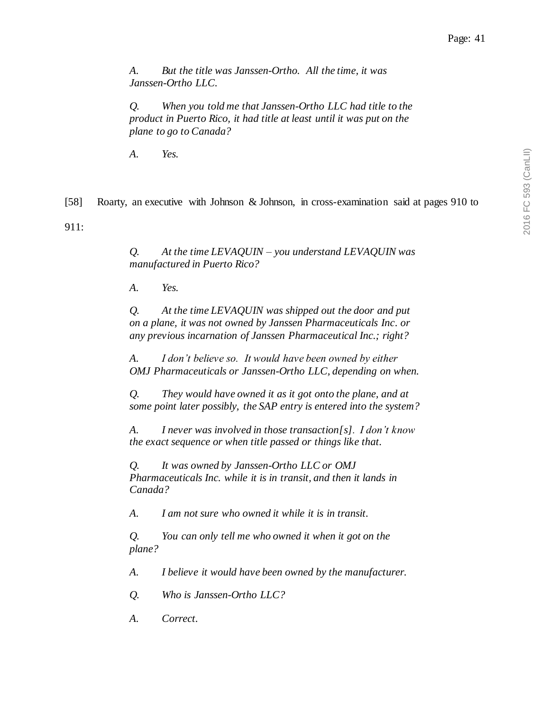*A. But the title was Janssen-Ortho. All the time, it was Janssen-Ortho LLC.*

*Q. When you told me that Janssen-Ortho LLC had title to the product in Puerto Rico, it had title at least until it was put on the plane to go to Canada?*

*A. Yes.*

[58] Roarty, an executive with Johnson & Johnson, in cross-examination said at pages 910 to

911:

*Q. At the time LEVAQUIN – you understand LEVAQUIN was manufactured in Puerto Rico?*

*A. Yes.*

*Q. At the time LEVAQUIN was shipped out the door and put on a plane, it was not owned by Janssen Pharmaceuticals Inc. or any previous incarnation of Janssen Pharmaceutical Inc.; right?*

*A. I don't believe so. It would have been owned by either OMJ Pharmaceuticals or Janssen-Ortho LLC, depending on when.*

*Q. They would have owned it as it got onto the plane, and at some point later possibly, the SAP entry is entered into the system?*

*A. I never was involved in those transaction[s]. I don't know the exact sequence or when title passed or things like that.*

*Q. It was owned by Janssen-Ortho LLC or OMJ Pharmaceuticals Inc. while it is in transit, and then it lands in Canada?*

*A. I am not sure who owned it while it is in transit.*

*Q. You can only tell me who owned it when it got on the plane?*

*A. I believe it would have been owned by the manufacturer.*

*Q. Who is Janssen-Ortho LLC?*

*A. Correct.*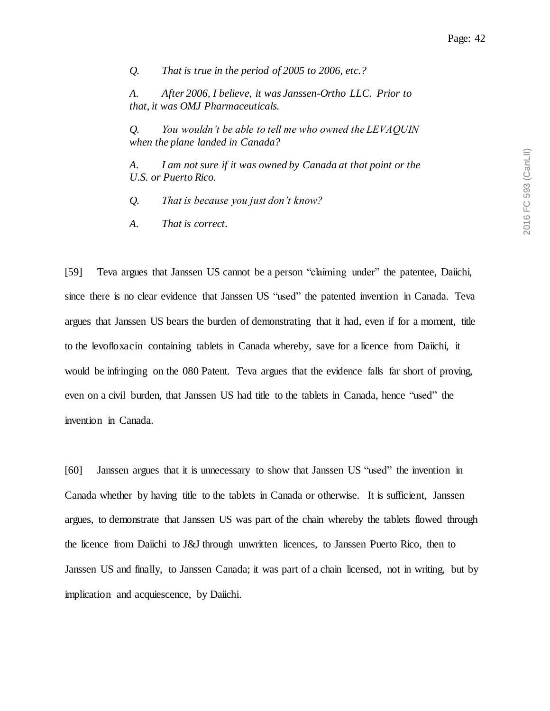*Q. That is true in the period of 2005 to 2006, etc.?*

*A. After 2006, I believe, it was Janssen-Ortho LLC. Prior to that, it was OMJ Pharmaceuticals.*

*Q. You wouldn't be able to tell me who owned the LEVAQUIN when the plane landed in Canada?*

*A. I am not sure if it was owned by Canada at that point or the U.S. or Puerto Rico.*

- *Q. That is because you just don't know?*
- *A. That is correct.*

[59] Teva argues that Janssen US cannot be a person "claiming under" the patentee, Daiichi, since there is no clear evidence that Janssen US "used" the patented invention in Canada. Teva argues that Janssen US bears the burden of demonstrating that it had, even if for a moment, title to the levofloxacin containing tablets in Canada whereby, save for a licence from Daiichi, it would be infringing on the 080 Patent. Teva argues that the evidence falls far short of proving, even on a civil burden, that Janssen US had title to the tablets in Canada, hence "used" the invention in Canada.

[60] Janssen argues that it is unnecessary to show that Janssen US "used" the invention in Canada whether by having title to the tablets in Canada or otherwise. It is sufficient, Janssen argues, to demonstrate that Janssen US was part of the chain whereby the tablets flowed through the licence from Daiichi to J&J through unwritten licences, to Janssen Puerto Rico, then to Janssen US and finally, to Janssen Canada; it was part of a chain licensed, not in writing, but by implication and acquiescence, by Daiichi.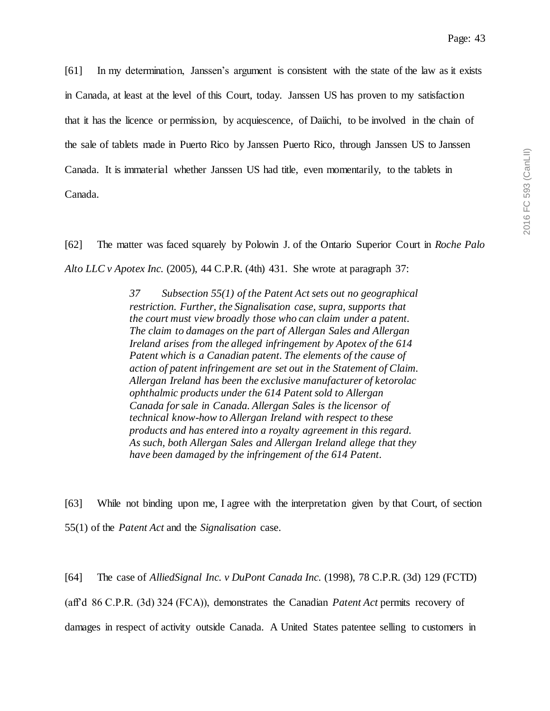[61] In my determination, Janssen's argument is consistent with the state of the law as it exists in Canada, at least at the level of this Court, today. Janssen US has proven to my satisfaction that it has the licence or permission, by acquiescence, of Daiichi, to be involved in the chain of the sale of tablets made in Puerto Rico by Janssen Puerto Rico, through Janssen US to Janssen Canada. It is immaterial whether Janssen US had title, even momentarily, to the tablets in Canada.

[62] The matter was faced squarely by Polowin J. of the Ontario Superior Court in *Roche Palo Alto LLC v Apotex Inc.* (2005), 44 C.P.R. (4th) 431. She wrote at paragraph 37:

> *37 Subsection 55(1) of the Patent Act sets out no geographical restriction. Further, the Signalisation case, supra, supports that the court must view broadly those who can claim under a patent. The claim to damages on the part of Allergan Sales and Allergan Ireland arises from the alleged infringement by Apotex of the 614 Patent which is a Canadian patent. The elements of the cause of action of patent infringement are set out in the Statement of Claim. Allergan Ireland has been the exclusive manufacturer of ketorolac ophthalmic products under the 614 Patent sold to Allergan Canada for sale in Canada. Allergan Sales is the licensor of technical know-how to Allergan Ireland with respect to these products and has entered into a royalty agreement in this regard. As such, both Allergan Sales and Allergan Ireland allege that they have been damaged by the infringement of the 614 Patent.*

[63] While not binding upon me, I agree with the interpretation given by that Court, of section 55(1) of the *Patent Act* and the *Signalisation* case.

[64] The case of *AlliedSignal Inc. v DuPont Canada Inc.* (1998), 78 C.P.R. (3d) 129 (FCTD)

(aff'd 86 C.P.R. (3d) 324 (FCA)), demonstrates the Canadian *Patent Act* permits recovery of

damages in respect of activity outside Canada. A United States patentee selling to customers in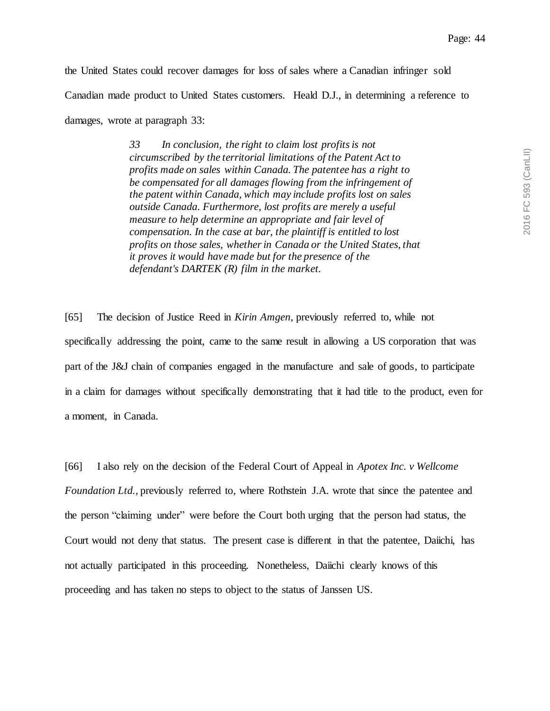the United States could recover damages for loss of sales where a Canadian infringer sold Canadian made product to United States customers. Heald D.J., in determining a reference to damages, wrote at paragraph 33:

> *33 In conclusion, the right to claim lost profits is not circumscribed by the territorial limitations of the Patent Act to profits made on sales within Canada. The patentee has a right to be compensated for all damages flowing from the infringement of the patent within Canada, which may include profits lost on sales outside Canada. Furthermore, lost profits are merely a useful measure to help determine an appropriate and fair level of compensation. In the case at bar, the plaintiff is entitled to lost profits on those sales, whether in Canada or the United States, that it proves it would have made but for the presence of the defendant's DARTEK (R) film in the market.*

[65] The decision of Justice Reed in *Kirin Amgen,* previously referred to, while not specifically addressing the point, came to the same result in allowing a US corporation that was part of the J&J chain of companies engaged in the manufacture and sale of goods, to participate in a claim for damages without specifically demonstrating that it had title to the product, even for a moment, in Canada.

[66] I also rely on the decision of the Federal Court of Appeal in *Apotex Inc. v Wellcome Foundation Ltd.,* previously referred to, where Rothstein J.A. wrote that since the patentee and the person "claiming under" were before the Court both urging that the person had status, the Court would not deny that status. The present case is different in that the patentee, Daiichi, has not actually participated in this proceeding. Nonetheless, Daiichi clearly knows of this proceeding and has taken no steps to object to the status of Janssen US.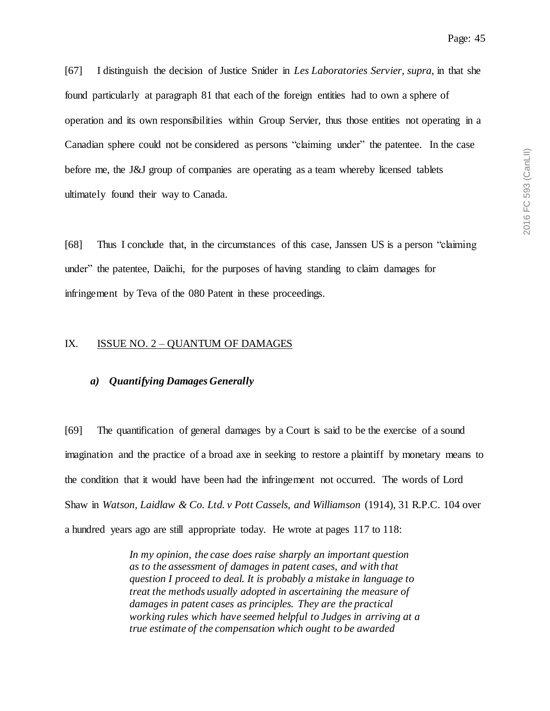[67] I distinguish the decision of Justice Snider in *Les Laboratories Servier*, *supra*, in that she found particularly at paragraph 81 that each of the foreign entities had to own a sphere of operation and its own responsibilities within Group Servier, thus those entities not operating in a Canadian sphere could not be considered as persons "claiming under" the patentee. In the case before me, the J&J group of companies are operating as a team whereby licensed tablets ultimately found their way to Canada.

[68] Thus I conclude that, in the circumstances of this case, Janssen US is a person "claiming under" the patentee, Daiichi, for the purposes of having standing to claim damages for infringement by Teva of the 080 Patent in these proceedings.

# IX. ISSUE NO. 2 – QUANTUM OF DAMAGES

# *a) Quantifying Damages Generally*

[69] The quantification of general damages by a Court is said to be the exercise of a sound imagination and the practice of a broad axe in seeking to restore a plaintiff by monetary means to the condition that it would have been had the infringement not occurred. The words of Lord Shaw in *Watson, Laidlaw & Co. Ltd. v Pott Cassels, and Williamson* (1914), 31 R.P.C. 104 over a hundred years ago are still appropriate today. He wrote at pages 117 to 118:

> *In my opinion, the case does raise sharply an important question as to the assessment of damages in patent cases, and with that question I proceed to deal. It is probably a mistake in language to treat the methods usually adopted in ascertaining the measure of damages in patent cases as principles. They are the practical working rules which have seemed helpful to Judges in arriving at a true estimate of the compensation which ought to be awarded*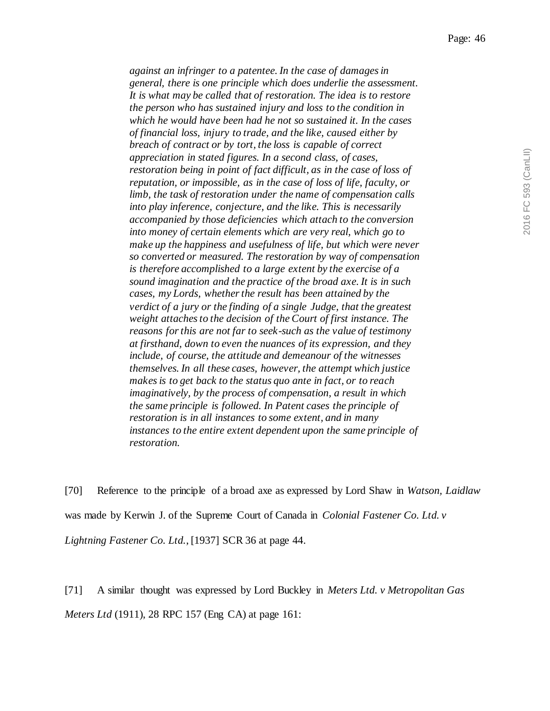*against an infringer to a patentee. In the case of damages in general, there is one principle which does underlie the assessment. It is what may be called that of restoration. The idea is to restore the person who has sustained injury and loss to the condition in which he would have been had he not so sustained it. In the cases of financial loss, injury to trade, and the like, caused either by breach of contract or by tort, the loss is capable of correct appreciation in stated figures. In a second class, of cases, restoration being in point of fact difficult, as in the case of loss of reputation, or impossible, as in the case of loss of life, faculty, or limb, the task of restoration under the name of compensation calls into play inference, conjecture, and the like. This is necessarily accompanied by those deficiencies which attach to the conversion into money of certain elements which are very real, which go to make up the happiness and usefulness of life, but which were never so converted or measured. The restoration by way of compensation is therefore accomplished to a large extent by the exercise of a sound imagination and the practice of the broad axe. It is in such cases, my Lords, whether the result has been attained by the verdict of a jury or the finding of a single Judge, that the greatest weight attaches to the decision of the Court of first instance. The reasons for this are not far to seek-such as the value of testimony at firsthand, down to even the nuances of its expression, and they include, of course, the attitude and demeanour of the witnesses themselves. In all these cases, however, the attempt which justice makes is to get back to the status quo ante in fact, or to reach imaginatively, by the process of compensation, a result in which the same principle is followed. In Patent cases the principle of restoration is in all instances to some extent, and in many instances to the entire extent dependent upon the same principle of restoration.*

[70] Reference to the principle of a broad axe as expressed by Lord Shaw in *Watson, Laidlaw* was made by Kerwin J. of the Supreme Court of Canada in *Colonial Fastener Co. Ltd. v Lightning Fastener Co. Ltd.*, [1937] SCR 36 at page 44.

[71] A similar thought was expressed by Lord Buckley in *Meters Ltd. v Metropolitan Gas Meters Ltd* (1911), 28 RPC 157 (Eng CA) at page 161: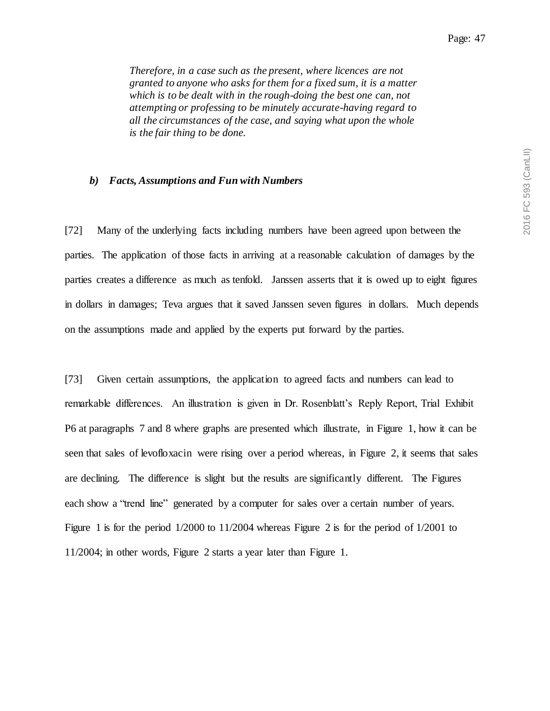*Therefore, in a case such as the present, where licences are not granted to anyone who asks for them for a fixed sum, it is a matter which is to be dealt with in the rough-doing the best one can, not attempting or professing to be minutely accurate-having regard to all the circumstances of the case, and saying what upon the whole is the fair thing to be done.*

#### *b) Facts, Assumptions and Fun with Numbers*

[72] Many of the underlying facts including numbers have been agreed upon between the parties. The application of those facts in arriving at a reasonable calculation of damages by the parties creates a difference as much as tenfold. Janssen asserts that it is owed up to eight figures in dollars in damages; Teva argues that it saved Janssen seven figures in dollars. Much depends on the assumptions made and applied by the experts put forward by the parties.

[73] Given certain assumptions, the application to agreed facts and numbers can lead to remarkable differences. An illustration is given in Dr. Rosenblatt's Reply Report, Trial Exhibit P6 at paragraphs 7 and 8 where graphs are presented which illustrate, in Figure 1, how it can be seen that sales of levofloxacin were rising over a period whereas, in Figure 2, it seems that sales are declining. The difference is slight but the results are significantly different. The Figures each show a "trend line" generated by a computer for sales over a certain number of years. Figure 1 is for the period 1/2000 to 11/2004 whereas Figure 2 is for the period of 1/2001 to 11/2004; in other words, Figure 2 starts a year later than Figure 1.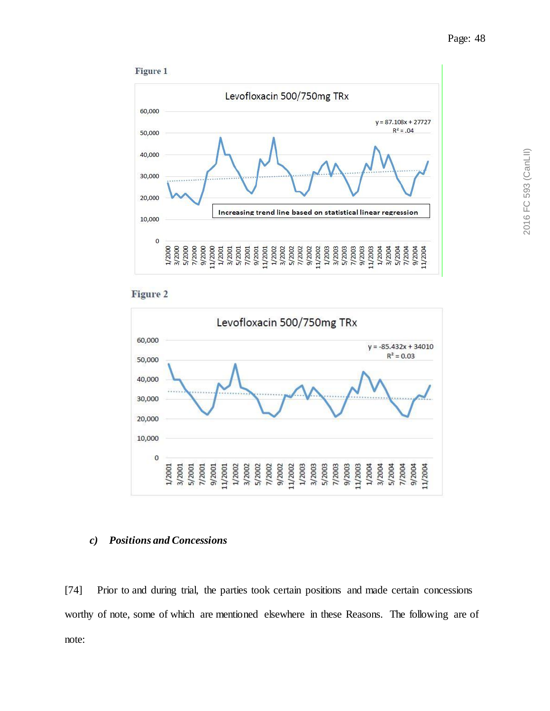### **Figure 1**







# *c) Positions and Concessions*

[74] Prior to and during trial, the parties took certain positions and made certain concessions worthy of note, some of which are mentioned elsewhere in these Reasons. The following are of note: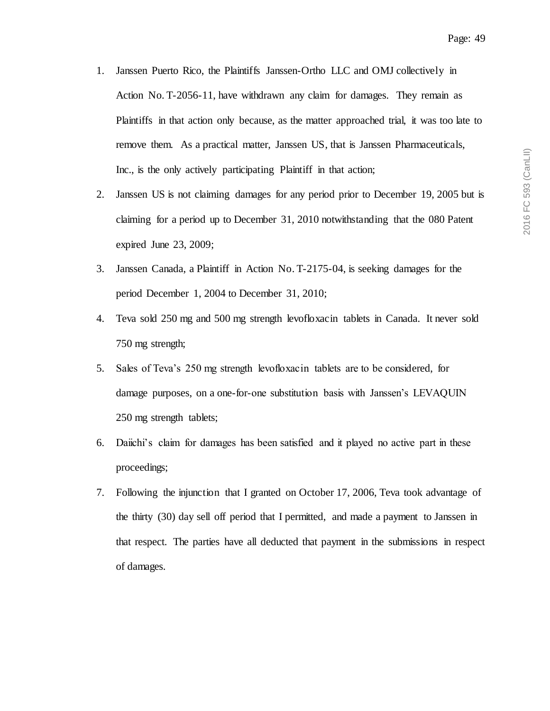- 1. Janssen Puerto Rico, the Plaintiffs Janssen-Ortho LLC and OMJ collectively in Action No. T-2056-11, have withdrawn any claim for damages. They remain as Plaintiffs in that action only because, as the matter approached trial, it was too late to remove them. As a practical matter, Janssen US, that is Janssen Pharmaceuticals, Inc., is the only actively participating Plaintiff in that action;
- 2. Janssen US is not claiming damages for any period prior to December 19, 2005 but is claiming for a period up to December 31, 2010 notwithstanding that the 080 Patent expired June 23, 2009;
- 3. Janssen Canada, a Plaintiff in Action No. T-2175-04, is seeking damages for the period December 1, 2004 to December 31, 2010;
- 4. Teva sold 250 mg and 500 mg strength levofloxacin tablets in Canada. It never sold 750 mg strength;
- 5. Sales of Teva's 250 mg strength levofloxacin tablets are to be considered, for damage purposes, on a one-for-one substitution basis with Janssen's LEVAQUIN 250 mg strength tablets;
- 6. Daiichi's claim for damages has been satisfied and it played no active part in these proceedings;
- 7. Following the injunction that I granted on October 17, 2006, Teva took advantage of the thirty (30) day sell off period that I permitted, and made a payment to Janssen in that respect. The parties have all deducted that payment in the submissions in respect of damages.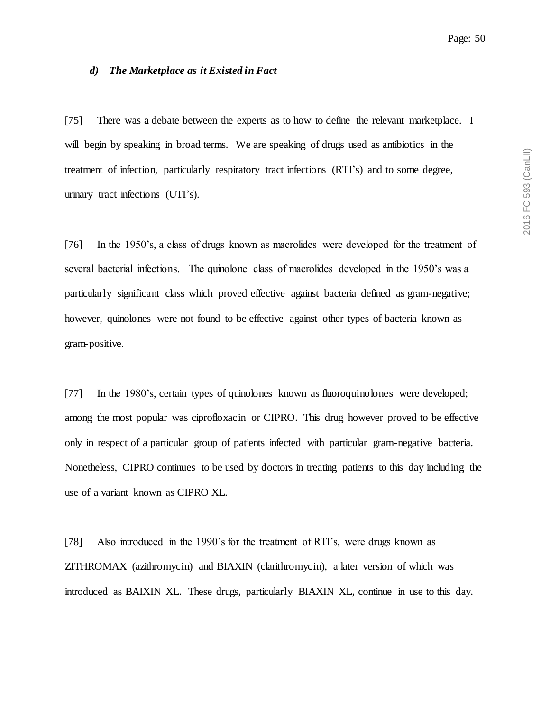### *d) The Marketplace as it Existed in Fact*

[75] There was a debate between the experts as to how to define the relevant marketplace. I will begin by speaking in broad terms. We are speaking of drugs used as antibiotics in the treatment of infection, particularly respiratory tract infections (RTI's) and to some degree, urinary tract infections (UTI's).

[76] In the 1950's, a class of drugs known as macrolides were developed for the treatment of several bacterial infections. The quinolone class of macrolides developed in the 1950's was a particularly significant class which proved effective against bacteria defined as gram-negative; however, quinolones were not found to be effective against other types of bacteria known as gram-positive.

[77] In the 1980's, certain types of quinolones known as fluoroquinolones were developed; among the most popular was ciprofloxacin or CIPRO. This drug however proved to be effective only in respect of a particular group of patients infected with particular gram-negative bacteria. Nonetheless, CIPRO continues to be used by doctors in treating patients to this day including the use of a variant known as CIPRO XL.

[78] Also introduced in the 1990's for the treatment of RTI's, were drugs known as ZITHROMAX (azithromycin) and BIAXIN (clarithromycin), a later version of which was introduced as BAIXIN XL. These drugs, particularly BIAXIN XL, continue in use to this day.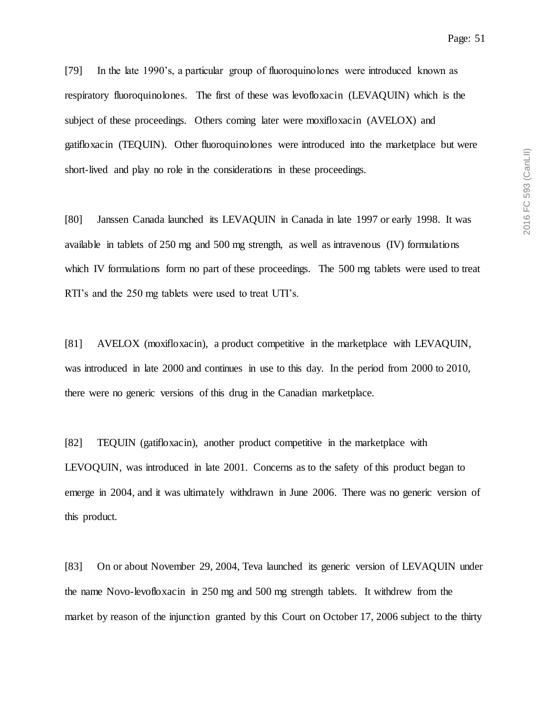[79] In the late 1990's, a particular group of fluoroquinolones were introduced known as respiratory fluoroquinolones. The first of these was levofloxacin (LEVAQUIN) which is the subject of these proceedings. Others coming later were moxifloxacin (AVELOX) and gatifloxacin (TEQUIN). Other fluoroquinolones were introduced into the marketplace but were short-lived and play no role in the considerations in these proceedings.

[80] Janssen Canada launched its LEVAQUIN in Canada in late 1997 or early 1998. It was available in tablets of 250 mg and 500 mg strength, as well as intravenous (IV) formulations which IV formulations form no part of these proceedings. The 500 mg tablets were used to treat RTI's and the 250 mg tablets were used to treat UTI's.

[81] AVELOX (moxifloxacin), a product competitive in the marketplace with LEVAQUIN, was introduced in late 2000 and continues in use to this day. In the period from 2000 to 2010, there were no generic versions of this drug in the Canadian marketplace.

[82] TEQUIN (gatifloxacin), another product competitive in the marketplace with LEVOQUIN, was introduced in late 2001. Concerns as to the safety of this product began to emerge in 2004, and it was ultimately withdrawn in June 2006. There was no generic version of this product.

[83] On or about November 29, 2004, Teva launched its generic version of LEVAQUIN under the name Novo-levofloxacin in 250 mg and 500 mg strength tablets. It withdrew from the market by reason of the injunction granted by this Court on October 17, 2006 subject to the thirty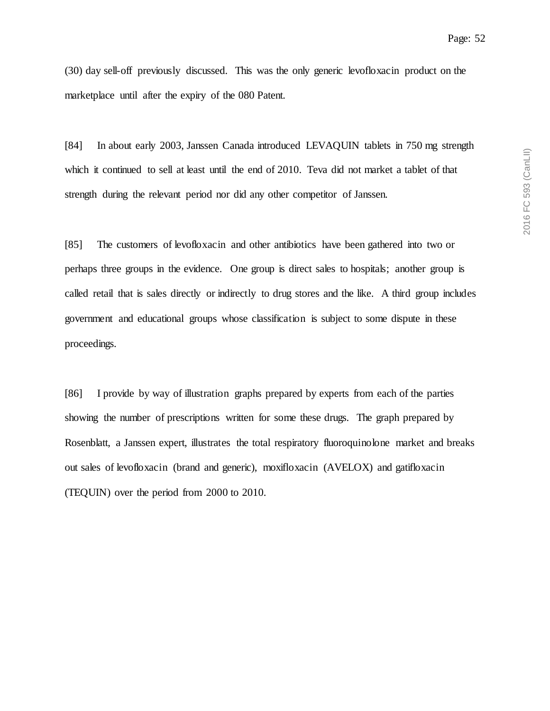(30) day sell-off previously discussed. This was the only generic levofloxacin product on the marketplace until after the expiry of the 080 Patent.

[84] In about early 2003, Janssen Canada introduced LEVAQUIN tablets in 750 mg strength which it continued to sell at least until the end of 2010. Teva did not market a tablet of that strength during the relevant period nor did any other competitor of Janssen.

[85] The customers of levofloxacin and other antibiotics have been gathered into two or perhaps three groups in the evidence. One group is direct sales to hospitals; another group is called retail that is sales directly or indirectly to drug stores and the like. A third group includes government and educational groups whose classification is subject to some dispute in these proceedings.

[86] I provide by way of illustration graphs prepared by experts from each of the parties showing the number of prescriptions written for some these drugs. The graph prepared by Rosenblatt, a Janssen expert, illustrates the total respiratory fluoroquinolone market and breaks out sales of levofloxacin (brand and generic), moxifloxacin (AVELOX) and gatifloxacin (TEQUIN) over the period from 2000 to 2010.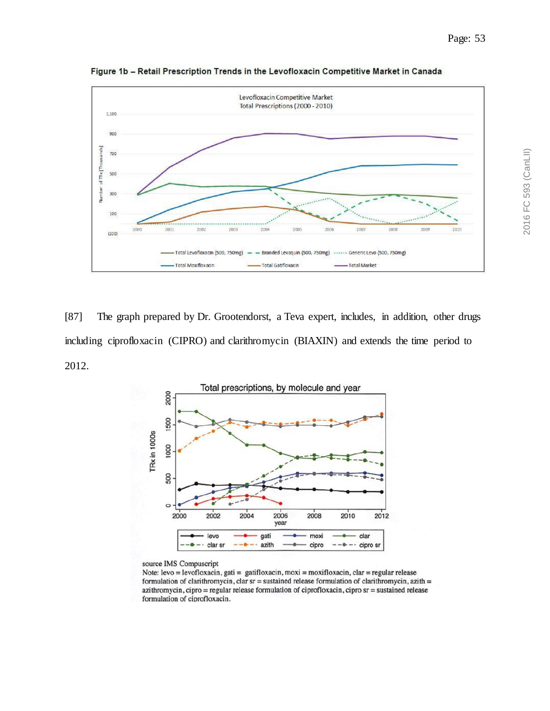

Figure 1b - Retail Prescription Trends in the Levofloxacin Competitive Market in Canada

[87] The graph prepared by Dr. Grootendorst, a Teva expert, includes, in addition, other drugs including ciprofloxacin (CIPRO) and clarithromycin (BIAXIN) and extends the time period to 2012.



#### source IMS Compuscript

Note: levo = levofloxacin, gati = gatifloxacin, moxi = moxifloxacin, clar = regular release formulation of clarithromycin, clar  $sr =$  sustained release formulation of clarithromycin, azith = azithromycin, cipro = regular release formulation of ciprofloxacin, cipro sr = sustained release formulation of ciprofloxacin.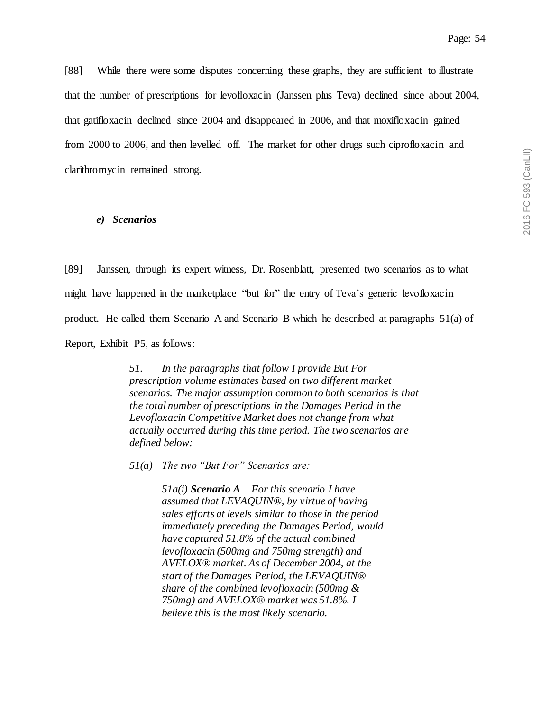[88] While there were some disputes concerning these graphs, they are sufficient to illustrate that the number of prescriptions for levofloxacin (Janssen plus Teva) declined since about 2004, that gatifloxacin declined since 2004 and disappeared in 2006, and that moxifloxacin gained from 2000 to 2006, and then levelled off. The market for other drugs such ciprofloxacin and clarithromycin remained strong.

### *e) Scenarios*

[89] Janssen, through its expert witness, Dr. Rosenblatt, presented two scenarios as to what might have happened in the marketplace "but for" the entry of Teva's generic levofloxacin product. He called them Scenario A and Scenario B which he described at paragraphs 51(a) of Report, Exhibit P5, as follows:

> *51. In the paragraphs that follow I provide But For prescription volume estimates based on two different market scenarios. The major assumption common to both scenarios is that the total number of prescriptions in the Damages Period in the Levofloxacin Competitive Market does not change from what actually occurred during this time period. The two scenarios are defined below:*

*51(a) The two "But For" Scenarios are:*

*51a(i) Scenario A – For this scenario I have assumed that LEVAQUIN®, by virtue of having sales efforts at levels similar to those in the period immediately preceding the Damages Period, would have captured 51.8% of the actual combined levofloxacin (500mg and 750mg strength) and AVELOX® market. As of December 2004, at the start of the Damages Period, the LEVAQUIN® share of the combined levofloxacin (500mg & 750mg) and AVELOX® market was 51.8%. I believe this is the most likely scenario.*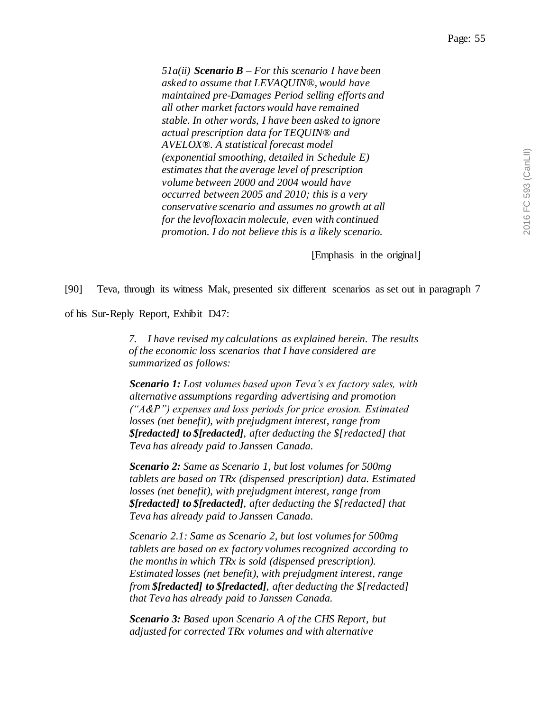*51a(ii) Scenario B – For this scenario I have been asked to assume that LEVAQUIN®, would have maintained pre-Damages Period selling efforts and all other market factors would have remained stable. In other words, I have been asked to ignore actual prescription data for TEQUIN® and AVELOX®. A statistical forecast model (exponential smoothing, detailed in Schedule E) estimates that the average level of prescription volume between 2000 and 2004 would have occurred between 2005 and 2010; this is a very conservative scenario and assumes no growth at all for the levofloxacin molecule, even with continued promotion. I do not believe this is a likely scenario.*

[Emphasis in the original]

[90] Teva, through its witness Mak, presented six different scenarios as set out in paragraph 7

of his Sur-Reply Report, Exhibit D47:

*7. I have revised my calculations as explained herein. The results of the economic loss scenarios that I have considered are summarized as follows:*

*Scenario 1: Lost volumes based upon Teva's ex factory sales, with alternative assumptions regarding advertising and promotion ("A&P") expenses and loss periods for price erosion. Estimated losses (net benefit), with prejudgment interest, range from \$[redacted] to \$[redacted], after deducting the \$[redacted] that Teva has already paid to Janssen Canada.*

*Scenario 2: Same as Scenario 1, but lost volumes for 500mg tablets are based on TRx (dispensed prescription) data. Estimated losses (net benefit), with prejudgment interest, range from \$[redacted] to \$[redacted], after deducting the \$[redacted] that Teva has already paid to Janssen Canada.*

*Scenario 2.1: Same as Scenario 2, but lost volumes for 500mg tablets are based on ex factory volumes recognized according to the months in which TRx is sold (dispensed prescription). Estimated losses (net benefit), with prejudgment interest, range from \$[redacted] to \$[redacted], after deducting the \$[redacted] that Teva has already paid to Janssen Canada.*

*Scenario 3: Based upon Scenario A of the CHS Report, but adjusted for corrected TRx volumes and with alternative*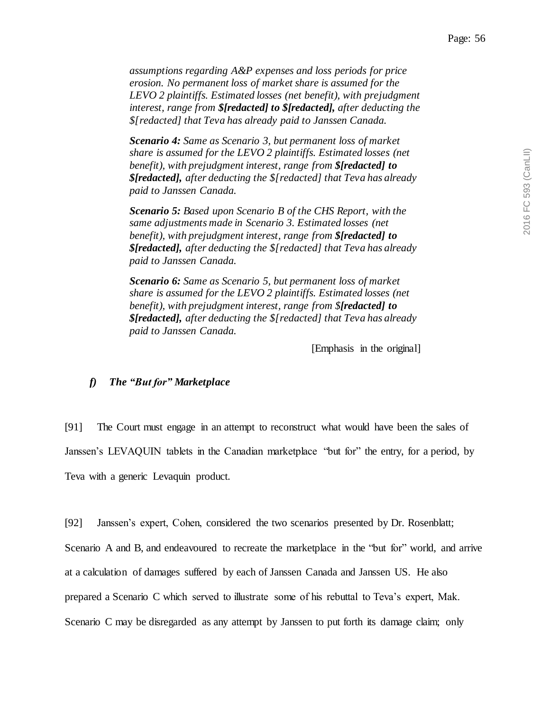*assumptions regarding A&P expenses and loss periods for price erosion. No permanent loss of market share is assumed for the LEVO 2 plaintiffs. Estimated losses (net benefit), with prejudgment interest, range from \$[redacted] to \$[redacted], after deducting the \$[redacted] that Teva has already paid to Janssen Canada.*

*Scenario 4: Same as Scenario 3, but permanent loss of market share is assumed for the LEVO 2 plaintiffs. Estimated losses (net benefit), with prejudgment interest, range from \$[redacted] to \$[redacted], after deducting the \$[redacted] that Teva has already paid to Janssen Canada.*

*Scenario 5: Based upon Scenario B of the CHS Report, with the same adjustments made in Scenario 3. Estimated losses (net benefit), with prejudgment interest, range from \$[redacted] to \$[redacted], after deducting the \$[redacted] that Teva has already paid to Janssen Canada.*

*Scenario 6: Same as Scenario 5, but permanent loss of market share is assumed for the LEVO 2 plaintiffs. Estimated losses (net benefit), with prejudgment interest, range from \$[redacted] to \$[redacted], after deducting the \$[redacted] that Teva has already paid to Janssen Canada.*

[Emphasis in the original]

# *f) The "But for" Marketplace*

[91] The Court must engage in an attempt to reconstruct what would have been the sales of Janssen's LEVAQUIN tablets in the Canadian marketplace "but for" the entry, for a period, by Teva with a generic Levaquin product.

[92] Janssen's expert, Cohen, considered the two scenarios presented by Dr. Rosenblatt; Scenario A and B, and endeavoured to recreate the marketplace in the "but for" world, and arrive at a calculation of damages suffered by each of Janssen Canada and Janssen US. He also prepared a Scenario C which served to illustrate some of his rebuttal to Teva's expert, Mak. Scenario C may be disregarded as any attempt by Janssen to put forth its damage claim; only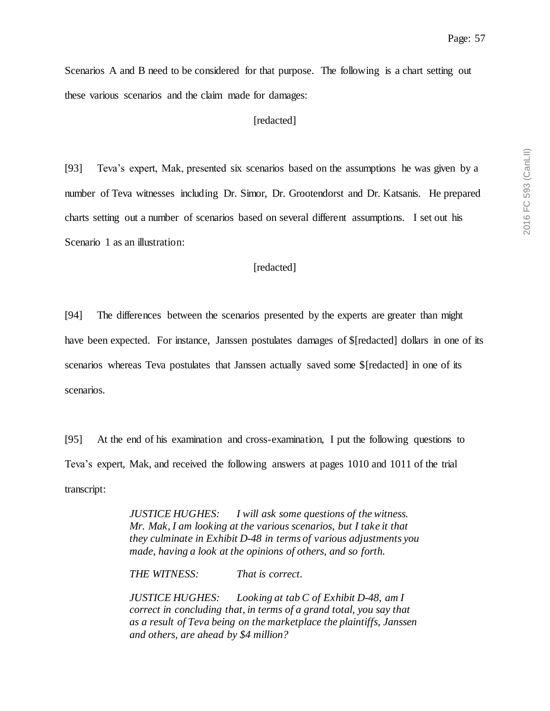Scenarios A and B need to be considered for that purpose. The following is a chart setting out these various scenarios and the claim made for damages:

### [redacted]

[93] Teva's expert, Mak, presented six scenarios based on the assumptions he was given by a number of Teva witnesses including Dr. Simor, Dr. Grootendorst and Dr. Katsanis. He prepared charts setting out a number of scenarios based on several different assumptions. I set out his Scenario 1 as an illustration:

# [redacted]

[94] The differences between the scenarios presented by the experts are greater than might have been expected. For instance, Janssen postulates damages of \$[redacted] dollars in one of its scenarios whereas Teva postulates that Janssen actually saved some \$[redacted] in one of its scenarios.

[95] At the end of his examination and cross-examination, I put the following questions to Teva's expert, Mak, and received the following answers at pages 1010 and 1011 of the trial transcript:

> *JUSTICE HUGHES: I will ask some questions of the witness. Mr. Mak, I am looking at the various scenarios, but I take it that they culminate in Exhibit D-48 in terms of various adjustments you made, having a look at the opinions of others, and so forth.*

*THE WITNESS: That is correct.*

*JUSTICE HUGHES: Looking at tab C of Exhibit D-48, am I correct in concluding that, in terms of a grand total, you say that as a result of Teva being on the marketplace the plaintiffs, Janssen and others, are ahead by \$4 million?*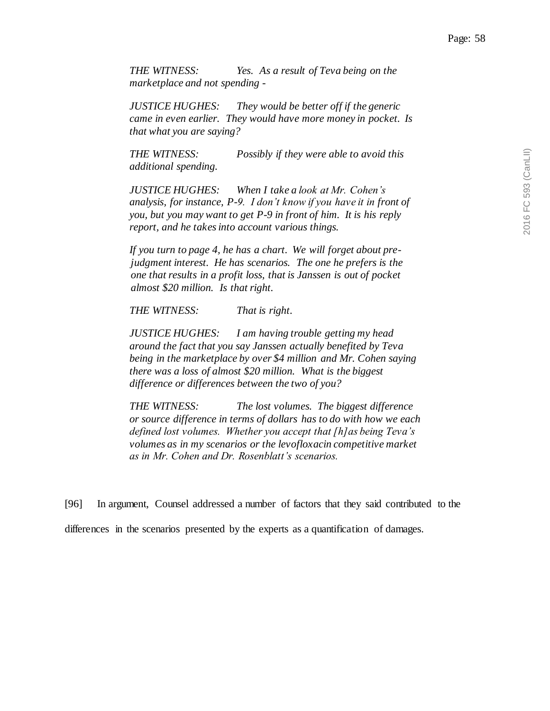*THE WITNESS: Yes. As a result of Teva being on the marketplace and not spending -*

*JUSTICE HUGHES: They would be better off if the generic came in even earlier. They would have more money in pocket. Is that what you are saying?*

*THE WITNESS: Possibly if they were able to avoid this additional spending.*

*JUSTICE HUGHES: When I take a look at Mr. Cohen's analysis, for instance, P-9. I don't know if you have it in front of you, but you may want to get P-9 in front of him. It is his reply report, and he takes into account various things.*

*If you turn to page 4, he has a chart. We will forget about prejudgment interest. He has scenarios. The one he prefers is the one that results in a profit loss, that is Janssen is out of pocket almost \$20 million. Is that right.*

*THE WITNESS: That is right.*

*JUSTICE HUGHES: I am having trouble getting my head around the fact that you say Janssen actually benefited by Teva being in the marketplace by over \$4 million and Mr. Cohen saying there was a loss of almost \$20 million. What is the biggest difference or differences between the two of you?*

*THE WITNESS: The lost volumes. The biggest difference or source difference in terms of dollars has to do with how we each defined lost volumes. Whether you accept that [h]as being Teva's volumes as in my scenarios or the levofloxacin competitive market as in Mr. Cohen and Dr. Rosenblatt's scenarios.*

[96] In argument, Counsel addressed a number of factors that they said contributed to the

differences in the scenarios presented by the experts as a quantification of damages.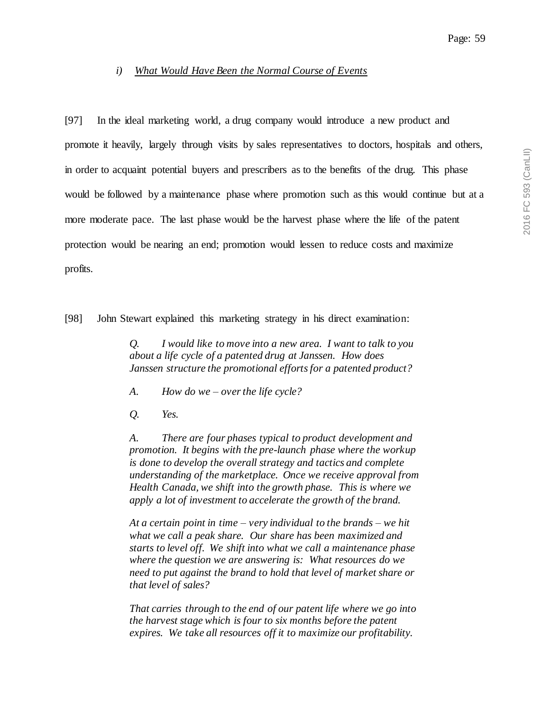# *i) What Would Have Been the Normal Course of Events*

[97] In the ideal marketing world, a drug company would introduce a new product and promote it heavily, largely through visits by sales representatives to doctors, hospitals and others, in order to acquaint potential buyers and prescribers as to the benefits of the drug. This phase would be followed by a maintenance phase where promotion such as this would continue but at a more moderate pace. The last phase would be the harvest phase where the life of the patent protection would be nearing an end; promotion would lessen to reduce costs and maximize profits.

[98] John Stewart explained this marketing strategy in his direct examination:

*Q. I would like to move into a new area. I want to talk to you about a life cycle of a patented drug at Janssen. How does Janssen structure the promotional efforts for a patented product?*

*A. How do we – over the life cycle?*

*Q. Yes.*

*A. There are four phases typical to product development and promotion. It begins with the pre-launch phase where the workup is done to develop the overall strategy and tactics and complete understanding of the marketplace. Once we receive approval from Health Canada, we shift into the growth phase. This is where we apply a lot of investment to accelerate the growth of the brand.*

*At a certain point in time – very individual to the brands – we hit what we call a peak share. Our share has been maximized and starts to level off. We shift into what we call a maintenance phase where the question we are answering is: What resources do we need to put against the brand to hold that level of market share or that level of sales?*

*That carries through to the end of our patent life where we go into the harvest stage which is four to six months before the patent expires. We take all resources off it to maximize our profitability.*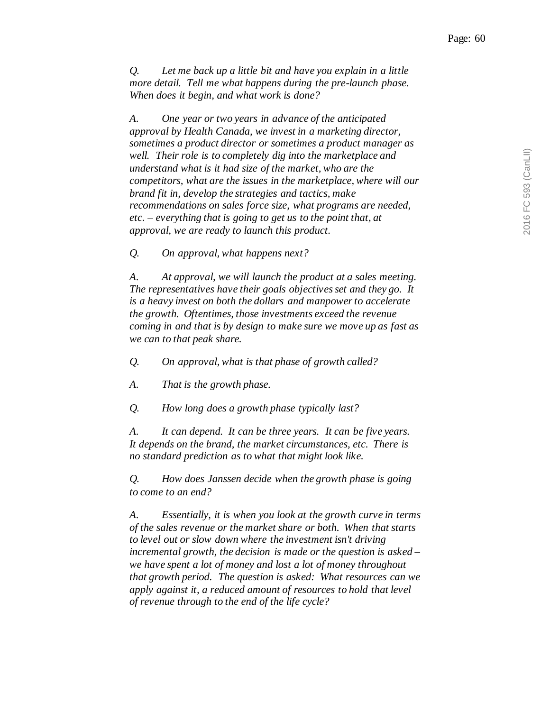*Q. Let me back up a little bit and have you explain in a little more detail. Tell me what happens during the pre-launch phase. When does it begin, and what work is done?*

*A. One year or two years in advance of the anticipated approval by Health Canada, we invest in a marketing director, sometimes a product director or sometimes a product manager as well. Their role is to completely dig into the marketplace and understand what is it had size of the market, who are the competitors, what are the issues in the marketplace, where will our brand fit in, develop the strategies and tactics, make recommendations on sales force size, what programs are needed, etc. – everything that is going to get us to the point that, at approval, we are ready to launch this product.*

*Q. On approval, what happens next?*

*A. At approval, we will launch the product at a sales meeting. The representatives have their goals objectives set and they go. It is a heavy invest on both the dollars and manpower to accelerate the growth. Oftentimes, those investments exceed the revenue coming in and that is by design to make sure we move up as fast as we can to that peak share.*

*Q. On approval, what is that phase of growth called?*

*A. That is the growth phase.*

*Q. How long does a growth phase typically last?*

*A. It can depend. It can be three years. It can be five years. It depends on the brand, the market circumstances, etc. There is no standard prediction as to what that might look like.*

*Q. How does Janssen decide when the growth phase is going to come to an end?*

*A. Essentially, it is when you look at the growth curve in terms of the sales revenue or the market share or both. When that starts to level out or slow down where the investment isn't driving incremental growth, the decision is made or the question is asked – we have spent a lot of money and lost a lot of money throughout that growth period. The question is asked: What resources can we apply against it, a reduced amount of resources to hold that level of revenue through to the end of the life cycle?*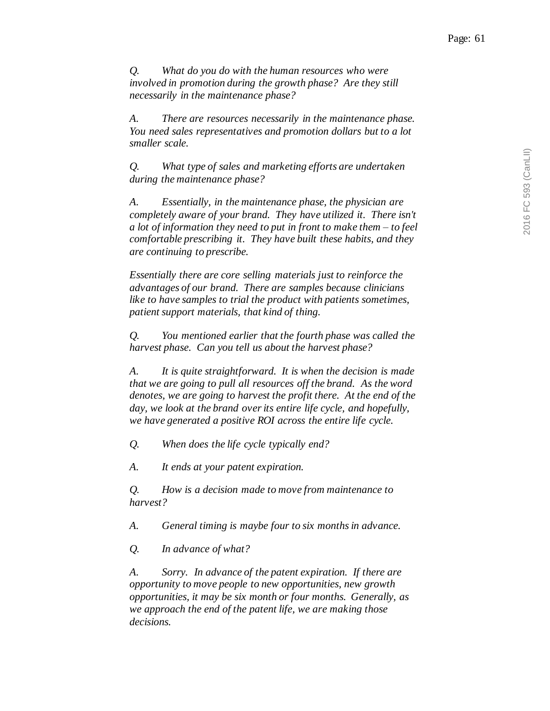*Q. What do you do with the human resources who were involved in promotion during the growth phase? Are they still necessarily in the maintenance phase?*

*A. There are resources necessarily in the maintenance phase. You need sales representatives and promotion dollars but to a lot smaller scale.*

*Q. What type of sales and marketing efforts are undertaken during the maintenance phase?*

*A. Essentially, in the maintenance phase, the physician are completely aware of your brand. They have utilized it. There isn't a lot of information they need to put in front to make them – to feel comfortable prescribing it. They have built these habits, and they are continuing to prescribe.*

*Essentially there are core selling materials just to reinforce the advantages of our brand. There are samples because clinicians like to have samples to trial the product with patients sometimes, patient support materials, that kind of thing.*

*Q. You mentioned earlier that the fourth phase was called the harvest phase. Can you tell us about the harvest phase?*

*A. It is quite straightforward. It is when the decision is made that we are going to pull all resources off the brand. As the word denotes, we are going to harvest the profit there. At the end of the day, we look at the brand over its entire life cycle, and hopefully, we have generated a positive ROI across the entire life cycle.*

*Q. When does the life cycle typically end?*

*A. It ends at your patent expiration.*

*Q. How is a decision made to move from maintenance to harvest?*

*A. General timing is maybe four to six months in advance.*

*Q. In advance of what?*

*A. Sorry. In advance of the patent expiration. If there are opportunity to move people to new opportunities, new growth opportunities, it may be six month or four months. Generally, as we approach the end of the patent life, we are making those decisions.*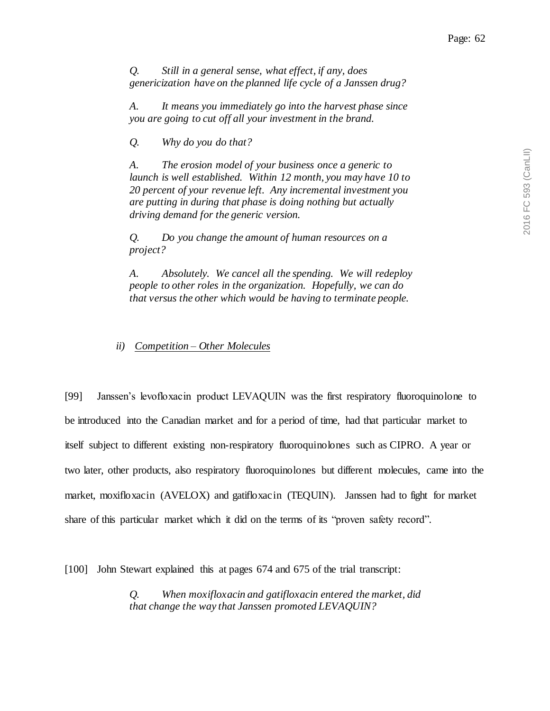*Q. Still in a general sense, what effect, if any, does genericization have on the planned life cycle of a Janssen drug?*

*A. It means you immediately go into the harvest phase since you are going to cut off all your investment in the brand.*

*Q. Why do you do that?*

*A. The erosion model of your business once a generic to launch is well established. Within 12 month, you may have 10 to 20 percent of your revenue left. Any incremental investment you are putting in during that phase is doing nothing but actually driving demand for the generic version.*

*Q. Do you change the amount of human resources on a project?*

*A. Absolutely. We cancel all the spending. We will redeploy people to other roles in the organization. Hopefully, we can do that versus the other which would be having to terminate people.*

*ii) Competition – Other Molecules*

[99] Janssen's levofloxacin product LEVAQUIN was the first respiratory fluoroquinolone to be introduced into the Canadian market and for a period of time, had that particular market to itself subject to different existing non-respiratory fluoroquinolones such as CIPRO. A year or two later, other products, also respiratory fluoroquinolones but different molecules, came into the market, moxifloxacin (AVELOX) and gatifloxacin (TEQUIN). Janssen had to fight for market share of this particular market which it did on the terms of its "proven safety record".

[100] John Stewart explained this at pages 674 and 675 of the trial transcript:

*Q. When moxifloxacin and gatifloxacin entered the market, did that change the way that Janssen promoted LEVAQUIN?*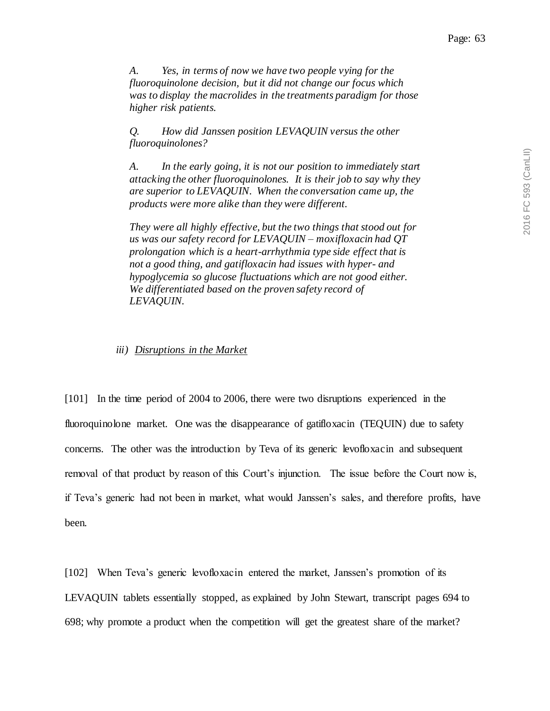*A. Yes, in terms of now we have two people vying for the fluoroquinolone decision, but it did not change our focus which was to display the macrolides in the treatments paradigm for those higher risk patients.*

*Q. How did Janssen position LEVAQUIN versus the other fluoroquinolones?*

*A. In the early going, it is not our position to immediately start attacking the other fluoroquinolones. It is their job to say why they are superior to LEVAQUIN. When the conversation came up, the products were more alike than they were different.*

*They were all highly effective, but the two things that stood out for us was our safety record for LEVAQUIN – moxifloxacin had QT prolongation which is a heart-arrhythmia type side effect that is not a good thing, and gatifloxacin had issues with hyper- and hypoglycemia so glucose fluctuations which are not good either. We differentiated based on the proven safety record of LEVAQUIN.*

*iii) Disruptions in the Market*

[101] In the time period of 2004 to 2006, there were two disruptions experienced in the fluoroquinolone market. One was the disappearance of gatifloxacin (TEQUIN) due to safety concerns. The other was the introduction by Teva of its generic levofloxacin and subsequent removal of that product by reason of this Court's injunction. The issue before the Court now is, if Teva's generic had not been in market, what would Janssen's sales, and therefore profits, have been.

[102] When Teva's generic levofloxacin entered the market, Janssen's promotion of its LEVAQUIN tablets essentially stopped, as explained by John Stewart, transcript pages 694 to 698; why promote a product when the competition will get the greatest share of the market?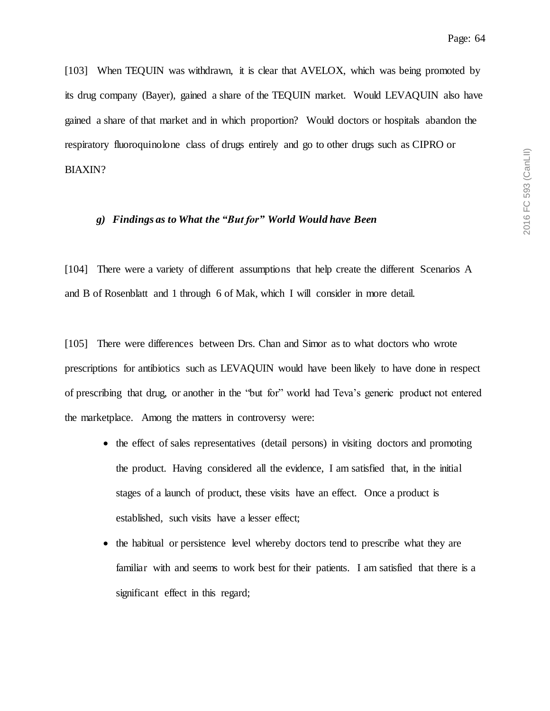[103] When TEQUIN was withdrawn, it is clear that AVELOX, which was being promoted by its drug company (Bayer), gained a share of the TEQUIN market. Would LEVAQUIN also have gained a share of that market and in which proportion? Would doctors or hospitals abandon the respiratory fluoroquinolone class of drugs entirely and go to other drugs such as CIPRO or BIAXIN?

# *g) Findings as to What the "But for" World Would have Been*

[104] There were a variety of different assumptions that help create the different Scenarios A and B of Rosenblatt and 1 through 6 of Mak, which I will consider in more detail.

[105] There were differences between Drs. Chan and Simor as to what doctors who wrote prescriptions for antibiotics such as LEVAQUIN would have been likely to have done in respect of prescribing that drug, or another in the "but for" world had Teva's generic product not entered the marketplace. Among the matters in controversy were:

- the effect of sales representatives (detail persons) in visiting doctors and promoting the product. Having considered all the evidence, I am satisfied that, in the initial stages of a launch of product, these visits have an effect. Once a product is established, such visits have a lesser effect;
- the habitual or persistence level whereby doctors tend to prescribe what they are familiar with and seems to work best for their patients. I am satisfied that there is a significant effect in this regard;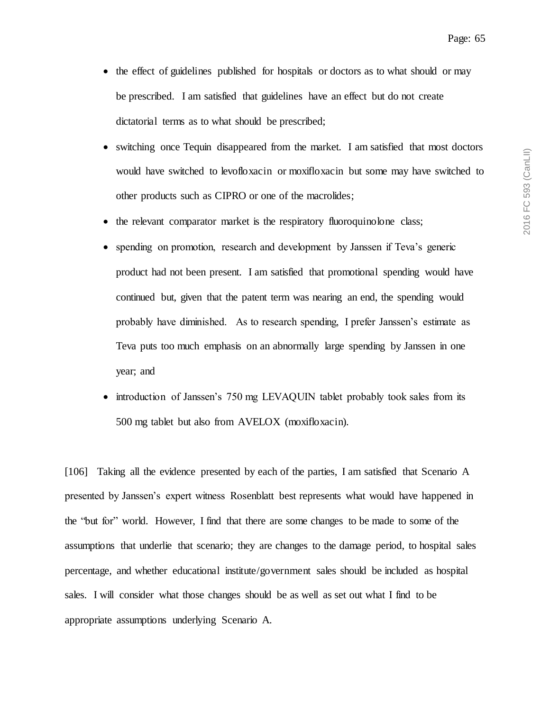- the effect of guidelines published for hospitals or doctors as to what should or may be prescribed. I am satisfied that guidelines have an effect but do not create dictatorial terms as to what should be prescribed;
- switching once Tequin disappeared from the market. I am satisfied that most doctors would have switched to levofloxacin or moxifloxacin but some may have switched to other products such as CIPRO or one of the macrolides;
- the relevant comparator market is the respiratory fluoroquinolone class;
- spending on promotion, research and development by Janssen if Teva's generic product had not been present. I am satisfied that promotional spending would have continued but, given that the patent term was nearing an end, the spending would probably have diminished. As to research spending, I prefer Janssen's estimate as Teva puts too much emphasis on an abnormally large spending by Janssen in one year; and
- introduction of Janssen's 750 mg LEVAQUIN tablet probably took sales from its 500 mg tablet but also from AVELOX (moxifloxacin).

[106] Taking all the evidence presented by each of the parties, I am satisfied that Scenario A presented by Janssen's expert witness Rosenblatt best represents what would have happened in the "but for" world. However, I find that there are some changes to be made to some of the assumptions that underlie that scenario; they are changes to the damage period, to hospital sales percentage, and whether educational institute/government sales should be included as hospital sales. I will consider what those changes should be as well as set out what I find to be appropriate assumptions underlying Scenario A.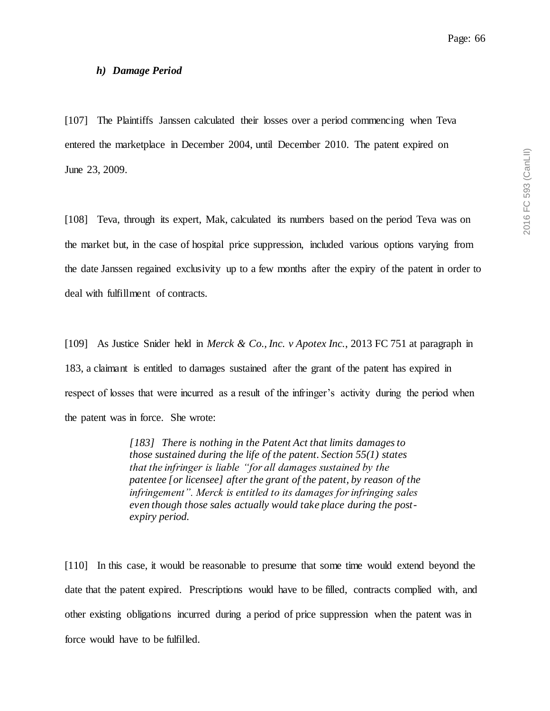#### *h) Damage Period*

[107] The Plaintiffs Janssen calculated their losses over a period commencing when Teva entered the marketplace in December 2004, until December 2010. The patent expired on June 23, 2009.

[108] Teva, through its expert, Mak, calculated its numbers based on the period Teva was on the market but, in the case of hospital price suppression, included various options varying from the date Janssen regained exclusivity up to a few months after the expiry of the patent in order to deal with fulfillment of contracts.

[109] As Justice Snider held in *Merck & Co., Inc. v Apotex Inc.*, 2013 FC 751 at paragraph in 183, a claimant is entitled to damages sustained after the grant of the patent has expired in respect of losses that were incurred as a result of the infringer's activity during the period when the patent was in force. She wrote:

> *[183] There is nothing in the Patent Act that limits damages to those sustained during the life of the patent. Section 55(1) states that the infringer is liable "for all damages sustained by the patentee [or licensee] after the grant of the patent, by reason of the infringement". Merck is entitled to its damages for infringing sales even though those sales actually would take place during the postexpiry period.*

[110] In this case, it would be reasonable to presume that some time would extend beyond the date that the patent expired. Prescriptions would have to be filled, contracts complied with, and other existing obligations incurred during a period of price suppression when the patent was in force would have to be fulfilled.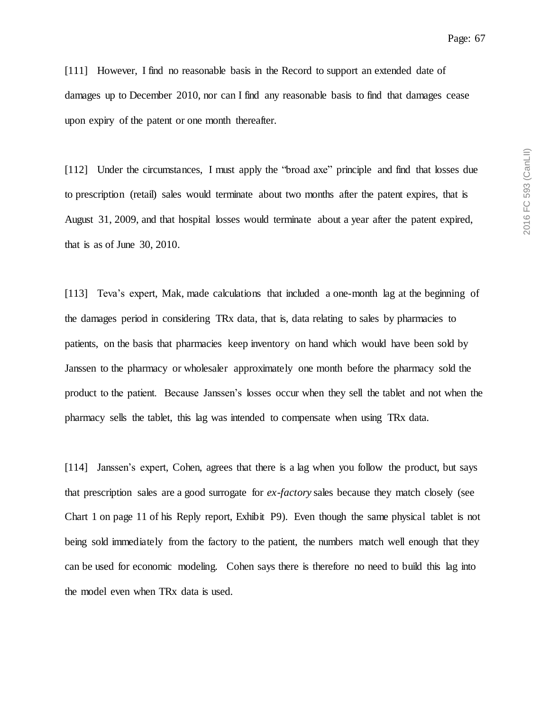[111] However, I find no reasonable basis in the Record to support an extended date of damages up to December 2010, nor can I find any reasonable basis to find that damages cease upon expiry of the patent or one month thereafter.

[112] Under the circumstances, I must apply the "broad axe" principle and find that losses due to prescription (retail) sales would terminate about two months after the patent expires, that is August 31, 2009, and that hospital losses would terminate about a year after the patent expired, that is as of June 30, 2010.

[113] Teva's expert, Mak, made calculations that included a one-month lag at the beginning of the damages period in considering TRx data, that is, data relating to sales by pharmacies to patients, on the basis that pharmacies keep inventory on hand which would have been sold by Janssen to the pharmacy or wholesaler approximately one month before the pharmacy sold the product to the patient. Because Janssen's losses occur when they sell the tablet and not when the pharmacy sells the tablet, this lag was intended to compensate when using TRx data.

[114] Janssen's expert, Cohen, agrees that there is a lag when you follow the product, but says that prescription sales are a good surrogate for *ex-factory* sales because they match closely (see Chart 1 on page 11 of his Reply report, Exhibit P9). Even though the same physical tablet is not being sold immediately from the factory to the patient, the numbers match well enough that they can be used for economic modeling. Cohen says there is therefore no need to build this lag into the model even when TRx data is used.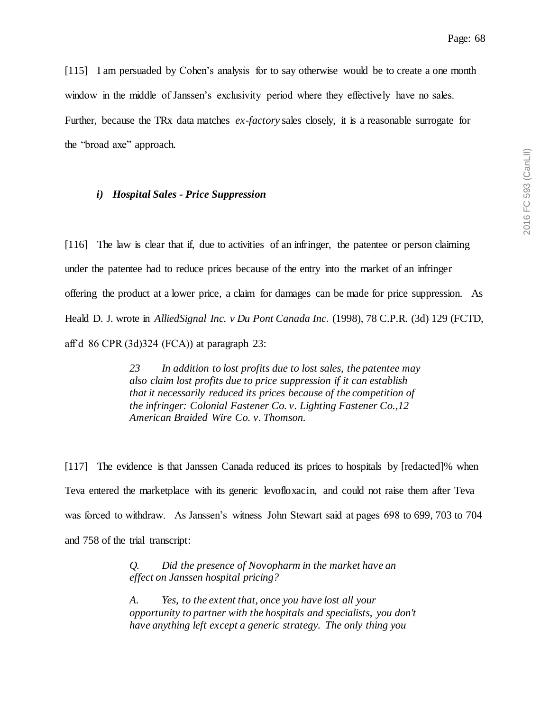[115] I am persuaded by Cohen's analysis for to say otherwise would be to create a one month window in the middle of Janssen's exclusivity period where they effectively have no sales. Further, because the TRx data matches *ex-factory* sales closely, it is a reasonable surrogate for the "broad axe" approach.

### *i) Hospital Sales - Price Suppression*

[116] The law is clear that if, due to activities of an infringer, the patentee or person claiming under the patentee had to reduce prices because of the entry into the market of an infringer offering the product at a lower price, a claim for damages can be made for price suppression. As Heald D. J. wrote in *AlliedSignal Inc. v Du Pont Canada Inc.* (1998), 78 C.P.R. (3d) 129 (FCTD, aff'd 86 CPR (3d)324 (FCA)) at paragraph 23:

> *23 In addition to lost profits due to lost sales, the patentee may also claim lost profits due to price suppression if it can establish that it necessarily reduced its prices because of the competition of the infringer: Colonial Fastener Co. v. Lighting Fastener Co.,12 American Braided Wire Co. v. Thomson.*

[117] The evidence is that Janssen Canada reduced its prices to hospitals by [redacted]% when Teva entered the marketplace with its generic levofloxacin, and could not raise them after Teva was forced to withdraw. As Janssen's witness John Stewart said at pages 698 to 699, 703 to 704 and 758 of the trial transcript:

> *Q. Did the presence of Novopharm in the market have an effect on Janssen hospital pricing?*

*A. Yes, to the extent that, once you have lost all your opportunity to partner with the hospitals and specialists, you don't have anything left except a generic strategy. The only thing you*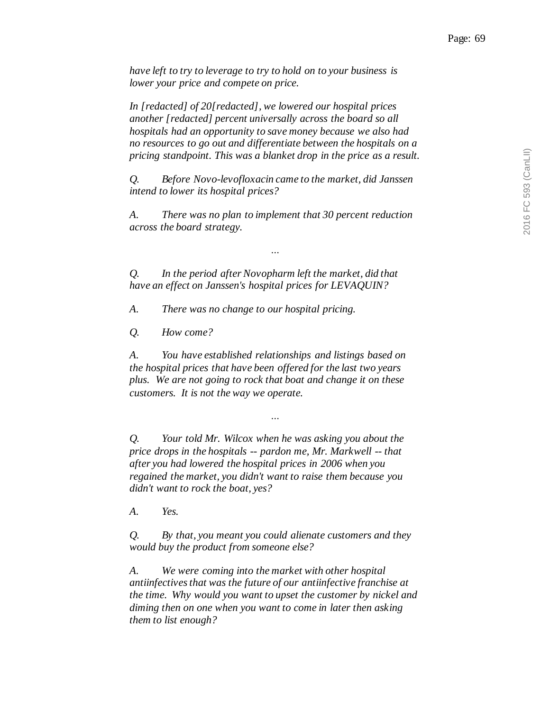*have left to try to leverage to try to hold on to your business is lower your price and compete on price.* 

*In [redacted] of 20[redacted], we lowered our hospital prices another [redacted] percent universally across the board so all hospitals had an opportunity to save money because we also had no resources to go out and differentiate between the hospitals on a pricing standpoint. This was a blanket drop in the price as a result.* 

*Q. Before Novo-levofloxacin came to the market, did Janssen intend to lower its hospital prices?* 

*A. There was no plan to implement that 30 percent reduction across the board strategy.* 

*…*

*Q. In the period after Novopharm left the market, did that have an effect on Janssen's hospital prices for LEVAQUIN?* 

*A. There was no change to our hospital pricing.* 

*Q. How come?* 

*A. You have established relationships and listings based on the hospital prices that have been offered for the last two years plus. We are not going to rock that boat and change it on these customers. It is not the way we operate.* 

*…*

*Q. Your told Mr. Wilcox when he was asking you about the price drops in the hospitals -- pardon me, Mr. Markwell -- that after you had lowered the hospital prices in 2006 when you regained the market, you didn't want to raise them because you didn't want to rock the boat, yes?* 

*A. Yes.* 

*Q. By that, you meant you could alienate customers and they would buy the product from someone else?* 

*A. We were coming into the market with other hospital antiinfectives that was the future of our antiinfective franchise at the time. Why would you want to upset the customer by nickel and diming then on one when you want to come in later then asking them to list enough?*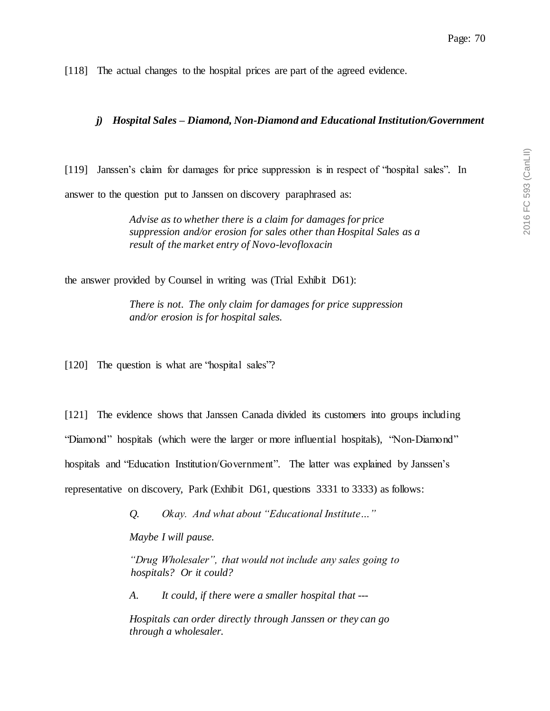[118] The actual changes to the hospital prices are part of the agreed evidence.

# *j) Hospital Sales – Diamond, Non-Diamond and Educational Institution/Government*

[119] Janssen's claim for damages for price suppression is in respect of "hospital sales". In answer to the question put to Janssen on discovery paraphrased as:

> *Advise as to whether there is a claim for damages for price suppression and/or erosion for sales other than Hospital Sales as a result of the market entry of Novo-levofloxacin*

the answer provided by Counsel in writing was (Trial Exhibit D61):

*There is not. The only claim for damages for price suppression and/or erosion is for hospital sales.*

[120] The question is what are "hospital sales"?

[121] The evidence shows that Janssen Canada divided its customers into groups including "Diamond" hospitals (which were the larger or more influential hospitals), "Non-Diamond" hospitals and "Education Institution/Government". The latter was explained by Janssen's representative on discovery, Park (Exhibit D61, questions 3331 to 3333) as follows:

*Q. Okay. And what about "Educational Institute…"*

*Maybe I will pause.*

*"Drug Wholesaler", that would not include any sales going to hospitals? Or it could?*

*A. It could, if there were a smaller hospital that ---*

*Hospitals can order directly through Janssen or they can go through a wholesaler.*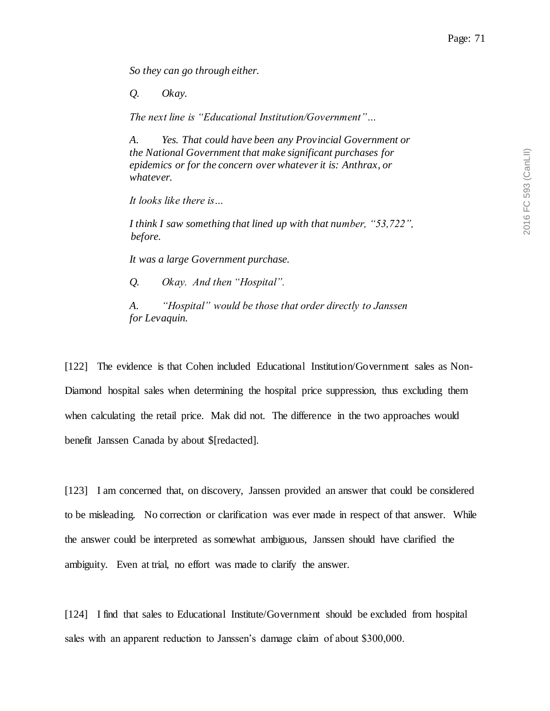*So they can go through either.*

*Q. Okay.*

*The next line is "Educational Institution/Government"…*

*A. Yes. That could have been any Provincial Government or the National Government that make significant purchases for epidemics or for the concern over whatever it is: Anthrax, or whatever.*

*It looks like there is…*

*I think I saw something that lined up with that number, "53,722", before.*

*It was a large Government purchase.*

*Q. Okay. And then "Hospital".*

*A. "Hospital" would be those that order directly to Janssen for Levaquin.*

[122] The evidence is that Cohen included Educational Institution/Government sales as Non-Diamond hospital sales when determining the hospital price suppression, thus excluding them when calculating the retail price. Mak did not. The difference in the two approaches would benefit Janssen Canada by about \$[redacted].

[123] I am concerned that, on discovery, Janssen provided an answer that could be considered to be misleading. No correction or clarification was ever made in respect of that answer. While the answer could be interpreted as somewhat ambiguous, Janssen should have clarified the ambiguity. Even at trial, no effort was made to clarify the answer.

[124] I find that sales to Educational Institute/Government should be excluded from hospital sales with an apparent reduction to Janssen's damage claim of about \$300,000.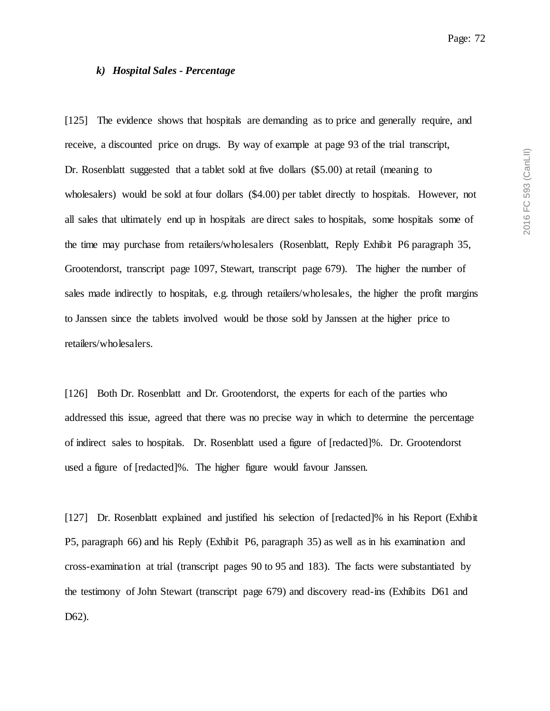# *k) Hospital Sales - Percentage*

[125] The evidence shows that hospitals are demanding as to price and generally require, and receive, a discounted price on drugs. By way of example at page 93 of the trial transcript, Dr. Rosenblatt suggested that a tablet sold at five dollars (\$5.00) at retail (meaning to wholesalers) would be sold at four dollars (\$4.00) per tablet directly to hospitals. However, not all sales that ultimately end up in hospitals are direct sales to hospitals, some hospitals some of the time may purchase from retailers/wholesalers (Rosenblatt, Reply Exhibit P6 paragraph 35, Grootendorst, transcript page 1097, Stewart, transcript page 679). The higher the number of sales made indirectly to hospitals, e.g. through retailers/wholesales, the higher the profit margins to Janssen since the tablets involved would be those sold by Janssen at the higher price to retailers/wholesalers.

[126] Both Dr. Rosenblatt and Dr. Grootendorst, the experts for each of the parties who addressed this issue, agreed that there was no precise way in which to determine the percentage of indirect sales to hospitals. Dr. Rosenblatt used a figure of [redacted]%. Dr. Grootendorst used a figure of [redacted]%. The higher figure would favour Janssen.

[127] Dr. Rosenblatt explained and justified his selection of [redacted]% in his Report (Exhibit P5, paragraph 66) and his Reply (Exhibit P6, paragraph 35) as well as in his examination and cross-examination at trial (transcript pages 90 to 95 and 183). The facts were substantiated by the testimony of John Stewart (transcript page 679) and discovery read-ins (Exhibits D61 and D62).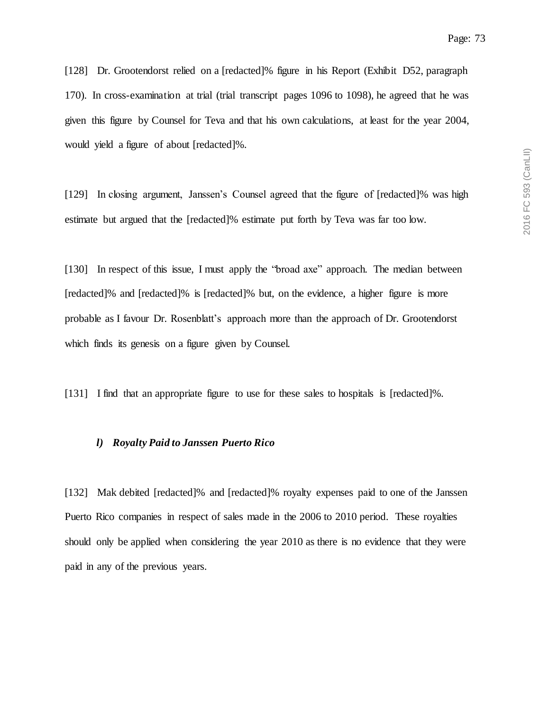[128] Dr. Grootendorst relied on a [redacted]% figure in his Report (Exhibit D52, paragraph 170). In cross-examination at trial (trial transcript pages 1096 to 1098), he agreed that he was given this figure by Counsel for Teva and that his own calculations, at least for the year 2004, would yield a figure of about [redacted]%.

[129] In closing argument, Janssen's Counsel agreed that the figure of [redacted]% was high estimate but argued that the [redacted]% estimate put forth by Teva was far too low.

[130] In respect of this issue, I must apply the "broad axe" approach. The median between [redacted]% and [redacted]% is [redacted]% but, on the evidence, a higher figure is more probable as I favour Dr. Rosenblatt's approach more than the approach of Dr. Grootendorst which finds its genesis on a figure given by Counsel.

[131] I find that an appropriate figure to use for these sales to hospitals is [redacted]%.

#### *l) Royalty Paid to Janssen Puerto Rico*

[132] Mak debited [redacted]% and [redacted]% royalty expenses paid to one of the Janssen Puerto Rico companies in respect of sales made in the 2006 to 2010 period. These royalties should only be applied when considering the year 2010 as there is no evidence that they were paid in any of the previous years.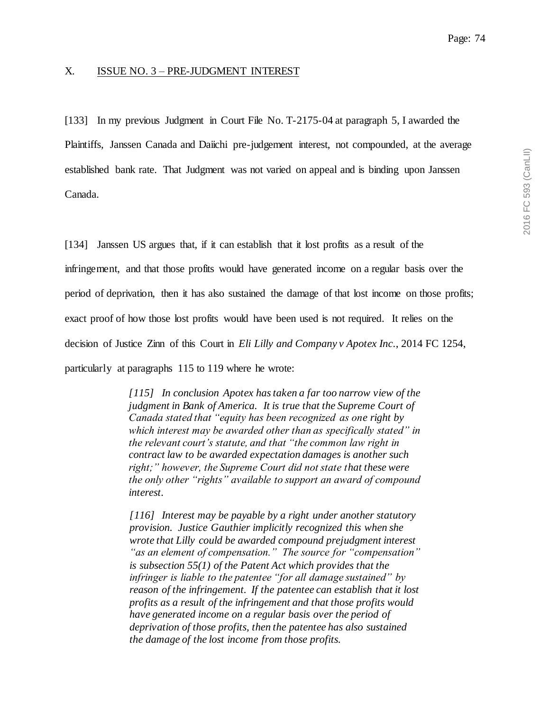### X. ISSUE NO. 3 – PRE-JUDGMENT INTEREST

[133] In my previous Judgment in Court File No. T-2175-04 at paragraph 5, I awarded the Plaintiffs, Janssen Canada and Daiichi pre-judgement interest, not compounded, at the average established bank rate. That Judgment was not varied on appeal and is binding upon Janssen Canada.

[134] Janssen US argues that, if it can establish that it lost profits as a result of the infringement, and that those profits would have generated income on a regular basis over the period of deprivation, then it has also sustained the damage of that lost income on those profits; exact proof of how those lost profits would have been used is not required. It relies on the decision of Justice Zinn of this Court in *Eli Lilly and Company v Apotex Inc.*, 2014 FC 1254, particularly at paragraphs 115 to 119 where he wrote:

> *[115] In conclusion Apotex has taken a far too narrow view of the judgment in Bank of America. It is true that the Supreme Court of Canada stated that "equity has been recognized as one right by which interest may be awarded other than as specifically stated" in the relevant court's statute, and that "the common law right in contract law to be awarded expectation damages is another such right;" however, the Supreme Court did not state that these were the only other "rights" available to support an award of compound interest.*

> *[116] Interest may be payable by a right under another statutory provision. Justice Gauthier implicitly recognized this when she wrote that Lilly could be awarded compound prejudgment interest "as an element of compensation." The source for "compensation" is subsection 55(1) of the Patent Act which provides that the infringer is liable to the patentee "for all damage sustained" by reason of the infringement. If the patentee can establish that it lost profits as a result of the infringement and that those profits would have generated income on a regular basis over the period of deprivation of those profits, then the patentee has also sustained the damage of the lost income from those profits.*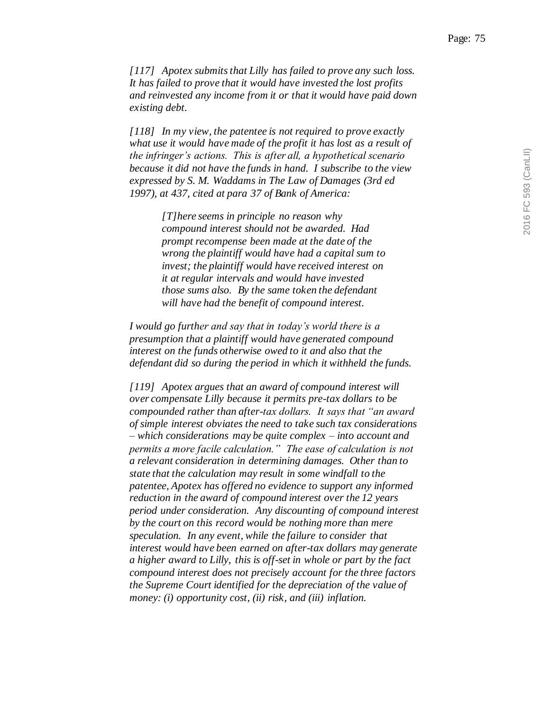*[117] Apotex submits that Lilly has failed to prove any such loss. It has failed to prove that it would have invested the lost profits and reinvested any income from it or that it would have paid down existing debt.*

*[118] In my view, the patentee is not required to prove exactly what use it would have made of the profit it has lost as a result of the infringer's actions. This is after all, a hypothetical scenario because it did not have the funds in hand. I subscribe to the view expressed by S. M. Waddams in The Law of Damages (3rd ed 1997), at 437, cited at para 37 of Bank of America:*

> *[T]here seems in principle no reason why compound interest should not be awarded. Had prompt recompense been made at the date of the wrong the plaintiff would have had a capital sum to invest; the plaintiff would have received interest on it at regular intervals and would have invested those sums also. By the same token the defendant will have had the benefit of compound interest.*

*I would go further and say that in today's world there is a presumption that a plaintiff would have generated compound interest on the funds otherwise owed to it and also that the defendant did so during the period in which it withheld the funds.*

*[119] Apotex argues that an award of compound interest will over compensate Lilly because it permits pre-tax dollars to be compounded rather than after-tax dollars. It says that "an award of simple interest obviates the need to take such tax considerations – which considerations may be quite complex – into account and permits a more facile calculation." The ease of calculation is not a relevant consideration in determining damages. Other than to state that the calculation may result in some windfall to the patentee, Apotex has offered no evidence to support any informed reduction in the award of compound interest over the 12 years period under consideration. Any discounting of compound interest by the court on this record would be nothing more than mere speculation. In any event, while the failure to consider that interest would have been earned on after-tax dollars may generate a higher award to Lilly, this is off-set in whole or part by the fact compound interest does not precisely account for the three factors the Supreme Court identified for the depreciation of the value of money: (i) opportunity cost, (ii) risk, and (iii) inflation.*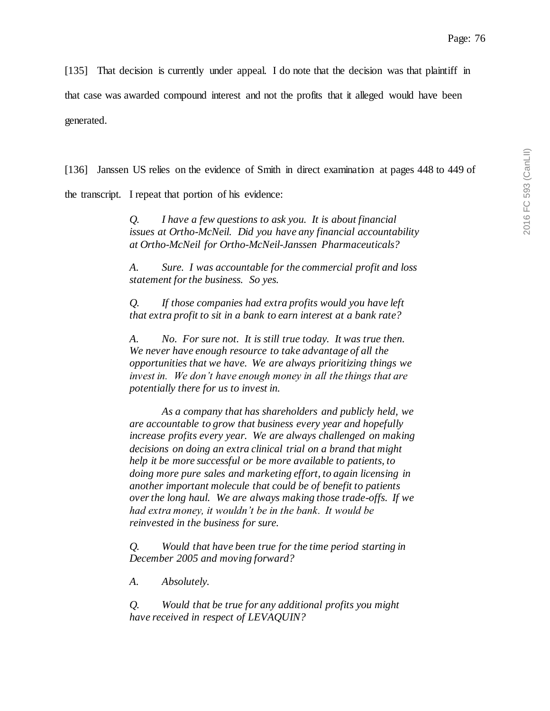[135] That decision is currently under appeal. I do note that the decision was that plaintiff in that case was awarded compound interest and not the profits that it alleged would have been generated.

[136] Janssen US relies on the evidence of Smith in direct examination at pages 448 to 449 of the transcript. I repeat that portion of his evidence:

> *Q. I have a few questions to ask you. It is about financial issues at Ortho-McNeil. Did you have any financial accountability at Ortho-McNeil for Ortho-McNeil-Janssen Pharmaceuticals?*

> *A. Sure. I was accountable for the commercial profit and loss statement for the business. So yes.*

*Q. If those companies had extra profits would you have left that extra profit to sit in a bank to earn interest at a bank rate?*

*A. No. For sure not. It is still true today. It was true then. We never have enough resource to take advantage of all the opportunities that we have. We are always prioritizing things we invest in. We don't have enough money in all the things that are potentially there for us to invest in.*

*As a company that has shareholders and publicly held, we are accountable to grow that business every year and hopefully increase profits every year. We are always challenged on making decisions on doing an extra clinical trial on a brand that might help it be more successful or be more available to patients, to doing more pure sales and marketing effort, to again licensing in another important molecule that could be of benefit to patients over the long haul. We are always making those trade-offs. If we had extra money, it wouldn't be in the bank. It would be reinvested in the business for sure.*

*Q. Would that have been true for the time period starting in December 2005 and moving forward?*

*A. Absolutely.*

*Q. Would that be true for any additional profits you might have received in respect of LEVAQUIN?*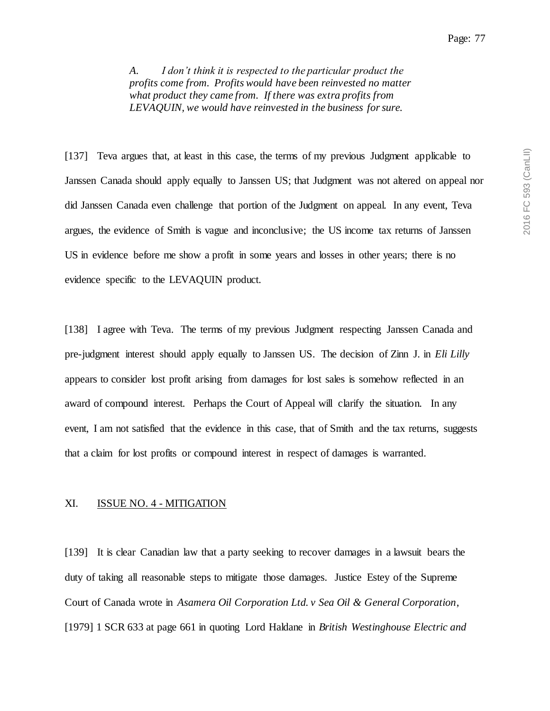*A. I don't think it is respected to the particular product the profits come from. Profits would have been reinvested no matter what product they came from. If there was extra profits from LEVAQUIN, we would have reinvested in the business for sure.*

[137] Teva argues that, at least in this case, the terms of my previous Judgment applicable to Janssen Canada should apply equally to Janssen US; that Judgment was not altered on appeal nor did Janssen Canada even challenge that portion of the Judgment on appeal. In any event, Teva argues, the evidence of Smith is vague and inconclusive; the US income tax returns of Janssen US in evidence before me show a profit in some years and losses in other years; there is no evidence specific to the LEVAQUIN product.

[138] I agree with Teva. The terms of my previous Judgment respecting Janssen Canada and pre-judgment interest should apply equally to Janssen US. The decision of Zinn J. in *Eli Lilly* appears to consider lost profit arising from damages for lost sales is somehow reflected in an award of compound interest. Perhaps the Court of Appeal will clarify the situation. In any event, I am not satisfied that the evidence in this case, that of Smith and the tax returns, suggests that a claim for lost profits or compound interest in respect of damages is warranted.

## XI. ISSUE NO. 4 - MITIGATION

[139] It is clear Canadian law that a party seeking to recover damages in a lawsuit bears the duty of taking all reasonable steps to mitigate those damages. Justice Estey of the Supreme Court of Canada wrote in *Asamera Oil Corporation Ltd. v Sea Oil & General Corporation*, [1979] 1 SCR 633 at page 661 in quoting Lord Haldane in *British Westinghouse Electric and*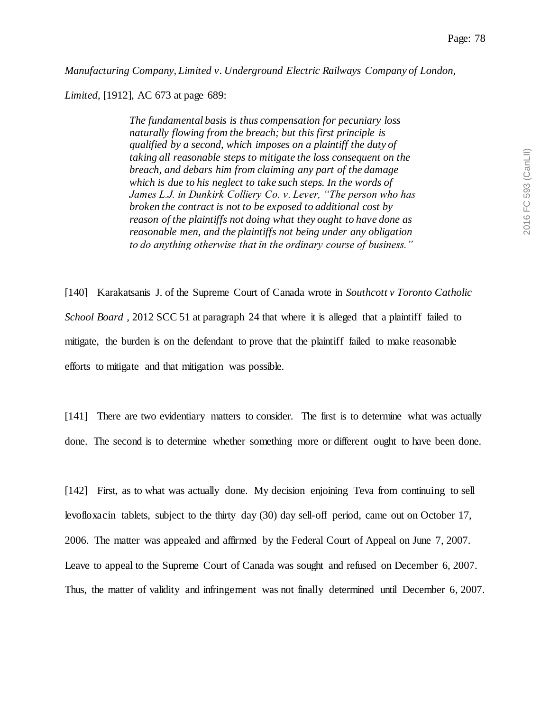*Manufacturing Company, Limited v. Underground Electric Railways Company of London,* 

*Limited*, [1912], AC 673 at page 689:

*The fundamental basis is thus compensation for pecuniary loss naturally flowing from the breach; but this first principle is qualified by a second, which imposes on a plaintiff the duty of taking all reasonable steps to mitigate the loss consequent on the breach, and debars him from claiming any part of the damage which is due to his neglect to take such steps. In the words of James L.J. in Dunkirk Colliery Co. v. Lever, "The person who has broken the contract is not to be exposed to additional cost by reason of the plaintiffs not doing what they ought to have done as reasonable men, and the plaintiffs not being under any obligation to do anything otherwise that in the ordinary course of business."*

[140] Karakatsanis J. of the Supreme Court of Canada wrote in *Southcott v Toronto Catholic School Board*, 2012 SCC 51 at paragraph 24 that where it is alleged that a plaintiff failed to mitigate, the burden is on the defendant to prove that the plaintiff failed to make reasonable efforts to mitigate and that mitigation was possible.

[141] There are two evidentiary matters to consider. The first is to determine what was actually done. The second is to determine whether something more or different ought to have been done.

[142] First, as to what was actually done. My decision enjoining Teva from continuing to sell levofloxacin tablets, subject to the thirty day (30) day sell-off period, came out on October 17, 2006. The matter was appealed and affirmed by the Federal Court of Appeal on June 7, 2007. Leave to appeal to the Supreme Court of Canada was sought and refused on December 6, 2007. Thus, the matter of validity and infringement was not finally determined until December 6, 2007.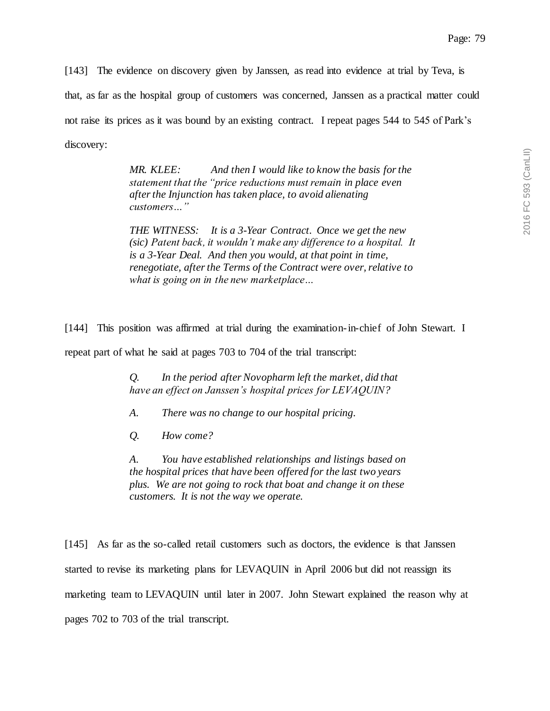[143] The evidence on discovery given by Janssen, as read into evidence at trial by Teva, is that, as far as the hospital group of customers was concerned, Janssen as a practical matter could not raise its prices as it was bound by an existing contract. I repeat pages 544 to 545 of Park's discovery:

> *MR. KLEE: And then I would like to know the basis for the statement that the "price reductions must remain in place even after the Injunction has taken place, to avoid alienating customers…"*

*THE WITNESS: It is a 3-Year Contract. Once we get the new (sic) Patent back, it wouldn't make any difference to a hospital. It is a 3-Year Deal. And then you would, at that point in time, renegotiate, after the Terms of the Contract were over, relative to what is going on in the new marketplace…*

[144] This position was affirmed at trial during the examination-in-chief of John Stewart. I repeat part of what he said at pages 703 to 704 of the trial transcript:

> *Q. In the period after Novopharm left the market, did that have an effect on Janssen's hospital prices for LEVAQUIN?*

*A. There was no change to our hospital pricing.*

*Q. How come?*

*A. You have established relationships and listings based on the hospital prices that have been offered for the last two years plus. We are not going to rock that boat and change it on these customers. It is not the way we operate.*

[145] As far as the so-called retail customers such as doctors, the evidence is that Janssen started to revise its marketing plans for LEVAQUIN in April 2006 but did not reassign its marketing team to LEVAQUIN until later in 2007. John Stewart explained the reason why at pages 702 to 703 of the trial transcript.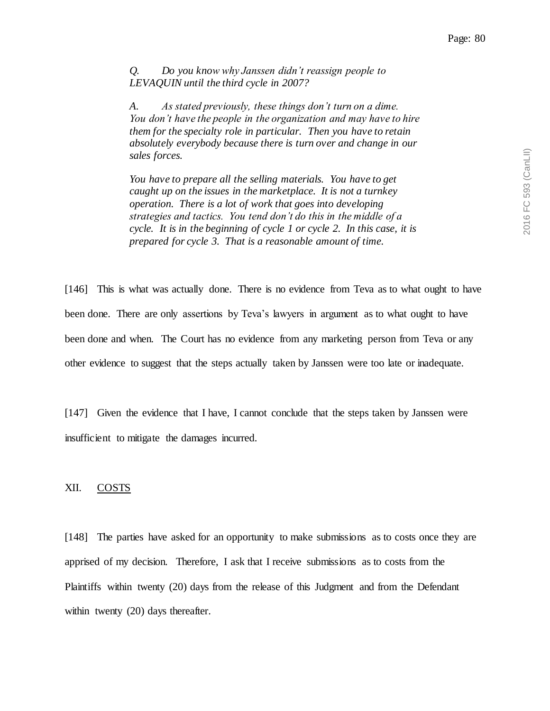*Q. Do you know why Janssen didn't reassign people to LEVAQUIN until the third cycle in 2007?*

*A. As stated previously, these things don't turn on a dime. You don't have the people in the organization and may have to hire them for the specialty role in particular. Then you have to retain absolutely everybody because there is turn over and change in our sales forces.*

*You have to prepare all the selling materials. You have to get caught up on the issues in the marketplace. It is not a turnkey operation. There is a lot of work that goes into developing strategies and tactics. You tend don't do this in the middle of a cycle. It is in the beginning of cycle 1 or cycle 2. In this case, it is prepared for cycle 3. That is a reasonable amount of time.*

[146] This is what was actually done. There is no evidence from Teva as to what ought to have been done. There are only assertions by Teva's lawyers in argument as to what ought to have been done and when. The Court has no evidence from any marketing person from Teva or any other evidence to suggest that the steps actually taken by Janssen were too late or inadequate.

[147] Given the evidence that I have, I cannot conclude that the steps taken by Janssen were insufficient to mitigate the damages incurred.

#### XII. COSTS

[148] The parties have asked for an opportunity to make submissions as to costs once they are apprised of my decision. Therefore, I ask that I receive submissions as to costs from the Plaintiffs within twenty (20) days from the release of this Judgment and from the Defendant within twenty (20) days thereafter.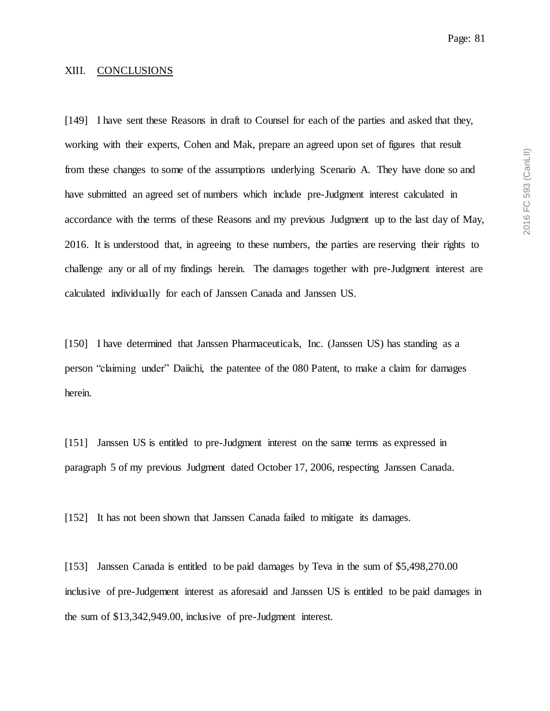#### XIII. CONCLUSIONS

[149] I have sent these Reasons in draft to Counsel for each of the parties and asked that they, working with their experts, Cohen and Mak, prepare an agreed upon set of figures that result from these changes to some of the assumptions underlying Scenario A. They have done so and have submitted an agreed set of numbers which include pre-Judgment interest calculated in accordance with the terms of these Reasons and my previous Judgment up to the last day of May, 2016. It is understood that, in agreeing to these numbers, the parties are reserving their rights to challenge any or all of my findings herein. The damages together with pre-Judgment interest are calculated individually for each of Janssen Canada and Janssen US.

[150] I have determined that Janssen Pharmaceuticals, Inc. (Janssen US) has standing as a person "claiming under" Daiichi, the patentee of the 080 Patent, to make a claim for damages herein.

[151] Janssen US is entitled to pre-Judgment interest on the same terms as expressed in paragraph 5 of my previous Judgment dated October 17, 2006, respecting Janssen Canada.

[152] It has not been shown that Janssen Canada failed to mitigate its damages.

[153] Janssen Canada is entitled to be paid damages by Teva in the sum of \$5,498,270.00 inclusive of pre-Judgement interest as aforesaid and Janssen US is entitled to be paid damages in the sum of \$13,342,949.00, inclusive of pre-Judgment interest.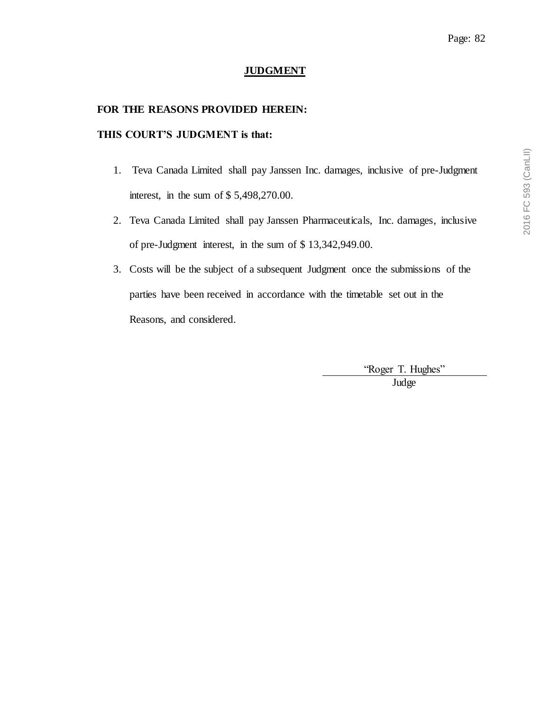### **JUDGMENT**

### **FOR THE REASONS PROVIDED HEREIN:**

## **THIS COURT'S JUDGMENT is that:**

- 1. Teva Canada Limited shall pay Janssen Inc. damages, inclusive of pre-Judgment interest, in the sum of \$ 5,498,270.00.
- 2. Teva Canada Limited shall pay Janssen Pharmaceuticals, Inc. damages, inclusive of pre-Judgment interest, in the sum of \$ 13,342,949.00.
- 3. Costs will be the subject of a subsequent Judgment once the submissions of the parties have been received in accordance with the timetable set out in the Reasons, and considered.

"Roger T. Hughes" Judge